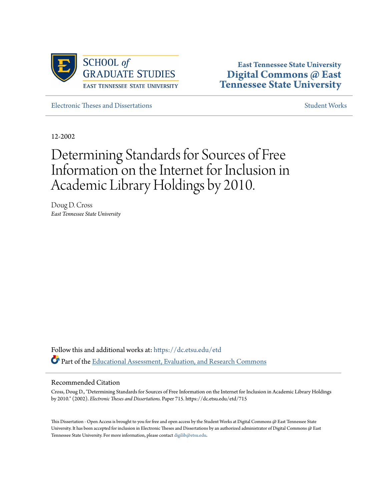

**East Tennessee State University [Digital Commons @ East](https://dc.etsu.edu?utm_source=dc.etsu.edu%2Fetd%2F715&utm_medium=PDF&utm_campaign=PDFCoverPages) [Tennessee State University](https://dc.etsu.edu?utm_source=dc.etsu.edu%2Fetd%2F715&utm_medium=PDF&utm_campaign=PDFCoverPages)**

[Electronic Theses and Dissertations](https://dc.etsu.edu/etd?utm_source=dc.etsu.edu%2Fetd%2F715&utm_medium=PDF&utm_campaign=PDFCoverPages) [Student Works](https://dc.etsu.edu/student-works?utm_source=dc.etsu.edu%2Fetd%2F715&utm_medium=PDF&utm_campaign=PDFCoverPages) Student Works Student Works

12-2002

# Determining Standards for Sources of Free Information on the Internet for Inclusion in Academic Library Holdings by 2010.

Doug D. Cross *East Tennessee State University*

Follow this and additional works at: [https://dc.etsu.edu/etd](https://dc.etsu.edu/etd?utm_source=dc.etsu.edu%2Fetd%2F715&utm_medium=PDF&utm_campaign=PDFCoverPages) Part of the [Educational Assessment, Evaluation, and Research Commons](http://network.bepress.com/hgg/discipline/796?utm_source=dc.etsu.edu%2Fetd%2F715&utm_medium=PDF&utm_campaign=PDFCoverPages)

#### Recommended Citation

Cross, Doug D., "Determining Standards for Sources of Free Information on the Internet for Inclusion in Academic Library Holdings by 2010." (2002). *Electronic Theses and Dissertations.* Paper 715. https://dc.etsu.edu/etd/715

This Dissertation - Open Access is brought to you for free and open access by the Student Works at Digital Commons @ East Tennessee State University. It has been accepted for inclusion in Electronic Theses and Dissertations by an authorized administrator of Digital Commons @ East Tennessee State University. For more information, please contact [digilib@etsu.edu.](mailto:digilib@etsu.edu)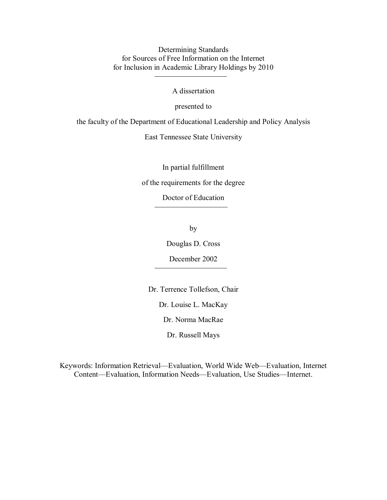Determining Standards for Sources of Free Information on the Internet for Inclusion in Academic Library Holdings by 2010

A dissertation

presented to

the faculty of the Department of Educational Leadership and Policy Analysis

East Tennessee State University

In partial fulfillment

of the requirements for the degree

Doctor of Education

by

Douglas D. Cross

December 2002

Dr. Terrence Tollefson, Chair

Dr. Louise L. MacKay

Dr. Norma MacRae

Dr. Russell Mays

Keywords: Information Retrieval—Evaluation, World Wide Web—Evaluation, Internet Content—Evaluation, Information Needs—Evaluation, Use Studies—Internet.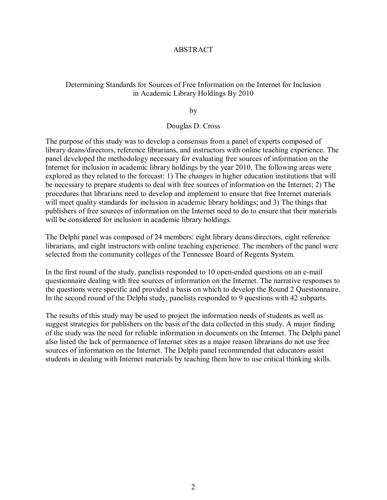#### ABSTRACT

### Determining Standards for Sources of Free Information on the Internet for Inclusion in Academic Library Holdings By 2010

by

#### Douglas D. Cross

The purpose of this study was to develop a consensus from a panel of experts composed of library deans/directors, reference librarians, and instructors with online teaching experience. The panel developed the methodology necessary for evaluating free sources of information on the Internet for inclusion in academic library holdings by the year 2010. The following areas were explored as they related to the forecast: 1) The changes in higher education institutions that will be necessary to prepare students to deal with free sources of information on the Internet; 2) The procedures that librarians need to develop and implement to ensure that free Internet materials will meet quality standards for inclusion in academic library holdings; and 3) The things that publishers of free sources of information on the Internet need to do to ensure that their materials will be considered for inclusion in academic library holdings.

The Delphi panel was composed of 24 members: eight library deans/directors, eight reference librarians, and eight instructors with online teaching experience. The members of the panel were selected from the community colleges of the Tennessee Board of Regents System.

In the first round of the study, panelists responded to 10 open-ended questions on an e-mail questionnaire dealing with free sources of information on the Internet. The narrative responses to the questions were specific and provided a basis on which to develop the Round 2 Questionnaire. In the second round of the Delphi study, panelists responded to 9 questions with 42 subparts.

The results of this study may be used to project the information needs of students as well as suggest strategies for publishers on the basis of the data collected in this study. A major finding of the study was the need for reliable information in documents on the Internet. The Delphi panel also listed the lack of permanence of Internet sites as a major reason librarians do not use free sources of information on the Internet. The Delphi panel recommended that educators assist students in dealing with Internet materials by teaching them how to use critical thinking skills.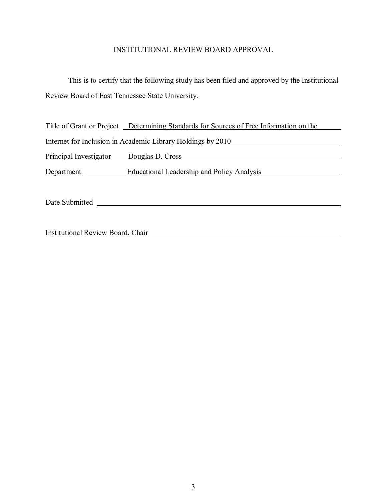# INSTITUTIONAL REVIEW BOARD APPROVAL

This is to certify that the following study has been filed and approved by the Institutional Review Board of East Tennessee State University.

|                                                             | Title of Grant or Project Determining Standards for Sources of Free Information on the |  |  |  |
|-------------------------------------------------------------|----------------------------------------------------------------------------------------|--|--|--|
| Internet for Inclusion in Academic Library Holdings by 2010 |                                                                                        |  |  |  |
| Principal Investigator Douglas D. Cross                     |                                                                                        |  |  |  |
| Department                                                  | Educational Leadership and Policy Analysis                                             |  |  |  |
| Date Submitted                                              |                                                                                        |  |  |  |

Institutional Review Board, Chair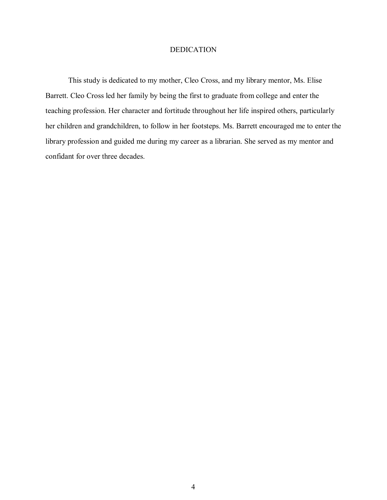#### DEDICATION

This study is dedicated to my mother, Cleo Cross, and my library mentor, Ms. Elise Barrett. Cleo Cross led her family by being the first to graduate from college and enter the teaching profession. Her character and fortitude throughout her life inspired others, particularly her children and grandchildren, to follow in her footsteps. Ms. Barrett encouraged me to enter the library profession and guided me during my career as a librarian. She served as my mentor and confidant for over three decades.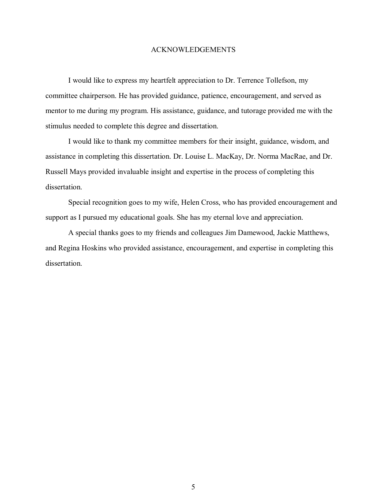#### ACKNOWLEDGEMENTS

I would like to express my heartfelt appreciation to Dr. Terrence Tollefson, my committee chairperson. He has provided guidance, patience, encouragement, and served as mentor to me during my program. His assistance, guidance, and tutorage provided me with the stimulus needed to complete this degree and dissertation.

I would like to thank my committee members for their insight, guidance, wisdom, and assistance in completing this dissertation. Dr. Louise L. MacKay, Dr. Norma MacRae, and Dr. Russell Mays provided invaluable insight and expertise in the process of completing this dissertation.

Special recognition goes to my wife, Helen Cross, who has provided encouragement and support as I pursued my educational goals. She has my eternal love and appreciation.

A special thanks goes to my friends and colleagues Jim Damewood, Jackie Matthews, and Regina Hoskins who provided assistance, encouragement, and expertise in completing this dissertation.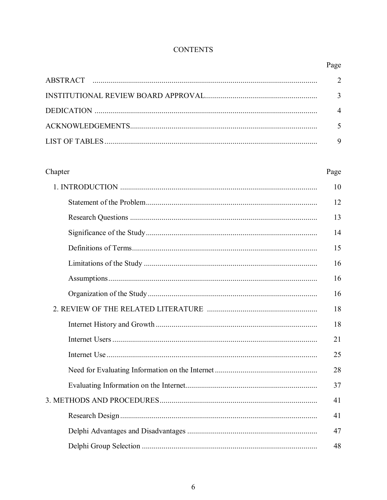# **CONTENTS**

| Chapter | Page |
|---------|------|
|         |      |
|         | 12   |
|         | 13   |
|         | 14   |
|         | 15   |
|         | 16   |
|         | 16   |
|         | 16   |
|         |      |
|         | 18   |
|         | 21   |
|         | 25   |
|         | 28   |
|         | 37   |
|         | 41   |
|         | 41   |
|         | 47   |
|         | 48   |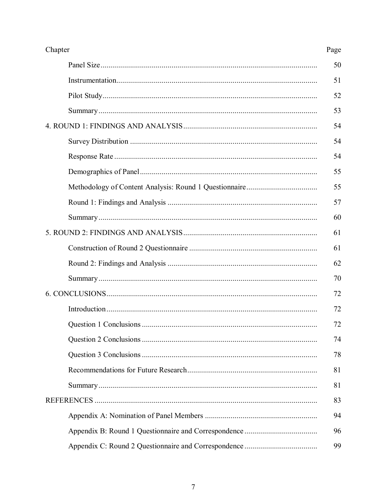| Chapter |    |
|---------|----|
|         | 50 |
|         | 51 |
|         | 52 |
|         | 53 |
|         | 54 |
|         | 54 |
|         | 54 |
|         | 55 |
|         | 55 |
|         | 57 |
|         | 60 |
|         | 61 |
|         | 61 |
|         | 62 |
|         | 70 |
|         |    |
|         | 72 |
|         | 72 |
|         | 74 |
|         | 78 |
|         | 81 |
|         | 81 |
|         |    |
|         | 94 |
|         | 96 |
|         | 99 |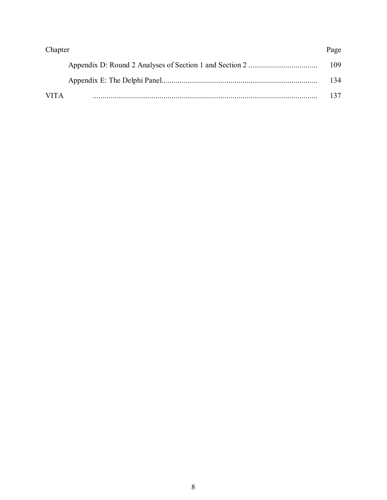| Chapter     |      |
|-------------|------|
|             | 109. |
|             | 134. |
| <b>VITA</b> |      |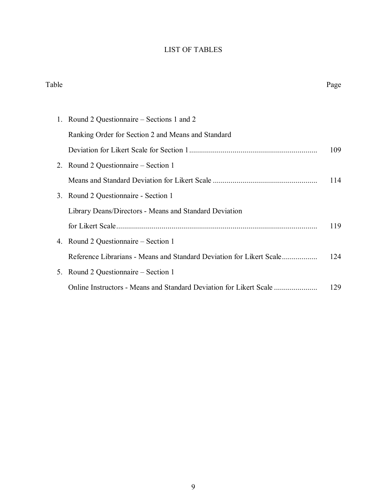# LIST OF TABLES

| Table   |                                                                      | Page |
|---------|----------------------------------------------------------------------|------|
|         |                                                                      |      |
|         | Round 2 Questionnaire – Sections 1 and 2                             |      |
|         | Ranking Order for Section 2 and Means and Standard                   |      |
|         |                                                                      | 109  |
|         | 2. Round 2 Questionnaire – Section 1                                 |      |
|         |                                                                      | 114  |
|         | 3. Round 2 Questionnaire - Section 1                                 |      |
|         | Library Deans/Directors - Means and Standard Deviation               |      |
|         |                                                                      | 119  |
|         | 4. Round 2 Questionnaire – Section 1                                 |      |
|         | Reference Librarians - Means and Standard Deviation for Likert Scale | 124  |
| $5_{-}$ | Round 2 Questionnaire – Section 1                                    |      |
|         | Online Instructors - Means and Standard Deviation for Likert Scale   | 129  |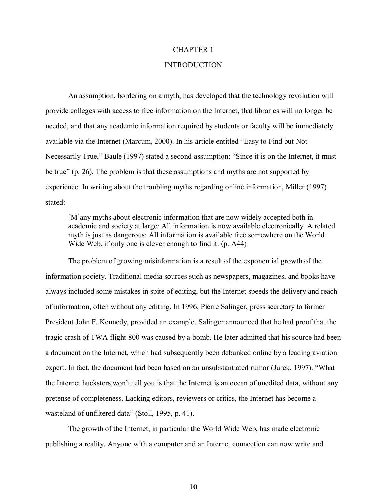#### CHAPTER 1

#### INTRODUCTION

An assumption, bordering on a myth, has developed that the technology revolution will provide colleges with access to free information on the Internet, that libraries will no longer be needed, and that any academic information required by students or faculty will be immediately available via the Internet (Marcum, 2000). In his article entitled "Easy to Find but Not Necessarily True," Baule (1997) stated a second assumption: "Since it is on the Internet, it must be true" (p. 26). The problem is that these assumptions and myths are not supported by experience. In writing about the troubling myths regarding online information, Miller (1997) stated:

[M]any myths about electronic information that are now widely accepted both in academic and society at large: All information is now available electronically. A related myth is just as dangerous: All information is available free somewhere on the World Wide Web, if only one is clever enough to find it. (p. A44)

The problem of growing misinformation is a result of the exponential growth of the information society. Traditional media sources such as newspapers, magazines, and books have always included some mistakes in spite of editing, but the Internet speeds the delivery and reach of information, often without any editing. In 1996, Pierre Salinger, press secretary to former President John F. Kennedy, provided an example. Salinger announced that he had proof that the tragic crash of TWA flight 800 was caused by a bomb. He later admitted that his source had been a document on the Internet, which had subsequently been debunked online by a leading aviation expert. In fact, the document had been based on an unsubstantiated rumor (Jurek, 1997). "What the Internet hucksters won't tell you is that the Internet is an ocean of unedited data, without any pretense of completeness. Lacking editors, reviewers or critics, the Internet has become a wasteland of unfiltered data" (Stoll, 1995, p. 41).

The growth of the Internet, in particular the World Wide Web, has made electronic publishing a reality. Anyone with a computer and an Internet connection can now write and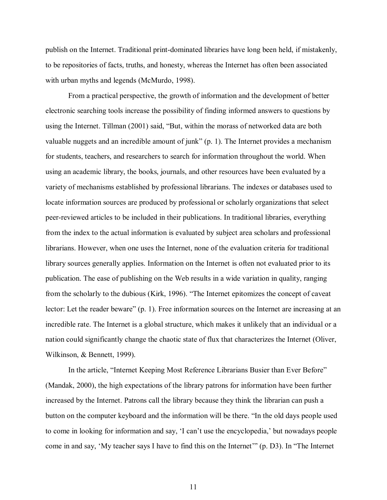publish on the Internet. Traditional print-dominated libraries have long been held, if mistakenly, to be repositories of facts, truths, and honesty, whereas the Internet has often been associated with urban myths and legends (McMurdo, 1998).

From a practical perspective, the growth of information and the development of better electronic searching tools increase the possibility of finding informed answers to questions by using the Internet. Tillman (2001) said, "But, within the morass of networked data are both valuable nuggets and an incredible amount of junk"  $(p, 1)$ . The Internet provides a mechanism for students, teachers, and researchers to search for information throughout the world. When using an academic library, the books, journals, and other resources have been evaluated by a variety of mechanisms established by professional librarians. The indexes or databases used to locate information sources are produced by professional or scholarly organizations that select peer-reviewed articles to be included in their publications. In traditional libraries, everything from the index to the actual information is evaluated by subject area scholars and professional librarians. However, when one uses the Internet, none of the evaluation criteria for traditional library sources generally applies. Information on the Internet is often not evaluated prior to its publication. The ease of publishing on the Web results in a wide variation in quality, ranging from the scholarly to the dubious (Kirk, 1996). "The Internet epitomizes the concept of caveat lector: Let the reader beware" (p. 1). Free information sources on the Internet are increasing at an incredible rate. The Internet is a global structure, which makes it unlikely that an individual or a nation could significantly change the chaotic state of flux that characterizes the Internet (Oliver, Wilkinson, & Bennett, 1999).

In the article, "Internet Keeping Most Reference Librarians Busier than Ever Before" (Mandak, 2000), the high expectations of the library patrons for information have been further increased by the Internet. Patrons call the library because they think the librarian can push a button on the computer keyboard and the information will be there. "In the old days people used to come in looking for information and say, 'I can't use the encyclopedia,' but nowadays people come in and say, 'My teacher says I have to find this on the Internet'" (p. D3). In "The Internet"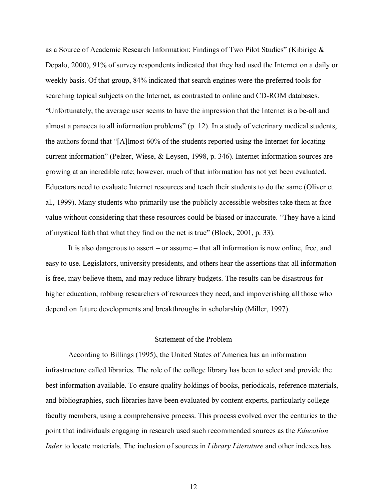as a Source of Academic Research Information: Findings of Two Pilot Studies" (Kibirige & Depalo, 2000), 91% of survey respondents indicated that they had used the Internet on a daily or weekly basis. Of that group, 84% indicated that search engines were the preferred tools for searching topical subjects on the Internet, as contrasted to online and CD-ROM databases. ìUnfortunately, the average user seems to have the impression that the Internet is a be-all and almost a panacea to all information problems" (p. 12). In a study of veterinary medical students, the authors found that " $[A]$ lmost 60% of the students reported using the Internet for locating current information" (Pelzer, Wiese, & Leysen, 1998, p. 346). Internet information sources are growing at an incredible rate; however, much of that information has not yet been evaluated. Educators need to evaluate Internet resources and teach their students to do the same (Oliver et al., 1999). Many students who primarily use the publicly accessible websites take them at face value without considering that these resources could be biased or inaccurate. "They have a kind of mystical faith that what they find on the net is true" (Block, 2001, p. 33).

It is also dangerous to assert  $-$  or assume  $-$  that all information is now online, free, and easy to use. Legislators, university presidents, and others hear the assertions that all information is free, may believe them, and may reduce library budgets. The results can be disastrous for higher education, robbing researchers of resources they need, and impoverishing all those who depend on future developments and breakthroughs in scholarship (Miller, 1997).

#### Statement of the Problem

According to Billings (1995), the United States of America has an information infrastructure called libraries. The role of the college library has been to select and provide the best information available. To ensure quality holdings of books, periodicals, reference materials, and bibliographies, such libraries have been evaluated by content experts, particularly college faculty members, using a comprehensive process. This process evolved over the centuries to the point that individuals engaging in research used such recommended sources as the *Education Index* to locate materials. The inclusion of sources in *Library Literature* and other indexes has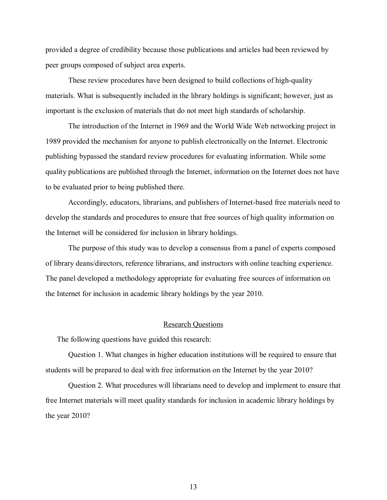provided a degree of credibility because those publications and articles had been reviewed by peer groups composed of subject area experts.

These review procedures have been designed to build collections of high-quality materials. What is subsequently included in the library holdings is significant; however, just as important is the exclusion of materials that do not meet high standards of scholarship.

The introduction of the Internet in 1969 and the World Wide Web networking project in 1989 provided the mechanism for anyone to publish electronically on the Internet. Electronic publishing bypassed the standard review procedures for evaluating information. While some quality publications are published through the Internet, information on the Internet does not have to be evaluated prior to being published there.

Accordingly, educators, librarians, and publishers of Internet-based free materials need to develop the standards and procedures to ensure that free sources of high quality information on the Internet will be considered for inclusion in library holdings.

The purpose of this study was to develop a consensus from a panel of experts composed of library deans/directors, reference librarians, and instructors with online teaching experience. The panel developed a methodology appropriate for evaluating free sources of information on the Internet for inclusion in academic library holdings by the year 2010.

#### Research Questions

The following questions have guided this research:

Question 1. What changes in higher education institutions will be required to ensure that students will be prepared to deal with free information on the Internet by the year 2010?

 Question 2. What procedures will librarians need to develop and implement to ensure that free Internet materials will meet quality standards for inclusion in academic library holdings by the year 2010?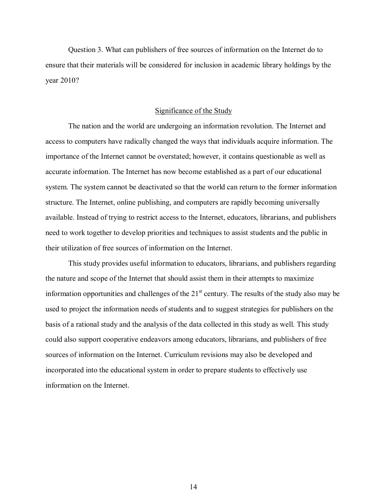Question 3. What can publishers of free sources of information on the Internet do to ensure that their materials will be considered for inclusion in academic library holdings by the year 2010?

#### Significance of the Study

The nation and the world are undergoing an information revolution. The Internet and access to computers have radically changed the ways that individuals acquire information. The importance of the Internet cannot be overstated; however, it contains questionable as well as accurate information. The Internet has now become established as a part of our educational system. The system cannot be deactivated so that the world can return to the former information structure. The Internet, online publishing, and computers are rapidly becoming universally available. Instead of trying to restrict access to the Internet, educators, librarians, and publishers need to work together to develop priorities and techniques to assist students and the public in their utilization of free sources of information on the Internet.

This study provides useful information to educators, librarians, and publishers regarding the nature and scope of the Internet that should assist them in their attempts to maximize information opportunities and challenges of the  $21<sup>st</sup>$  century. The results of the study also may be used to project the information needs of students and to suggest strategies for publishers on the basis of a rational study and the analysis of the data collected in this study as well. This study could also support cooperative endeavors among educators, librarians, and publishers of free sources of information on the Internet. Curriculum revisions may also be developed and incorporated into the educational system in order to prepare students to effectively use information on the Internet.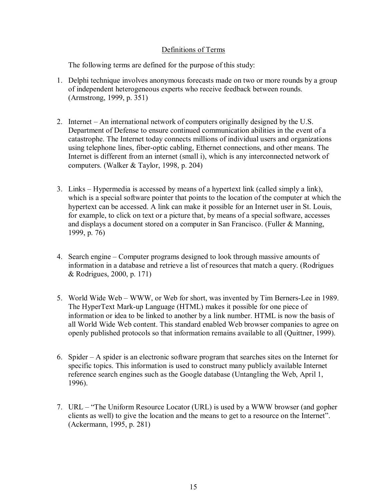## Definitions of Terms

The following terms are defined for the purpose of this study:

- 1. Delphi technique involves anonymous forecasts made on two or more rounds by a group of independent heterogeneous experts who receive feedback between rounds. (Armstrong, 1999, p. 351)
- 2. Internet An international network of computers originally designed by the U.S. Department of Defense to ensure continued communication abilities in the event of a catastrophe. The Internet today connects millions of individual users and organizations using telephone lines, fiber-optic cabling, Ethernet connections, and other means. The Internet is different from an internet (small i), which is any interconnected network of computers. (Walker & Taylor, 1998, p. 204)
- 3. Links Hypermedia is accessed by means of a hypertext link (called simply a link), which is a special software pointer that points to the location of the computer at which the hypertext can be accessed. A link can make it possible for an Internet user in St. Louis, for example, to click on text or a picture that, by means of a special software, accesses and displays a document stored on a computer in San Francisco. (Fuller & Manning, 1999, p. 76)
- 4. Search engine Computer programs designed to look through massive amounts of information in a database and retrieve a list of resources that match a query. (Rodrigues & Rodrigues, 2000, p. 171)
- 5. World Wide Web WWW, or Web for short, was invented by Tim Berners-Lee in 1989. The HyperText Mark-up Language (HTML) makes it possible for one piece of information or idea to be linked to another by a link number. HTML is now the basis of all World Wide Web content. This standard enabled Web browser companies to agree on openly published protocols so that information remains available to all (Quittner, 1999).
- 6. Spider  $A$  spider is an electronic software program that searches sites on the Internet for specific topics. This information is used to construct many publicly available Internet reference search engines such as the Google database (Untangling the Web, April 1, 1996).
- 7. URL "The Uniform Resource Locator (URL) is used by a WWW browser (and gopher clients as well) to give the location and the means to get to a resource on the Internet". (Ackermann, 1995, p. 281)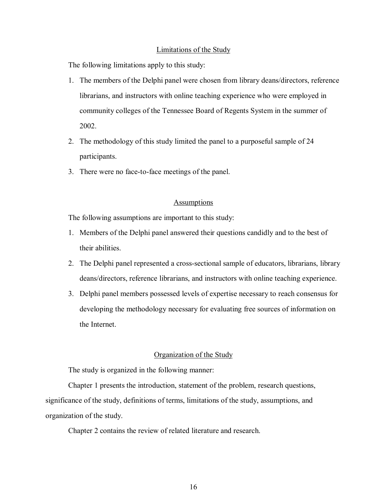#### Limitations of the Study

The following limitations apply to this study:

- 1. The members of the Delphi panel were chosen from library deans/directors, reference librarians, and instructors with online teaching experience who were employed in community colleges of the Tennessee Board of Regents System in the summer of 2002.
- 2. The methodology of this study limited the panel to a purposeful sample of 24 participants.
- 3. There were no face-to-face meetings of the panel.

#### **Assumptions**

The following assumptions are important to this study:

- 1. Members of the Delphi panel answered their questions candidly and to the best of their abilities.
- 2. The Delphi panel represented a cross-sectional sample of educators, librarians, library deans/directors, reference librarians, and instructors with online teaching experience.
- 3. Delphi panel members possessed levels of expertise necessary to reach consensus for developing the methodology necessary for evaluating free sources of information on the Internet.

#### Organization of the Study

The study is organized in the following manner:

Chapter 1 presents the introduction, statement of the problem, research questions, significance of the study, definitions of terms, limitations of the study, assumptions, and organization of the study.

Chapter 2 contains the review of related literature and research.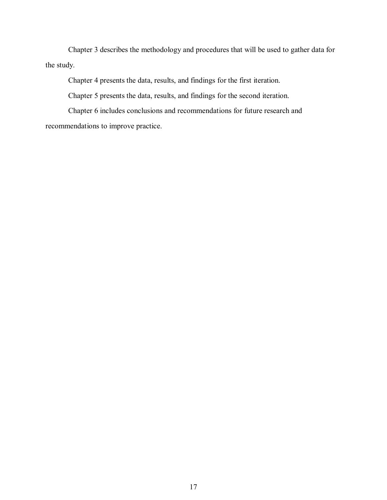Chapter 3 describes the methodology and procedures that will be used to gather data for the study.

Chapter 4 presents the data, results, and findings for the first iteration.

Chapter 5 presents the data, results, and findings for the second iteration.

Chapter 6 includes conclusions and recommendations for future research and recommendations to improve practice.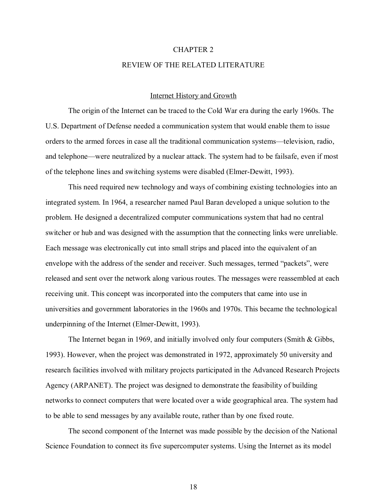#### CHAPTER 2

#### REVIEW OF THE RELATED LITERATURE

#### Internet History and Growth

The origin of the Internet can be traced to the Cold War era during the early 1960s. The U.S. Department of Defense needed a communication system that would enable them to issue orders to the armed forces in case all the traditional communication systems—television, radio, and telephone—were neutralized by a nuclear attack. The system had to be failsafe, even if most of the telephone lines and switching systems were disabled (Elmer-Dewitt, 1993).

This need required new technology and ways of combining existing technologies into an integrated system. In 1964, a researcher named Paul Baran developed a unique solution to the problem. He designed a decentralized computer communications system that had no central switcher or hub and was designed with the assumption that the connecting links were unreliable. Each message was electronically cut into small strips and placed into the equivalent of an envelope with the address of the sender and receiver. Such messages, termed "packets", were released and sent over the network along various routes. The messages were reassembled at each receiving unit. This concept was incorporated into the computers that came into use in universities and government laboratories in the 1960s and 1970s. This became the technological underpinning of the Internet (Elmer-Dewitt, 1993).

The Internet began in 1969, and initially involved only four computers (Smith & Gibbs, 1993). However, when the project was demonstrated in 1972, approximately 50 university and research facilities involved with military projects participated in the Advanced Research Projects Agency (ARPANET). The project was designed to demonstrate the feasibility of building networks to connect computers that were located over a wide geographical area. The system had to be able to send messages by any available route, rather than by one fixed route.

The second component of the Internet was made possible by the decision of the National Science Foundation to connect its five supercomputer systems. Using the Internet as its model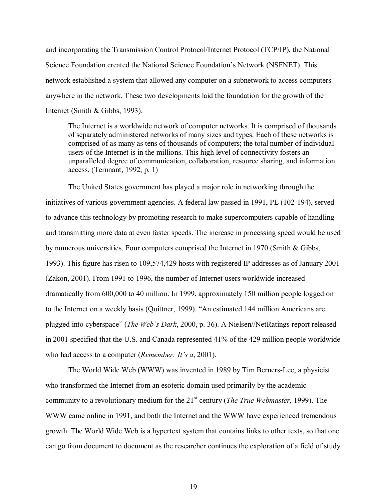and incorporating the Transmission Control Protocol/Internet Protocol (TCP/IP), the National Science Foundation created the National Science Foundation's Network (NSFNET). This network established a system that allowed any computer on a subnetwork to access computers anywhere in the network. These two developments laid the foundation for the growth of the Internet (Smith & Gibbs, 1993).

The Internet is a worldwide network of computer networks. It is comprised of thousands of separately administered networks of many sizes and types. Each of these networks is comprised of as many as tens of thousands of computers; the total number of individual users of the Internet is in the millions. This high level of connectivity fosters an unparalleled degree of communication, collaboration, resource sharing, and information access. (Ternnant, 1992, p. 1)

The United States government has played a major role in networking through the initiatives of various government agencies. A federal law passed in 1991, PL (102-194), served to advance this technology by promoting research to make supercomputers capable of handling and transmitting more data at even faster speeds. The increase in processing speed would be used by numerous universities. Four computers comprised the Internet in 1970 (Smith & Gibbs, 1993). This figure has risen to 109,574,429 hosts with registered IP addresses as of January 2001 (Zakon, 2001). From 1991 to 1996, the number of Internet users worldwide increased dramatically from 600,000 to 40 million. In 1999, approximately 150 million people logged on to the Internet on a weekly basis (Quittner, 1999). "An estimated 144 million Americans are plugged into cyberspaceî (*The Webís Dark*, 2000, p. 36). A Nielsen//NetRatings report released in 2001 specified that the U.S. and Canada represented 41% of the 429 million people worldwide who had access to a computer *(Remember: It's a, 2001).* 

The World Wide Web (WWW) was invented in 1989 by Tim Berners-Lee, a physicist who transformed the Internet from an esoteric domain used primarily by the academic community to a revolutionary medium for the 21st century (*The True Webmaster*, 1999). The WWW came online in 1991, and both the Internet and the WWW have experienced tremendous growth. The World Wide Web is a hypertext system that contains links to other texts, so that one can go from document to document as the researcher continues the exploration of a field of study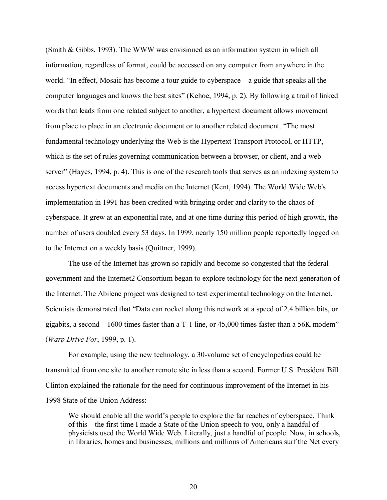(Smith & Gibbs, 1993). The WWW was envisioned as an information system in which all information, regardless of format, could be accessed on any computer from anywhere in the world. "In effect, Mosaic has become a tour guide to cyberspace—a guide that speaks all the computer languages and knows the best sites" (Kehoe, 1994, p. 2). By following a trail of linked words that leads from one related subject to another, a hypertext document allows movement from place to place in an electronic document or to another related document. "The most fundamental technology underlying the Web is the Hypertext Transport Protocol, or HTTP, which is the set of rules governing communication between a browser, or client, and a web server" (Hayes, 1994, p. 4). This is one of the research tools that serves as an indexing system to access hypertext documents and media on the Internet (Kent, 1994). The World Wide Web's implementation in 1991 has been credited with bringing order and clarity to the chaos of cyberspace. It grew at an exponential rate, and at one time during this period of high growth, the number of users doubled every 53 days. In 1999, nearly 150 million people reportedly logged on to the Internet on a weekly basis (Quittner, 1999).

The use of the Internet has grown so rapidly and become so congested that the federal government and the Internet2 Consortium began to explore technology for the next generation of the Internet. The Abilene project was designed to test experimental technology on the Internet. Scientists demonstrated that "Data can rocket along this network at a speed of 2.4 billion bits, or gigabits, a second—1600 times faster than a  $T-1$  line, or 45,000 times faster than a 56K modem<sup>n</sup> (*Warp Drive For*, 1999, p. 1).

For example, using the new technology, a 30-volume set of encyclopedias could be transmitted from one site to another remote site in less than a second. Former U.S. President Bill Clinton explained the rationale for the need for continuous improvement of the Internet in his 1998 State of the Union Address:

We should enable all the world's people to explore the far reaches of cyberspace. Think of this—the first time I made a State of the Union speech to you, only a handful of physicists used the World Wide Web. Literally, just a handful of people. Now, in schools, in libraries, homes and businesses, millions and millions of Americans surf the Net every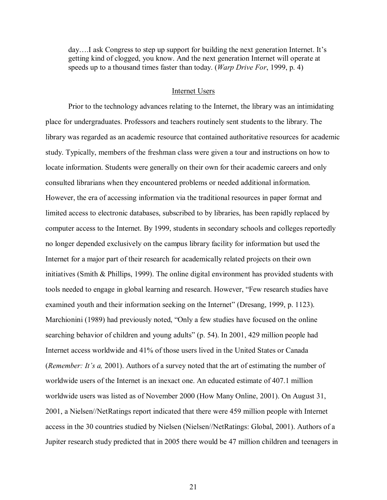$day...$  ask Congress to step up support for building the next generation Internet. It's getting kind of clogged, you know. And the next generation Internet will operate at speeds up to a thousand times faster than today. (*Warp Drive For*, 1999, p. 4)

#### Internet Users

Prior to the technology advances relating to the Internet, the library was an intimidating place for undergraduates. Professors and teachers routinely sent students to the library. The library was regarded as an academic resource that contained authoritative resources for academic study. Typically, members of the freshman class were given a tour and instructions on how to locate information. Students were generally on their own for their academic careers and only consulted librarians when they encountered problems or needed additional information. However, the era of accessing information via the traditional resources in paper format and limited access to electronic databases, subscribed to by libraries, has been rapidly replaced by computer access to the Internet. By 1999, students in secondary schools and colleges reportedly no longer depended exclusively on the campus library facility for information but used the Internet for a major part of their research for academically related projects on their own initiatives (Smith & Phillips, 1999). The online digital environment has provided students with tools needed to engage in global learning and research. However, "Few research studies have examined youth and their information seeking on the Internet" (Dresang, 1999, p. 1123). Marchionini (1989) had previously noted, "Only a few studies have focused on the online searching behavior of children and young adults" (p. 54). In 2001, 429 million people had Internet access worldwide and 41% of those users lived in the United States or Canada (*Remember: It's a,* 2001). Authors of a survey noted that the art of estimating the number of worldwide users of the Internet is an inexact one. An educated estimate of 407.1 million worldwide users was listed as of November 2000 (How Many Online, 2001). On August 31, 2001, a Nielsen//NetRatings report indicated that there were 459 million people with Internet access in the 30 countries studied by Nielsen (Nielsen//NetRatings: Global, 2001). Authors of a Jupiter research study predicted that in 2005 there would be 47 million children and teenagers in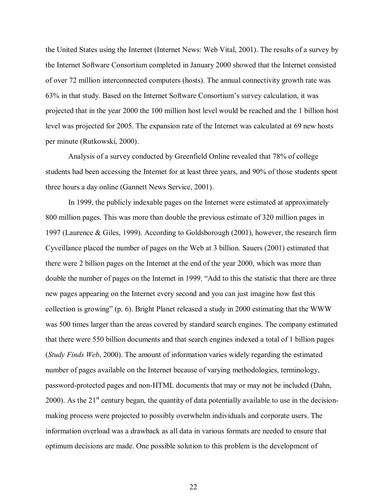the United States using the Internet (Internet News: Web Vital, 2001). The results of a survey by the Internet Software Consortium completed in January 2000 showed that the Internet consisted of over 72 million interconnected computers (hosts). The annual connectivity growth rate was 63% in that study. Based on the Internet Software Consortium's survey calculation, it was projected that in the year 2000 the 100 million host level would be reached and the 1 billion host level was projected for 2005. The expansion rate of the Internet was calculated at 69 new hosts per minute (Rutkowski, 2000).

Analysis of a survey conducted by Greenfield Online revealed that 78% of college students had been accessing the Internet for at least three years, and 90% of those students spent three hours a day online (Gannett News Service, 2001).

In 1999, the publicly indexable pages on the Internet were estimated at approximately 800 million pages. This was more than double the previous estimate of 320 million pages in 1997 (Laurence & Giles, 1999). According to Goldsborough (2001), however, the research firm Cyveillance placed the number of pages on the Web at 3 billion. Sauers (2001) estimated that there were 2 billion pages on the Internet at the end of the year 2000, which was more than double the number of pages on the Internet in 1999. "Add to this the statistic that there are three new pages appearing on the Internet every second and you can just imagine how fast this collection is growing" (p. 6). Bright Planet released a study in 2000 estimating that the WWW was 500 times larger than the areas covered by standard search engines. The company estimated that there were 550 billion documents and that search engines indexed a total of 1 billion pages (*Study Finds Web*, 2000). The amount of information varies widely regarding the estimated number of pages available on the Internet because of varying methodologies, terminology, password-protected pages and non-HTML documents that may or may not be included (Dahn, 2000). As the  $21<sup>st</sup>$  century began, the quantity of data potentially available to use in the decisionmaking process were projected to possibly overwhelm individuals and corporate users. The information overload was a drawback as all data in various formats are needed to ensure that optimum decisions are made. One possible solution to this problem is the development of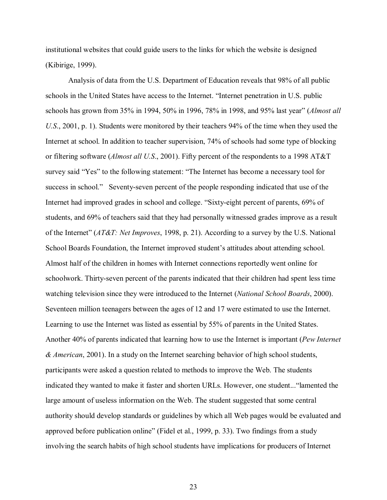institutional websites that could guide users to the links for which the website is designed (Kibirige, 1999).

Analysis of data from the U.S. Department of Education reveals that 98% of all public schools in the United States have access to the Internet. "Internet penetration in U.S. public schools has grown from 35% in 1994, 50% in 1996, 78% in 1998, and 95% last yearî (*Almost all U.S*., 2001, p. 1). Students were monitored by their teachers 94% of the time when they used the Internet at school. In addition to teacher supervision, 74% of schools had some type of blocking or filtering software (*Almost all U.S*., 2001). Fifty percent of the respondents to a 1998 AT&T survey said "Yes" to the following statement: "The Internet has become a necessary tool for success in school." Seventy-seven percent of the people responding indicated that use of the Internet had improved grades in school and college. "Sixty-eight percent of parents, 69% of students, and 69% of teachers said that they had personally witnessed grades improve as a result of the Internetî (*AT&T: Net Improves*, 1998, p. 21). According to a survey by the U.S. National School Boards Foundation, the Internet improved student's attitudes about attending school. Almost half of the children in homes with Internet connections reportedly went online for schoolwork. Thirty-seven percent of the parents indicated that their children had spent less time watching television since they were introduced to the Internet (*National School Boards*, 2000). Seventeen million teenagers between the ages of 12 and 17 were estimated to use the Internet. Learning to use the Internet was listed as essential by 55% of parents in the United States. Another 40% of parents indicated that learning how to use the Internet is important (*Pew Internet & American*, 2001). In a study on the Internet searching behavior of high school students, participants were asked a question related to methods to improve the Web. The students indicated they wanted to make it faster and shorten URLs. However, one student... "lamented the large amount of useless information on the Web. The student suggested that some central authority should develop standards or guidelines by which all Web pages would be evaluated and approved before publication online" (Fidel et al., 1999, p. 33). Two findings from a study involving the search habits of high school students have implications for producers of Internet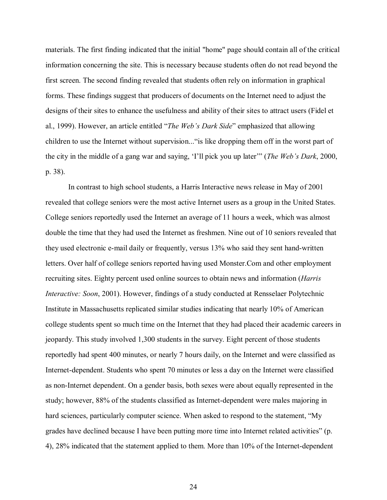materials. The first finding indicated that the initial "home" page should contain all of the critical information concerning the site. This is necessary because students often do not read beyond the first screen. The second finding revealed that students often rely on information in graphical forms. These findings suggest that producers of documents on the Internet need to adjust the designs of their sites to enhance the usefulness and ability of their sites to attract users (Fidel et al., 1999). However, an article entitled "*The Web's Dark Side*" emphasized that allowing children to use the Internet without supervision..." is like dropping them off in the worst part of the city in the middle of a gang war and saying, 'I'll pick you up later'" (*The Web's Dark*, 2000, p. 38).

In contrast to high school students, a Harris Interactive news release in May of 2001 revealed that college seniors were the most active Internet users as a group in the United States. College seniors reportedly used the Internet an average of 11 hours a week, which was almost double the time that they had used the Internet as freshmen. Nine out of 10 seniors revealed that they used electronic e-mail daily or frequently, versus 13% who said they sent hand-written letters. Over half of college seniors reported having used Monster.Com and other employment recruiting sites. Eighty percent used online sources to obtain news and information (*Harris Interactive: Soon*, 2001). However, findings of a study conducted at Rensselaer Polytechnic Institute in Massachusetts replicated similar studies indicating that nearly 10% of American college students spent so much time on the Internet that they had placed their academic careers in jeopardy. This study involved 1,300 students in the survey. Eight percent of those students reportedly had spent 400 minutes, or nearly 7 hours daily, on the Internet and were classified as Internet-dependent. Students who spent 70 minutes or less a day on the Internet were classified as non-Internet dependent. On a gender basis, both sexes were about equally represented in the study; however, 88% of the students classified as Internet-dependent were males majoring in hard sciences, particularly computer science. When asked to respond to the statement, "My grades have declined because I have been putting more time into Internet related activities" (p. 4), 28% indicated that the statement applied to them. More than 10% of the Internet-dependent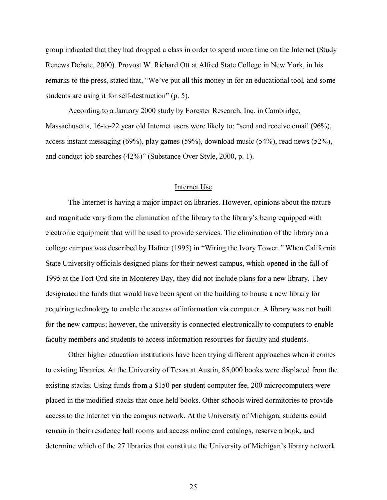group indicated that they had dropped a class in order to spend more time on the Internet (Study Renews Debate, 2000). Provost W. Richard Ott at Alfred State College in New York, in his remarks to the press, stated that, "We've put all this money in for an educational tool, and some students are using it for self-destruction" (p. 5).

According to a January 2000 study by Forester Research, Inc. in Cambridge, Massachusetts, 16-to-22 year old Internet users were likely to: "send and receive email (96%), access instant messaging (69%), play games (59%), download music (54%), read news (52%), and conduct job searches  $(42\%)$ " (Substance Over Style, 2000, p. 1).

#### Internet Use

The Internet is having a major impact on libraries. However, opinions about the nature and magnitude vary from the elimination of the library to the library's being equipped with electronic equipment that will be used to provide services. The elimination of the library on a college campus was described by Hafner (1995) in "Wiring the Ivory Tower." When California State University officials designed plans for their newest campus, which opened in the fall of 1995 at the Fort Ord site in Monterey Bay, they did not include plans for a new library. They designated the funds that would have been spent on the building to house a new library for acquiring technology to enable the access of information via computer. A library was not built for the new campus; however, the university is connected electronically to computers to enable faculty members and students to access information resources for faculty and students.

Other higher education institutions have been trying different approaches when it comes to existing libraries. At the University of Texas at Austin, 85,000 books were displaced from the existing stacks. Using funds from a \$150 per-student computer fee, 200 microcomputers were placed in the modified stacks that once held books. Other schools wired dormitories to provide access to the Internet via the campus network. At the University of Michigan, students could remain in their residence hall rooms and access online card catalogs, reserve a book, and determine which of the 27 libraries that constitute the University of Michigan's library network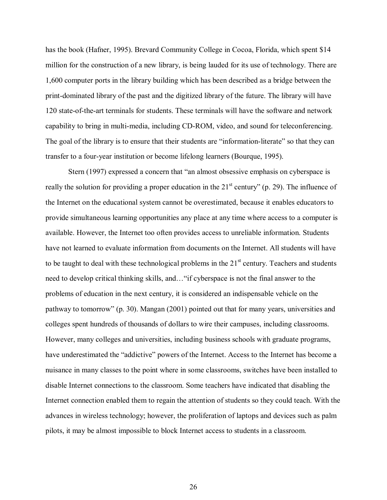has the book (Hafner, 1995). Brevard Community College in Cocoa, Florida, which spent \$14 million for the construction of a new library, is being lauded for its use of technology. There are 1,600 computer ports in the library building which has been described as a bridge between the print-dominated library of the past and the digitized library of the future. The library will have 120 state-of-the-art terminals for students. These terminals will have the software and network capability to bring in multi-media, including CD-ROM, video, and sound for teleconferencing. The goal of the library is to ensure that their students are "information-literate" so that they can transfer to a four-year institution or become lifelong learners (Bourque, 1995).

Stern (1997) expressed a concern that "an almost obsessive emphasis on cyberspace is really the solution for providing a proper education in the  $21<sup>st</sup>$  century" (p. 29). The influence of the Internet on the educational system cannot be overestimated, because it enables educators to provide simultaneous learning opportunities any place at any time where access to a computer is available. However, the Internet too often provides access to unreliable information. Students have not learned to evaluate information from documents on the Internet. All students will have to be taught to deal with these technological problems in the  $21<sup>st</sup>$  century. Teachers and students need to develop critical thinking skills, and... "if cyberspace is not the final answer to the problems of education in the next century, it is considered an indispensable vehicle on the pathway to tomorrow" (p. 30). Mangan (2001) pointed out that for many years, universities and colleges spent hundreds of thousands of dollars to wire their campuses, including classrooms. However, many colleges and universities, including business schools with graduate programs, have underestimated the "addictive" powers of the Internet. Access to the Internet has become a nuisance in many classes to the point where in some classrooms, switches have been installed to disable Internet connections to the classroom. Some teachers have indicated that disabling the Internet connection enabled them to regain the attention of students so they could teach. With the advances in wireless technology; however, the proliferation of laptops and devices such as palm pilots, it may be almost impossible to block Internet access to students in a classroom.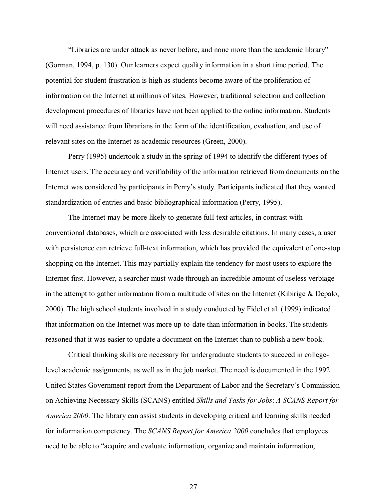"Libraries are under attack as never before, and none more than the academic library" (Gorman, 1994, p. 130). Our learners expect quality information in a short time period. The potential for student frustration is high as students become aware of the proliferation of information on the Internet at millions of sites. However, traditional selection and collection development procedures of libraries have not been applied to the online information. Students will need assistance from librarians in the form of the identification, evaluation, and use of relevant sites on the Internet as academic resources (Green, 2000).

Perry (1995) undertook a study in the spring of 1994 to identify the different types of Internet users. The accuracy and verifiability of the information retrieved from documents on the Internet was considered by participants in Perry's study. Participants indicated that they wanted standardization of entries and basic bibliographical information (Perry, 1995).

The Internet may be more likely to generate full-text articles, in contrast with conventional databases, which are associated with less desirable citations. In many cases, a user with persistence can retrieve full-text information, which has provided the equivalent of one-stop shopping on the Internet. This may partially explain the tendency for most users to explore the Internet first. However, a searcher must wade through an incredible amount of useless verbiage in the attempt to gather information from a multitude of sites on the Internet (Kibirige  $\&$  Depalo, 2000). The high school students involved in a study conducted by Fidel et al. (1999) indicated that information on the Internet was more up-to-date than information in books. The students reasoned that it was easier to update a document on the Internet than to publish a new book.

Critical thinking skills are necessary for undergraduate students to succeed in collegelevel academic assignments, as well as in the job market. The need is documented in the 1992 United States Government report from the Department of Labor and the Secretary's Commission on Achieving Necessary Skills (SCANS) entitled *Skills and Tasks for Jobs*: *A SCANS Report for America 2000*. The library can assist students in developing critical and learning skills needed for information competency. The *SCANS Report for America 2000* concludes that employees need to be able to "acquire and evaluate information, organize and maintain information,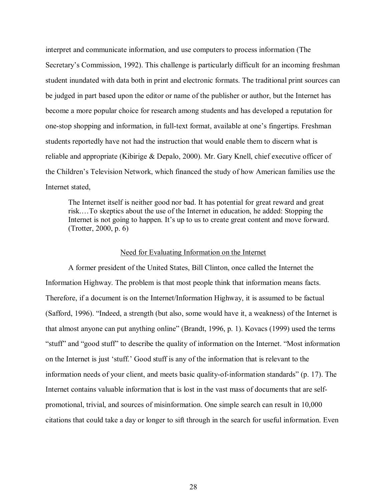interpret and communicate information, and use computers to process information (The Secretary's Commission, 1992). This challenge is particularly difficult for an incoming freshman student inundated with data both in print and electronic formats. The traditional print sources can be judged in part based upon the editor or name of the publisher or author, but the Internet has become a more popular choice for research among students and has developed a reputation for one-stop shopping and information, in full-text format, available at one's fingertips. Freshman students reportedly have not had the instruction that would enable them to discern what is reliable and appropriate (Kibirige & Depalo, 2000). Mr. Gary Knell, chief executive officer of the Childrenís Television Network, which financed the study of how American families use the Internet stated,

The Internet itself is neither good nor bad. It has potential for great reward and great risk....To skeptics about the use of the Internet in education, he added: Stopping the Internet is not going to happen. It's up to us to create great content and move forward. (Trotter, 2000, p. 6)

#### Need for Evaluating Information on the Internet

A former president of the United States, Bill Clinton, once called the Internet the Information Highway. The problem is that most people think that information means facts. Therefore, if a document is on the Internet/Information Highway, it is assumed to be factual (Safford, 1996).  $\cdot$ The deed, a strength (but also, some would have it, a weakness) of the Internet is that almost anyone can put anything online" (Brandt, 1996, p. 1). Kovacs (1999) used the terms "stuff" and "good stuff" to describe the quality of information on the Internet. "Most information on the Internet is just 'stuff.' Good stuff is any of the information that is relevant to the information needs of your client, and meets basic quality-of-information standards" (p. 17). The Internet contains valuable information that is lost in the vast mass of documents that are selfpromotional, trivial, and sources of misinformation. One simple search can result in 10,000 citations that could take a day or longer to sift through in the search for useful information. Even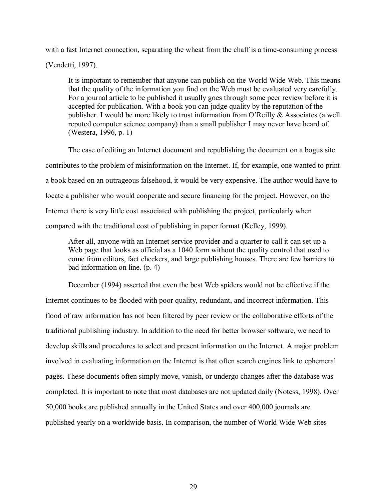with a fast Internet connection, separating the wheat from the chaff is a time-consuming process (Vendetti, 1997).

It is important to remember that anyone can publish on the World Wide Web. This means that the quality of the information you find on the Web must be evaluated very carefully. For a journal article to be published it usually goes through some peer review before it is accepted for publication. With a book you can judge quality by the reputation of the publisher. I would be more likely to trust information from O'Reilly & Associates (a well reputed computer science company) than a small publisher I may never have heard of. (Westera, 1996, p. 1)

The ease of editing an Internet document and republishing the document on a bogus site contributes to the problem of misinformation on the Internet. If, for example, one wanted to print a book based on an outrageous falsehood, it would be very expensive. The author would have to locate a publisher who would cooperate and secure financing for the project. However, on the Internet there is very little cost associated with publishing the project, particularly when compared with the traditional cost of publishing in paper format (Kelley, 1999).

After all, anyone with an Internet service provider and a quarter to call it can set up a Web page that looks as official as a 1040 form without the quality control that used to come from editors, fact checkers, and large publishing houses. There are few barriers to bad information on line. (p. 4)

December (1994) asserted that even the best Web spiders would not be effective if the Internet continues to be flooded with poor quality, redundant, and incorrect information. This flood of raw information has not been filtered by peer review or the collaborative efforts of the traditional publishing industry. In addition to the need for better browser software, we need to develop skills and procedures to select and present information on the Internet. A major problem involved in evaluating information on the Internet is that often search engines link to ephemeral pages. These documents often simply move, vanish, or undergo changes after the database was completed. It is important to note that most databases are not updated daily (Notess, 1998). Over 50,000 books are published annually in the United States and over 400,000 journals are published yearly on a worldwide basis. In comparison, the number of World Wide Web sites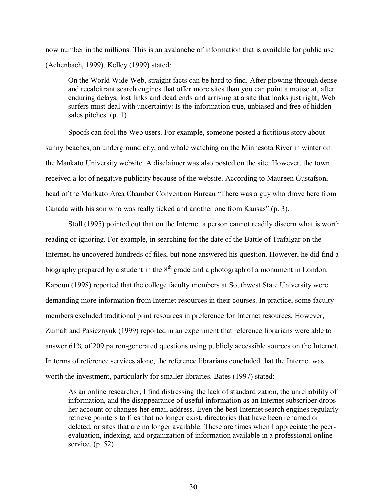now number in the millions. This is an avalanche of information that is available for public use (Achenbach, 1999). Kelley (1999) stated:

On the World Wide Web, straight facts can be hard to find. After plowing through dense and recalcitrant search engines that offer more sites than you can point a mouse at, after enduring delays, lost links and dead ends and arriving at a site that looks just right, Web surfers must deal with uncertainty: Is the information true, unbiased and free of hidden sales pitches. (p. 1)

Spoofs can fool the Web users. For example, someone posted a fictitious story about sunny beaches, an underground city, and whale watching on the Minnesota River in winter on the Mankato University website. A disclaimer was also posted on the site. However, the town received a lot of negative publicity because of the website. According to Maureen Gustafson, head of the Mankato Area Chamber Convention Bureau "There was a guy who drove here from Canada with his son who was really ticked and another one from Kansas"  $(p, 3)$ .

Stoll (1995) pointed out that on the Internet a person cannot readily discern what is worth reading or ignoring. For example, in searching for the date of the Battle of Trafalgar on the Internet, he uncovered hundreds of files, but none answered his question. However, he did find a biography prepared by a student in the  $8<sup>th</sup>$  grade and a photograph of a monument in London. Kapoun (1998) reported that the college faculty members at Southwest State University were demanding more information from Internet resources in their courses. In practice, some faculty members excluded traditional print resources in preference for Internet resources. However, Zumalt and Pasicznyuk (1999) reported in an experiment that reference librarians were able to answer 61% of 209 patron-generated questions using publicly accessible sources on the Internet. In terms of reference services alone, the reference librarians concluded that the Internet was worth the investment, particularly for smaller libraries. Bates (1997) stated:

As an online researcher, I find distressing the lack of standardization, the unreliability of information, and the disappearance of useful information as an Internet subscriber drops her account or changes her email address. Even the best Internet search engines regularly retrieve pointers to files that no longer exist, directories that have been renamed or deleted, or sites that are no longer available. These are times when I appreciate the peerevaluation, indexing, and organization of information available in a professional online service. (p. 52)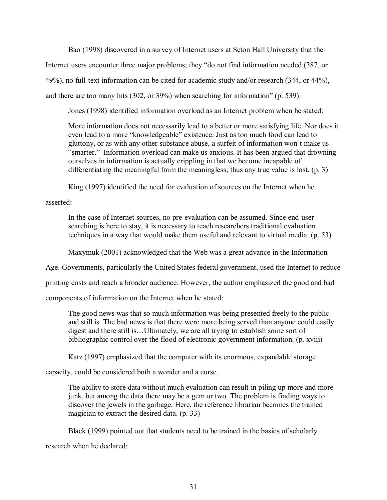Bao (1998) discovered in a survey of Internet users at Seton Hall University that the Internet users encounter three major problems; they "do not find information needed (387, or 49%), no full-text information can be cited for academic study and/or research (344, or 44%), and there are too many hits  $(302, or 39%)$  when searching for information" (p. 539).

Jones (1998) identified information overload as an Internet problem when he stated:

More information does not necessarily lead to a better or more satisfying life. Nor does it even lead to a more "knowledgeable" existence. Just as too much food can lead to gluttony, or as with any other substance abuse, a surfeit of information won't make us "smarter." Information overload can make us anxious. It has been argued that drowning ourselves in information is actually crippling in that we become incapable of differentiating the meaningful from the meaningless; thus any true value is lost. (p. 3)

King (1997) identified the need for evaluation of sources on the Internet when he

asserted:

In the case of Internet sources, no pre-evaluation can be assumed. Since end-user searching is here to stay, it is necessary to teach researchers traditional evaluation techniques in a way that would make them useful and relevant to virtual media. (p. 53)

Maxymuk (2001) acknowledged that the Web was a great advance in the Information

Age. Governments, particularly the United States federal government, used the Internet to reduce

printing costs and reach a broader audience. However, the author emphasized the good and bad

components of information on the Internet when he stated:

The good news was that so much information was being presented freely to the public and still is. The bad news is that there were more being served than anyone could easily digest and there still is...Ultimately, we are all trying to establish some sort of bibliographic control over the flood of electronic government information. (p. xviii)

Katz (1997) emphasized that the computer with its enormous, expandable storage

capacity, could be considered both a wonder and a curse.

The ability to store data without much evaluation can result in piling up more and more junk, but among the data there may be a gem or two. The problem is finding ways to discover the jewels in the garbage. Here, the reference librarian becomes the trained magician to extract the desired data. (p. 33)

Black (1999) pointed out that students need to be trained in the basics of scholarly

research when he declared: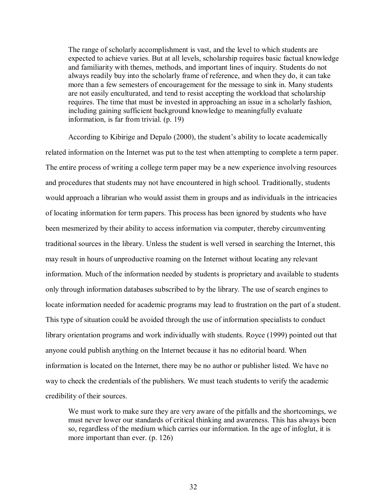The range of scholarly accomplishment is vast, and the level to which students are expected to achieve varies. But at all levels, scholarship requires basic factual knowledge and familiarity with themes, methods, and important lines of inquiry. Students do not always readily buy into the scholarly frame of reference, and when they do, it can take more than a few semesters of encouragement for the message to sink in. Many students are not easily enculturated, and tend to resist accepting the workload that scholarship requires. The time that must be invested in approaching an issue in a scholarly fashion, including gaining sufficient background knowledge to meaningfully evaluate information, is far from trivial. (p. 19)

According to Kibirige and Depalo (2000), the student's ability to locate academically related information on the Internet was put to the test when attempting to complete a term paper. The entire process of writing a college term paper may be a new experience involving resources and procedures that students may not have encountered in high school. Traditionally, students would approach a librarian who would assist them in groups and as individuals in the intricacies of locating information for term papers. This process has been ignored by students who have been mesmerized by their ability to access information via computer, thereby circumventing traditional sources in the library. Unless the student is well versed in searching the Internet, this may result in hours of unproductive roaming on the Internet without locating any relevant information. Much of the information needed by students is proprietary and available to students only through information databases subscribed to by the library. The use of search engines to locate information needed for academic programs may lead to frustration on the part of a student. This type of situation could be avoided through the use of information specialists to conduct library orientation programs and work individually with students. Royce (1999) pointed out that anyone could publish anything on the Internet because it has no editorial board. When information is located on the Internet, there may be no author or publisher listed. We have no way to check the credentials of the publishers. We must teach students to verify the academic credibility of their sources.

We must work to make sure they are very aware of the pitfalls and the shortcomings, we must never lower our standards of critical thinking and awareness. This has always been so, regardless of the medium which carries our information. In the age of infoglut, it is more important than ever. (p. 126)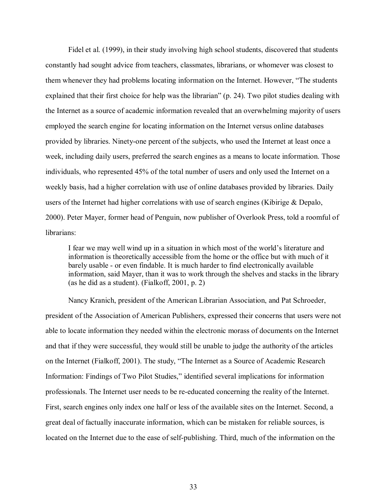Fidel et al. (1999), in their study involving high school students, discovered that students constantly had sought advice from teachers, classmates, librarians, or whomever was closest to them whenever they had problems locating information on the Internet. However, "The students" explained that their first choice for help was the librarian" (p. 24). Two pilot studies dealing with the Internet as a source of academic information revealed that an overwhelming majority of users employed the search engine for locating information on the Internet versus online databases provided by libraries. Ninety-one percent of the subjects, who used the Internet at least once a week, including daily users, preferred the search engines as a means to locate information. Those individuals, who represented 45% of the total number of users and only used the Internet on a weekly basis, had a higher correlation with use of online databases provided by libraries. Daily users of the Internet had higher correlations with use of search engines (Kibirige & Depalo, 2000). Peter Mayer, former head of Penguin, now publisher of Overlook Press, told a roomful of librarians:

I fear we may well wind up in a situation in which most of the world's literature and information is theoretically accessible from the home or the office but with much of it barely usable - or even findable. It is much harder to find electronically available information, said Mayer, than it was to work through the shelves and stacks in the library (as he did as a student). (Fialkoff, 2001, p. 2)

Nancy Kranich, president of the American Librarian Association, and Pat Schroeder, president of the Association of American Publishers, expressed their concerns that users were not able to locate information they needed within the electronic morass of documents on the Internet and that if they were successful, they would still be unable to judge the authority of the articles on the Internet (Fialkoff, 2001). The study, "The Internet as a Source of Academic Research Information: Findings of Two Pilot Studies," identified several implications for information professionals. The Internet user needs to be re-educated concerning the reality of the Internet. First, search engines only index one half or less of the available sites on the Internet. Second, a great deal of factually inaccurate information, which can be mistaken for reliable sources, is located on the Internet due to the ease of self-publishing. Third, much of the information on the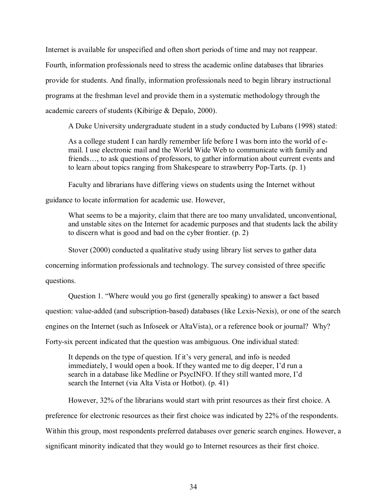Internet is available for unspecified and often short periods of time and may not reappear. Fourth, information professionals need to stress the academic online databases that libraries provide for students. And finally, information professionals need to begin library instructional programs at the freshman level and provide them in a systematic methodology through the academic careers of students (Kibirige & Depalo, 2000).

A Duke University undergraduate student in a study conducted by Lubans (1998) stated:

As a college student I can hardly remember life before I was born into the world of email. I use electronic mail and the World Wide Web to communicate with family and friends..., to ask questions of professors, to gather information about current events and to learn about topics ranging from Shakespeare to strawberry Pop-Tarts. (p. 1)

Faculty and librarians have differing views on students using the Internet without

guidance to locate information for academic use. However,

What seems to be a majority, claim that there are too many unvalidated, unconventional, and unstable sites on the Internet for academic purposes and that students lack the ability to discern what is good and bad on the cyber frontier. (p. 2)

Stover (2000) conducted a qualitative study using library list serves to gather data

concerning information professionals and technology. The survey consisted of three specific

questions.

Question 1. "Where would you go first (generally speaking) to answer a fact based question: value-added (and subscription-based) databases (like Lexis-Nexis), or one of the search engines on the Internet (such as Infoseek or AltaVista), or a reference book or journal? Why? Forty-six percent indicated that the question was ambiguous. One individual stated:

It depends on the type of question. If it's very general, and info is needed immediately. I would open a book. If they wanted me to dig deeper, I'd run a search in a database like Medline or PsycINFO. If they still wanted more, I'd search the Internet (via Alta Vista or Hotbot). (p. 41)

However, 32% of the librarians would start with print resources as their first choice. A preference for electronic resources as their first choice was indicated by 22% of the respondents. Within this group, most respondents preferred databases over generic search engines. However, a significant minority indicated that they would go to Internet resources as their first choice.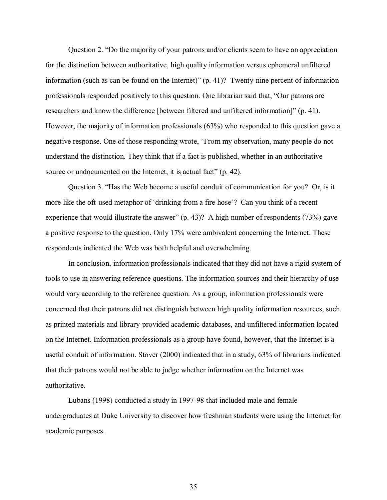Question 2. "Do the majority of your patrons and/or clients seem to have an appreciation for the distinction between authoritative, high quality information versus ephemeral unfiltered information (such as can be found on the Internet)"  $(p. 41)$ ? Twenty-nine percent of information professionals responded positively to this question. One librarian said that, "Our patrons are researchers and know the difference [between filtered and unfiltered information]" (p. 41). However, the majority of information professionals (63%) who responded to this question gave a negative response. One of those responding wrote, "From my observation, many people do not understand the distinction. They think that if a fact is published, whether in an authoritative source or undocumented on the Internet, it is actual fact"  $(p. 42)$ .

Question 3. "Has the Web become a useful conduit of communication for you? Or, is it more like the oft-used metaphor of 'drinking from a fire hose'? Can you think of a recent experience that would illustrate the answer"  $(p. 43)$ ? A high number of respondents (73%) gave a positive response to the question. Only 17% were ambivalent concerning the Internet. These respondents indicated the Web was both helpful and overwhelming.

In conclusion, information professionals indicated that they did not have a rigid system of tools to use in answering reference questions. The information sources and their hierarchy of use would vary according to the reference question. As a group, information professionals were concerned that their patrons did not distinguish between high quality information resources, such as printed materials and library-provided academic databases, and unfiltered information located on the Internet. Information professionals as a group have found, however, that the Internet is a useful conduit of information. Stover (2000) indicated that in a study, 63% of librarians indicated that their patrons would not be able to judge whether information on the Internet was authoritative.

Lubans (1998) conducted a study in 1997-98 that included male and female undergraduates at Duke University to discover how freshman students were using the Internet for academic purposes.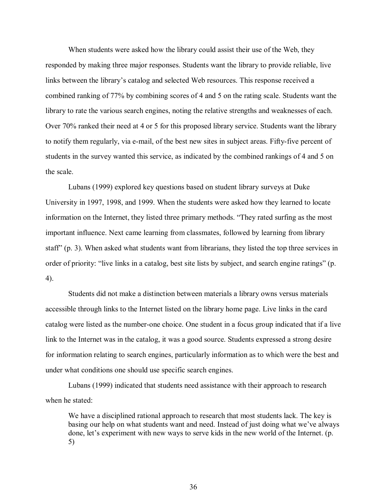When students were asked how the library could assist their use of the Web, they responded by making three major responses. Students want the library to provide reliable, live links between the library's catalog and selected Web resources. This response received a combined ranking of 77% by combining scores of 4 and 5 on the rating scale. Students want the library to rate the various search engines, noting the relative strengths and weaknesses of each. Over 70% ranked their need at 4 or 5 for this proposed library service. Students want the library to notify them regularly, via e-mail, of the best new sites in subject areas. Fifty-five percent of students in the survey wanted this service, as indicated by the combined rankings of 4 and 5 on the scale.

Lubans (1999) explored key questions based on student library surveys at Duke University in 1997, 1998, and 1999. When the students were asked how they learned to locate information on the Internet, they listed three primary methods. "They rated surfing as the most important influence. Next came learning from classmates, followed by learning from library staff" (p. 3). When asked what students want from librarians, they listed the top three services in order of priority: "live links in a catalog, best site lists by subject, and search engine ratings" (p. 4).

Students did not make a distinction between materials a library owns versus materials accessible through links to the Internet listed on the library home page. Live links in the card catalog were listed as the number-one choice. One student in a focus group indicated that if a live link to the Internet was in the catalog, it was a good source. Students expressed a strong desire for information relating to search engines, particularly information as to which were the best and under what conditions one should use specific search engines.

Lubans (1999) indicated that students need assistance with their approach to research when he stated:

We have a disciplined rational approach to research that most students lack. The key is basing our help on what students want and need. Instead of just doing what we've always done, let's experiment with new ways to serve kids in the new world of the Internet. (p. 5)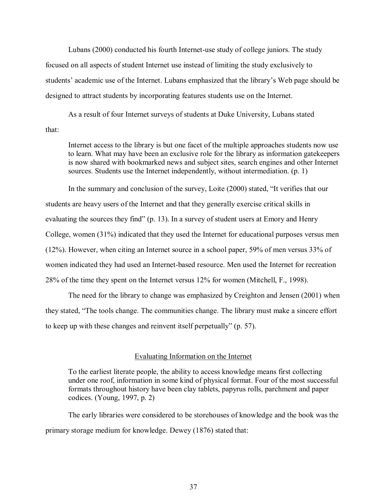Lubans (2000) conducted his fourth Internet-use study of college juniors. The study focused on all aspects of student Internet use instead of limiting the study exclusively to students' academic use of the Internet. Lubans emphasized that the library's Web page should be designed to attract students by incorporating features students use on the Internet.

As a result of four Internet surveys of students at Duke University, Lubans stated that:

Internet access to the library is but one facet of the multiple approaches students now use to learn. What may have been an exclusive role for the library as information gatekeepers is now shared with bookmarked news and subject sites, search engines and other Internet sources. Students use the Internet independently, without intermediation. (p. 1)

In the summary and conclusion of the survey, Loite (2000) stated, "It verifies that our students are heavy users of the Internet and that they generally exercise critical skills in evaluating the sources they find" (p. 13). In a survey of student users at Emory and Henry College, women (31%) indicated that they used the Internet for educational purposes versus men (12%). However, when citing an Internet source in a school paper, 59% of men versus 33% of women indicated they had used an Internet-based resource. Men used the Internet for recreation 28% of the time they spent on the Internet versus 12% for women (Mitchell, F., 1998).

The need for the library to change was emphasized by Creighton and Jensen (2001) when they stated, "The tools change. The communities change. The library must make a sincere effort to keep up with these changes and reinvent itself perpetually" (p. 57).

#### Evaluating Information on the Internet

To the earliest literate people, the ability to access knowledge means first collecting under one roof, information in some kind of physical format. Four of the most successful formats throughout history have been clay tablets, papyrus rolls, parchment and paper codices. (Young, 1997, p. 2)

The early libraries were considered to be storehouses of knowledge and the book was the primary storage medium for knowledge. Dewey (1876) stated that: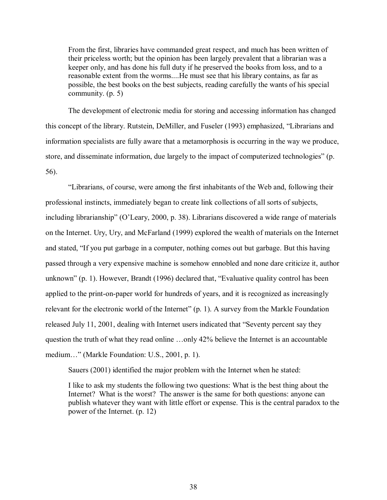From the first, libraries have commanded great respect, and much has been written of their priceless worth; but the opinion has been largely prevalent that a librarian was a keeper only, and has done his full duty if he preserved the books from loss, and to a reasonable extent from the worms....He must see that his library contains, as far as possible, the best books on the best subjects, reading carefully the wants of his special community. (p. 5)

The development of electronic media for storing and accessing information has changed this concept of the library. Rutstein, DeMiller, and Fuseler (1993) emphasized, "Librarians and information specialists are fully aware that a metamorphosis is occurring in the way we produce, store, and disseminate information, due largely to the impact of computerized technologies" (p. 56).

ìLibrarians, of course, were among the first inhabitants of the Web and, following their professional instincts, immediately began to create link collections of all sorts of subjects, including librarianship" (O'Leary, 2000, p. 38). Librarians discovered a wide range of materials on the Internet. Ury, Ury, and McFarland (1999) explored the wealth of materials on the Internet and stated, "If you put garbage in a computer, nothing comes out but garbage. But this having passed through a very expensive machine is somehow ennobled and none dare criticize it, author unknown" (p. 1). However, Brandt (1996) declared that, "Evaluative quality control has been applied to the print-on-paper world for hundreds of years, and it is recognized as increasingly relevant for the electronic world of the Internet"  $(p. 1)$ . A survey from the Markle Foundation released July 11, 2001, dealing with Internet users indicated that "Seventy percent say they question the truth of what they read online  $\ldots$  only 42% believe the Internet is an accountable medium..." (Markle Foundation: U.S., 2001, p. 1).

Sauers (2001) identified the major problem with the Internet when he stated:

I like to ask my students the following two questions: What is the best thing about the Internet? What is the worst? The answer is the same for both questions: anyone can publish whatever they want with little effort or expense. This is the central paradox to the power of the Internet. (p. 12)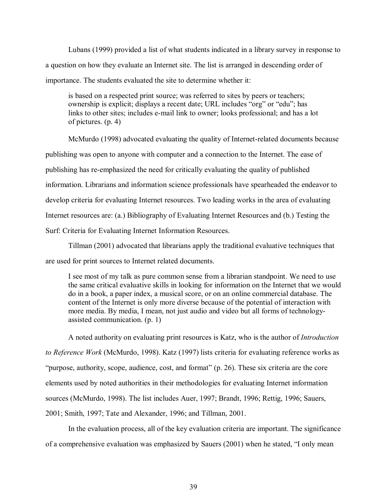Lubans (1999) provided a list of what students indicated in a library survey in response to a question on how they evaluate an Internet site. The list is arranged in descending order of importance. The students evaluated the site to determine whether it:

is based on a respected print source; was referred to sites by peers or teachers; ownership is explicit; displays a recent date; URL includes "org" or "edu"; has links to other sites; includes e-mail link to owner; looks professional; and has a lot of pictures. (p. 4)

McMurdo (1998) advocated evaluating the quality of Internet-related documents because publishing was open to anyone with computer and a connection to the Internet. The ease of publishing has re-emphasized the need for critically evaluating the quality of published information. Librarians and information science professionals have spearheaded the endeavor to develop criteria for evaluating Internet resources. Two leading works in the area of evaluating Internet resources are: (a.) Bibliography of Evaluating Internet Resources and (b.) Testing the Surf: Criteria for Evaluating Internet Information Resources.

Tillman (2001) advocated that librarians apply the traditional evaluative techniques that are used for print sources to Internet related documents.

I see most of my talk as pure common sense from a librarian standpoint. We need to use the same critical evaluative skills in looking for information on the Internet that we would do in a book, a paper index, a musical score, or on an online commercial database. The content of the Internet is only more diverse because of the potential of interaction with more media. By media, I mean, not just audio and video but all forms of technologyassisted communication. (p. 1)

A noted authority on evaluating print resources is Katz, who is the author of *Introduction to Reference Work* (McMurdo, 1998). Katz (1997) lists criteria for evaluating reference works as "purpose, authority, scope, audience, cost, and format"  $(p. 26)$ . These six criteria are the core elements used by noted authorities in their methodologies for evaluating Internet information sources (McMurdo, 1998). The list includes Auer, 1997; Brandt, 1996; Rettig, 1996; Sauers, 2001; Smith, 1997; Tate and Alexander, 1996; and Tillman, 2001.

In the evaluation process, all of the key evaluation criteria are important. The significance of a comprehensive evaluation was emphasized by Sauers (2001) when he stated, "I only mean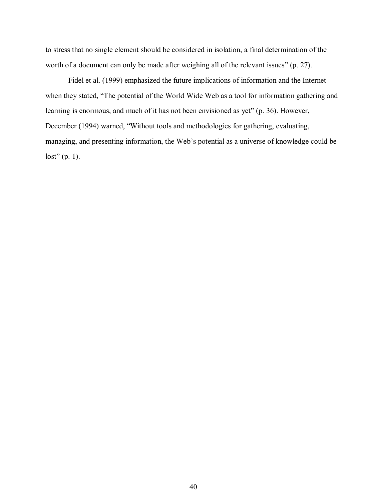to stress that no single element should be considered in isolation, a final determination of the worth of a document can only be made after weighing all of the relevant issues"  $(p. 27)$ .

Fidel et al. (1999) emphasized the future implications of information and the Internet when they stated, "The potential of the World Wide Web as a tool for information gathering and learning is enormous, and much of it has not been envisioned as yet" (p. 36). However, December (1994) warned, "Without tools and methodologies for gathering, evaluating, managing, and presenting information, the Web's potential as a universe of knowledge could be  $lost" (p. 1).$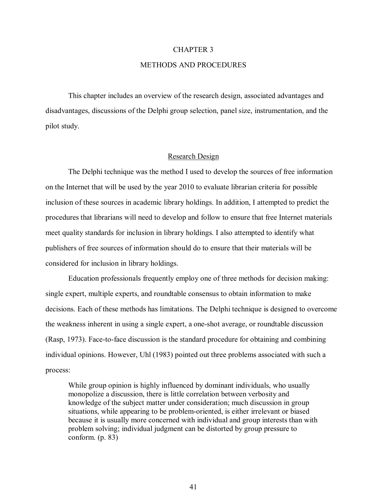#### CHAPTER 3

#### METHODS AND PROCEDURES

This chapter includes an overview of the research design, associated advantages and disadvantages, discussions of the Delphi group selection, panel size, instrumentation, and the pilot study.

### Research Design

The Delphi technique was the method I used to develop the sources of free information on the Internet that will be used by the year 2010 to evaluate librarian criteria for possible inclusion of these sources in academic library holdings. In addition, I attempted to predict the procedures that librarians will need to develop and follow to ensure that free Internet materials meet quality standards for inclusion in library holdings. I also attempted to identify what publishers of free sources of information should do to ensure that their materials will be considered for inclusion in library holdings.

Education professionals frequently employ one of three methods for decision making: single expert, multiple experts, and roundtable consensus to obtain information to make decisions. Each of these methods has limitations. The Delphi technique is designed to overcome the weakness inherent in using a single expert, a one-shot average, or roundtable discussion (Rasp, 1973). Face-to-face discussion is the standard procedure for obtaining and combining individual opinions. However, Uhl (1983) pointed out three problems associated with such a process:

While group opinion is highly influenced by dominant individuals, who usually monopolize a discussion, there is little correlation between verbosity and knowledge of the subject matter under consideration; much discussion in group situations, while appearing to be problem-oriented, is either irrelevant or biased because it is usually more concerned with individual and group interests than with problem solving; individual judgment can be distorted by group pressure to conform. (p. 83)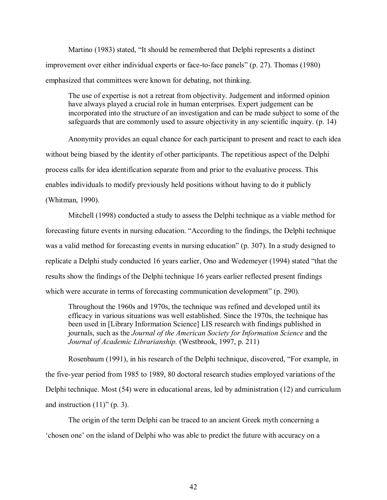Martino (1983) stated, "It should be remembered that Delphi represents a distinct improvement over either individual experts or face-to-face panels" (p. 27). Thomas  $(1980)$ emphasized that committees were known for debating, not thinking.

The use of expertise is not a retreat from objectivity. Judgement and informed opinion have always played a crucial role in human enterprises. Expert judgement can be incorporated into the structure of an investigation and can be made subject to some of the safeguards that are commonly used to assure objectivity in any scientific inquiry. (p. 14)

Anonymity provides an equal chance for each participant to present and react to each idea without being biased by the identity of other participants. The repetitious aspect of the Delphi process calls for idea identification separate from and prior to the evaluative process. This enables individuals to modify previously held positions without having to do it publicly (Whitman, 1990).

Mitchell (1998) conducted a study to assess the Delphi technique as a viable method for forecasting future events in nursing education. "According to the findings, the Delphi technique was a valid method for forecasting events in nursing education" (p. 307). In a study designed to replicate a Delphi study conducted 16 years earlier, Ono and Wedemeyer (1994) stated "that the results show the findings of the Delphi technique 16 years earlier reflected present findings which were accurate in terms of forecasting communication development" (p. 290).

Throughout the 1960s and 1970s, the technique was refined and developed until its efficacy in various situations was well established. Since the 1970s, the technique has been used in [Library Information Science] LIS research with findings published in journals, such as the *Journal of the American Society for Information Science* and the *Journal of Academic Librarianship.* (Westbrook, 1997, p. 211)

Rosenbaum (1991), in his research of the Delphi technique, discovered, "For example, in the five-year period from 1985 to 1989, 80 doctoral research studies employed variations of the Delphi technique. Most (54) were in educational areas, led by administration (12) and curriculum and instruction  $(11)$ " (p. 3).

The origin of the term Delphi can be traced to an ancient Greek myth concerning a ëchosen oneí on the island of Delphi who was able to predict the future with accuracy on a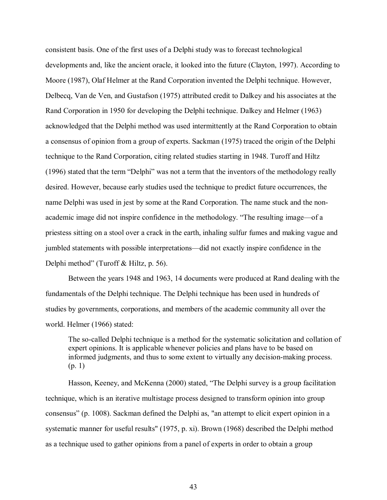consistent basis. One of the first uses of a Delphi study was to forecast technological developments and, like the ancient oracle, it looked into the future (Clayton, 1997). According to Moore (1987), Olaf Helmer at the Rand Corporation invented the Delphi technique. However, Delbecq, Van de Ven, and Gustafson (1975) attributed credit to Dalkey and his associates at the Rand Corporation in 1950 for developing the Delphi technique. Dalkey and Helmer (1963) acknowledged that the Delphi method was used intermittently at the Rand Corporation to obtain a consensus of opinion from a group of experts. Sackman (1975) traced the origin of the Delphi technique to the Rand Corporation, citing related studies starting in 1948. Turoff and Hiltz  $(1996)$  stated that the term "Delphi" was not a term that the inventors of the methodology really desired. However, because early studies used the technique to predict future occurrences, the name Delphi was used in jest by some at the Rand Corporation. The name stuck and the nonacademic image did not inspire confidence in the methodology. "The resulting image—of a priestess sitting on a stool over a crack in the earth, inhaling sulfur fumes and making vague and jumbled statements with possible interpretations—did not exactly inspire confidence in the Delphi method" (Turoff & Hiltz, p. 56).

Between the years 1948 and 1963, 14 documents were produced at Rand dealing with the fundamentals of the Delphi technique. The Delphi technique has been used in hundreds of studies by governments, corporations, and members of the academic community all over the world. Helmer (1966) stated:

The so-called Delphi technique is a method for the systematic solicitation and collation of expert opinions. It is applicable whenever policies and plans have to be based on informed judgments, and thus to some extent to virtually any decision-making process. (p. 1)

Hasson, Keeney, and McKenna (2000) stated, "The Delphi survey is a group facilitation technique, which is an iterative multistage process designed to transform opinion into group consensus" (p. 1008). Sackman defined the Delphi as, "an attempt to elicit expert opinion in a systematic manner for useful results" (1975, p. xi). Brown (1968) described the Delphi method as a technique used to gather opinions from a panel of experts in order to obtain a group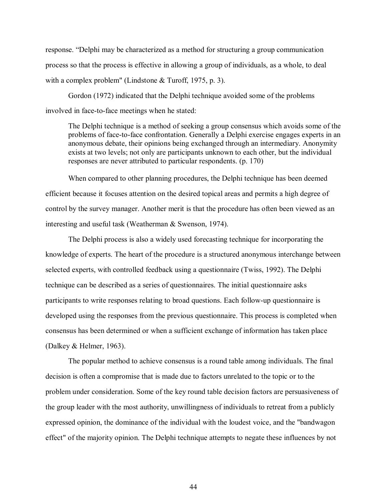response. "Delphi may be characterized as a method for structuring a group communication process so that the process is effective in allowing a group of individuals, as a whole, to deal with a complex problem" (Lindstone & Turoff, 1975, p. 3).

Gordon (1972) indicated that the Delphi technique avoided some of the problems involved in face-to-face meetings when he stated:

The Delphi technique is a method of seeking a group consensus which avoids some of the problems of face-to-face confrontation. Generally a Delphi exercise engages experts in an anonymous debate, their opinions being exchanged through an intermediary. Anonymity exists at two levels; not only are participants unknown to each other, but the individual responses are never attributed to particular respondents. (p. 170)

When compared to other planning procedures, the Delphi technique has been deemed efficient because it focuses attention on the desired topical areas and permits a high degree of control by the survey manager. Another merit is that the procedure has often been viewed as an interesting and useful task (Weatherman & Swenson, 1974).

The Delphi process is also a widely used forecasting technique for incorporating the knowledge of experts. The heart of the procedure is a structured anonymous interchange between selected experts, with controlled feedback using a questionnaire (Twiss, 1992). The Delphi technique can be described as a series of questionnaires. The initial questionnaire asks participants to write responses relating to broad questions. Each follow-up questionnaire is developed using the responses from the previous questionnaire. This process is completed when consensus has been determined or when a sufficient exchange of information has taken place (Dalkey & Helmer, 1963).

The popular method to achieve consensus is a round table among individuals. The final decision is often a compromise that is made due to factors unrelated to the topic or to the problem under consideration. Some of the key round table decision factors are persuasiveness of the group leader with the most authority, unwillingness of individuals to retreat from a publicly expressed opinion, the dominance of the individual with the loudest voice, and the "bandwagon effect" of the majority opinion. The Delphi technique attempts to negate these influences by not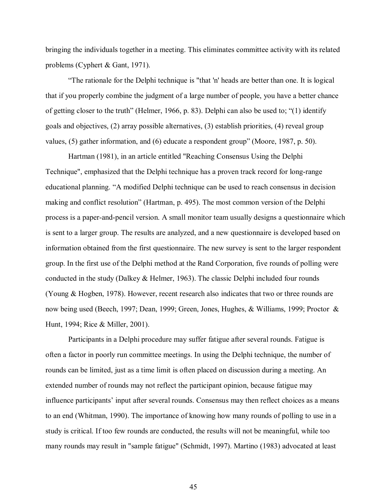bringing the individuals together in a meeting. This eliminates committee activity with its related problems (Cyphert & Gant, 1971).

ìThe rationale for the Delphi technique is "that 'n' heads are better than one. It is logical that if you properly combine the judgment of a large number of people, you have a better chance of getting closer to the truth" (Helmer, 1966, p. 83). Delphi can also be used to; "(1) identify goals and objectives, (2) array possible alternatives, (3) establish priorities, (4) reveal group values, (5) gather information, and (6) educate a respondent group" (Moore, 1987, p. 50).

Hartman (1981), in an article entitled "Reaching Consensus Using the Delphi Technique", emphasized that the Delphi technique has a proven track record for long-range educational planning. "A modified Delphi technique can be used to reach consensus in decision making and conflict resolution" (Hartman, p. 495). The most common version of the Delphi process is a paper-and-pencil version. A small monitor team usually designs a questionnaire which is sent to a larger group. The results are analyzed, and a new questionnaire is developed based on information obtained from the first questionnaire. The new survey is sent to the larger respondent group. In the first use of the Delphi method at the Rand Corporation, five rounds of polling were conducted in the study (Dalkey & Helmer, 1963). The classic Delphi included four rounds (Young & Hogben, 1978). However, recent research also indicates that two or three rounds are now being used (Beech, 1997; Dean, 1999; Green, Jones, Hughes, & Williams, 1999; Proctor & Hunt, 1994; Rice & Miller, 2001).

Participants in a Delphi procedure may suffer fatigue after several rounds. Fatigue is often a factor in poorly run committee meetings. In using the Delphi technique, the number of rounds can be limited, just as a time limit is often placed on discussion during a meeting. An extended number of rounds may not reflect the participant opinion, because fatigue may influence participants' input after several rounds. Consensus may then reflect choices as a means to an end (Whitman, 1990). The importance of knowing how many rounds of polling to use in a study is critical. If too few rounds are conducted, the results will not be meaningful, while too many rounds may result in "sample fatigue" (Schmidt, 1997). Martino (1983) advocated at least

45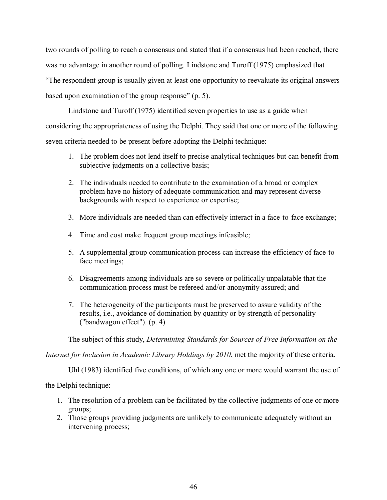two rounds of polling to reach a consensus and stated that if a consensus had been reached, there was no advantage in another round of polling. Lindstone and Turoff (1975) emphasized that ìThe respondent group is usually given at least one opportunity to reevaluate its original answers based upon examination of the group response"  $(p, 5)$ .

Lindstone and Turoff (1975) identified seven properties to use as a guide when considering the appropriateness of using the Delphi. They said that one or more of the following seven criteria needed to be present before adopting the Delphi technique:

- 1. The problem does not lend itself to precise analytical techniques but can benefit from subjective judgments on a collective basis;
- 2. The individuals needed to contribute to the examination of a broad or complex problem have no history of adequate communication and may represent diverse backgrounds with respect to experience or expertise;
- 3. More individuals are needed than can effectively interact in a face-to-face exchange;
- 4. Time and cost make frequent group meetings infeasible;
- 5. A supplemental group communication process can increase the efficiency of face-toface meetings;
- 6. Disagreements among individuals are so severe or politically unpalatable that the communication process must be refereed and/or anonymity assured; and
- 7. The heterogeneity of the participants must be preserved to assure validity of the results, i.e., avoidance of domination by quantity or by strength of personality ("bandwagon effect"). (p. 4)

The subject of this study, *Determining Standards for Sources of Free Information on the* 

*Internet for Inclusion in Academic Library Holdings by 2010*, met the majority of these criteria.

Uhl (1983) identified five conditions, of which any one or more would warrant the use of

the Delphi technique:

- 1. The resolution of a problem can be facilitated by the collective judgments of one or more groups;
- 2. Those groups providing judgments are unlikely to communicate adequately without an intervening process;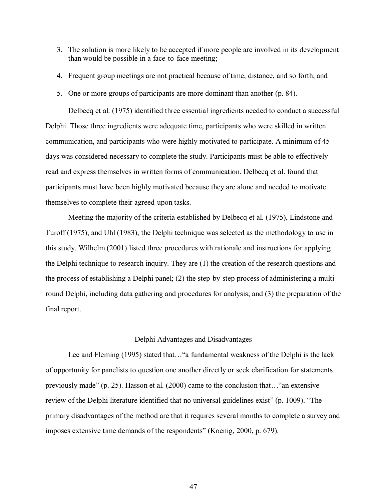- 3. The solution is more likely to be accepted if more people are involved in its development than would be possible in a face-to-face meeting;
- 4. Frequent group meetings are not practical because of time, distance, and so forth; and
- 5. One or more groups of participants are more dominant than another (p. 84).

Delbecq et al. (1975) identified three essential ingredients needed to conduct a successful Delphi. Those three ingredients were adequate time, participants who were skilled in written communication, and participants who were highly motivated to participate. A minimum of 45 days was considered necessary to complete the study. Participants must be able to effectively read and express themselves in written forms of communication. Delbecq et al. found that participants must have been highly motivated because they are alone and needed to motivate themselves to complete their agreed-upon tasks.

Meeting the majority of the criteria established by Delbecq et al. (1975), Lindstone and Turoff (1975), and Uhl (1983), the Delphi technique was selected as the methodology to use in this study. Wilhelm (2001) listed three procedures with rationale and instructions for applying the Delphi technique to research inquiry. They are (1) the creation of the research questions and the process of establishing a Delphi panel; (2) the step-by-step process of administering a multiround Delphi, including data gathering and procedures for analysis; and (3) the preparation of the final report.

# Delphi Advantages and Disadvantages

Lee and Fleming (1995) stated that... "a fundamental weakness of the Delphi is the lack of opportunity for panelists to question one another directly or seek clarification for statements previously made" (p. 25). Hasson et al.  $(2000)$  came to the conclusion that $\ldots$ "an extensive review of the Delphi literature identified that no universal guidelines exist" (p. 1009). "The primary disadvantages of the method are that it requires several months to complete a survey and imposes extensive time demands of the respondents" (Koenig, 2000, p. 679).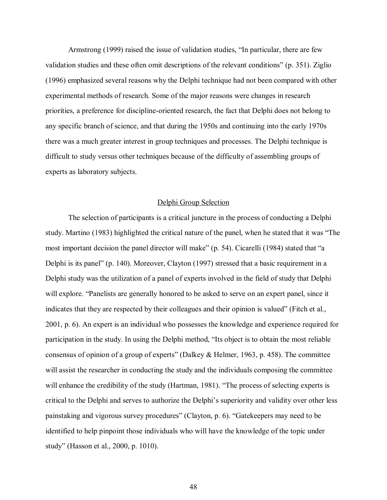Armstrong (1999) raised the issue of validation studies, "In particular, there are few validation studies and these often omit descriptions of the relevant conditions" (p.  $351$ ). Ziglio (1996) emphasized several reasons why the Delphi technique had not been compared with other experimental methods of research. Some of the major reasons were changes in research priorities, a preference for discipline-oriented research, the fact that Delphi does not belong to any specific branch of science, and that during the 1950s and continuing into the early 1970s there was a much greater interest in group techniques and processes. The Delphi technique is difficult to study versus other techniques because of the difficulty of assembling groups of experts as laboratory subjects.

# Delphi Group Selection

The selection of participants is a critical juncture in the process of conducting a Delphi study. Martino (1983) highlighted the critical nature of the panel, when he stated that it was "The most important decision the panel director will make" (p. 54). Cicarelli (1984) stated that "a Delphi is its panel" (p. 140). Moreover, Clayton (1997) stressed that a basic requirement in a Delphi study was the utilization of a panel of experts involved in the field of study that Delphi will explore. "Panelists are generally honored to be asked to serve on an expert panel, since it indicates that they are respected by their colleagues and their opinion is valued" (Fitch et al., 2001, p. 6). An expert is an individual who possesses the knowledge and experience required for participation in the study. In using the Delphi method, "Its object is to obtain the most reliable consensus of opinion of a group of experts" (Dalkey & Helmer, 1963, p. 458). The committee will assist the researcher in conducting the study and the individuals composing the committee will enhance the credibility of the study (Hartman, 1981). "The process of selecting experts is critical to the Delphi and serves to authorize the Delphiís superiority and validity over other less painstaking and vigorous survey procedures" (Clayton, p. 6). "Gatekeepers may need to be identified to help pinpoint those individuals who will have the knowledge of the topic under study" (Hasson et al., 2000, p. 1010).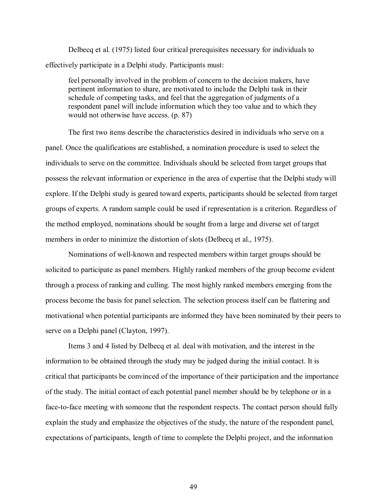Delbecq et al. (1975) listed four critical prerequisites necessary for individuals to effectively participate in a Delphi study. Participants must:

feel personally involved in the problem of concern to the decision makers, have pertinent information to share, are motivated to include the Delphi task in their schedule of competing tasks, and feel that the aggregation of judgments of a respondent panel will include information which they too value and to which they would not otherwise have access. (p. 87)

The first two items describe the characteristics desired in individuals who serve on a panel. Once the qualifications are established, a nomination procedure is used to select the individuals to serve on the committee. Individuals should be selected from target groups that possess the relevant information or experience in the area of expertise that the Delphi study will explore. If the Delphi study is geared toward experts, participants should be selected from target groups of experts. A random sample could be used if representation is a criterion. Regardless of the method employed, nominations should be sought from a large and diverse set of target members in order to minimize the distortion of slots (Delbecq et al., 1975).

Nominations of well-known and respected members within target groups should be solicited to participate as panel members. Highly ranked members of the group become evident through a process of ranking and culling. The most highly ranked members emerging from the process become the basis for panel selection. The selection process itself can be flattering and motivational when potential participants are informed they have been nominated by their peers to serve on a Delphi panel (Clayton, 1997).

Items 3 and 4 listed by Delbecq et al. deal with motivation, and the interest in the information to be obtained through the study may be judged during the initial contact. It is critical that participants be convinced of the importance of their participation and the importance of the study. The initial contact of each potential panel member should be by telephone or in a face-to-face meeting with someone that the respondent respects. The contact person should fully explain the study and emphasize the objectives of the study, the nature of the respondent panel, expectations of participants, length of time to complete the Delphi project, and the information

49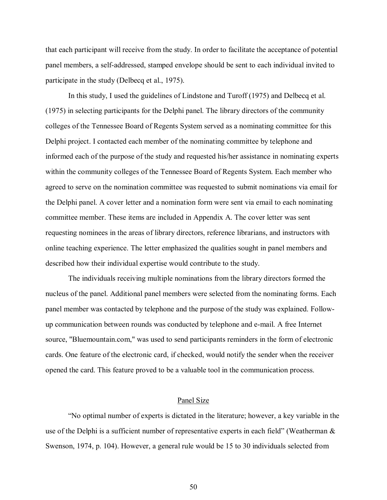that each participant will receive from the study. In order to facilitate the acceptance of potential panel members, a self-addressed, stamped envelope should be sent to each individual invited to participate in the study (Delbecq et al., 1975).

In this study, I used the guidelines of Lindstone and Turoff (1975) and Delbecq et al. (1975) in selecting participants for the Delphi panel. The library directors of the community colleges of the Tennessee Board of Regents System served as a nominating committee for this Delphi project. I contacted each member of the nominating committee by telephone and informed each of the purpose of the study and requested his/her assistance in nominating experts within the community colleges of the Tennessee Board of Regents System. Each member who agreed to serve on the nomination committee was requested to submit nominations via email for the Delphi panel. A cover letter and a nomination form were sent via email to each nominating committee member. These items are included in Appendix A. The cover letter was sent requesting nominees in the areas of library directors, reference librarians, and instructors with online teaching experience. The letter emphasized the qualities sought in panel members and described how their individual expertise would contribute to the study.

The individuals receiving multiple nominations from the library directors formed the nucleus of the panel. Additional panel members were selected from the nominating forms. Each panel member was contacted by telephone and the purpose of the study was explained. Followup communication between rounds was conducted by telephone and e-mail. A free Internet source, "Bluemountain.com," was used to send participants reminders in the form of electronic cards. One feature of the electronic card, if checked, would notify the sender when the receiver opened the card. This feature proved to be a valuable tool in the communication process.

### Panel Size

ìNo optimal number of experts is dictated in the literature; however, a key variable in the use of the Delphi is a sufficient number of representative experts in each field" (Weatherman  $\&$ Swenson, 1974, p. 104). However, a general rule would be 15 to 30 individuals selected from

50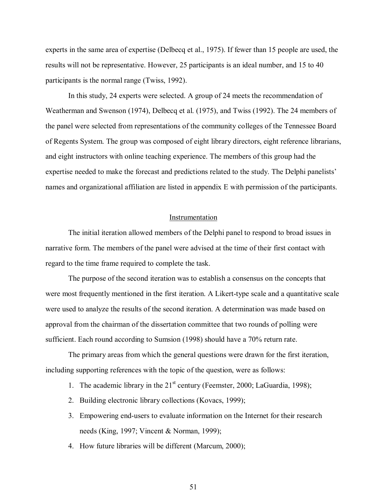experts in the same area of expertise (Delbecq et al., 1975). If fewer than 15 people are used, the results will not be representative. However, 25 participants is an ideal number, and 15 to 40 participants is the normal range (Twiss, 1992).

In this study, 24 experts were selected. A group of 24 meets the recommendation of Weatherman and Swenson (1974), Delbecq et al. (1975), and Twiss (1992). The 24 members of the panel were selected from representations of the community colleges of the Tennessee Board of Regents System. The group was composed of eight library directors, eight reference librarians, and eight instructors with online teaching experience. The members of this group had the expertise needed to make the forecast and predictions related to the study. The Delphi panelists' names and organizational affiliation are listed in appendix E with permission of the participants.

## Instrumentation

The initial iteration allowed members of the Delphi panel to respond to broad issues in narrative form. The members of the panel were advised at the time of their first contact with regard to the time frame required to complete the task.

The purpose of the second iteration was to establish a consensus on the concepts that were most frequently mentioned in the first iteration. A Likert-type scale and a quantitative scale were used to analyze the results of the second iteration. A determination was made based on approval from the chairman of the dissertation committee that two rounds of polling were sufficient. Each round according to Sumsion (1998) should have a 70% return rate.

The primary areas from which the general questions were drawn for the first iteration, including supporting references with the topic of the question, were as follows:

- 1. The academic library in the  $21<sup>st</sup>$  century (Feemster, 2000; LaGuardia, 1998);
- 2. Building electronic library collections (Kovacs, 1999);
- 3. Empowering end-users to evaluate information on the Internet for their research needs (King, 1997; Vincent & Norman, 1999);
- 4. How future libraries will be different (Marcum, 2000);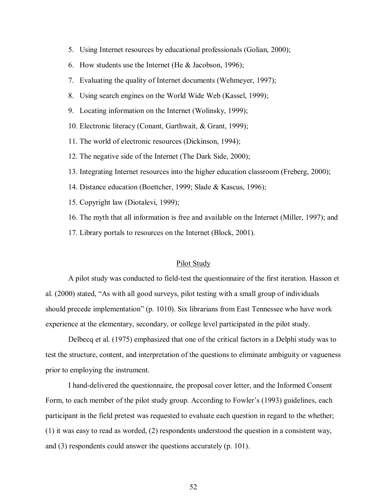- 5. Using Internet resources by educational professionals (Golian, 2000);
- 6. How students use the Internet (He & Jacobson, 1996);
- 7. Evaluating the quality of Internet documents (Wehmeyer, 1997);
- 8. Using search engines on the World Wide Web (Kassel, 1999);
- 9. Locating information on the Internet (Wolinsky, 1999);
- 10. Electronic literacy (Conant, Garthwait, & Grant, 1999);
- 11. The world of electronic resources (Dickinson, 1994);
- 12. The negative side of the Internet (The Dark Side, 2000);
- 13. Integrating Internet resources into the higher education classroom (Freberg, 2000);
- 14. Distance education (Boettcher, 1999; Slade & Kascus, 1996);
- 15. Copyright law (Diotalevi, 1999);
- 16. The myth that all information is free and available on the Internet (Miller, 1997); and
- 17. Library portals to resources on the Internet (Block, 2001).

#### Pilot Study

A pilot study was conducted to field-test the questionnaire of the first iteration. Hasson et al. (2000) stated, "As with all good surveys, pilot testing with a small group of individuals should precede implementation" (p. 1010). Six librarians from East Tennessee who have work experience at the elementary, secondary, or college level participated in the pilot study.

Delbecq et al. (1975) emphasized that one of the critical factors in a Delphi study was to test the structure, content, and interpretation of the questions to eliminate ambiguity or vagueness prior to employing the instrument.

I hand-delivered the questionnaire, the proposal cover letter, and the Informed Consent Form, to each member of the pilot study group. According to Fowler's (1993) guidelines, each participant in the field pretest was requested to evaluate each question in regard to the whether; (1) it was easy to read as worded, (2) respondents understood the question in a consistent way, and (3) respondents could answer the questions accurately (p. 101).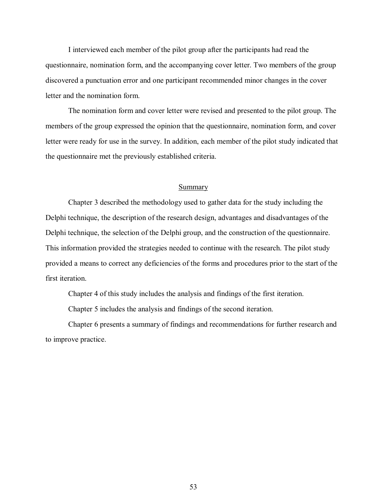I interviewed each member of the pilot group after the participants had read the questionnaire, nomination form, and the accompanying cover letter. Two members of the group discovered a punctuation error and one participant recommended minor changes in the cover letter and the nomination form.

The nomination form and cover letter were revised and presented to the pilot group. The members of the group expressed the opinion that the questionnaire, nomination form, and cover letter were ready for use in the survey. In addition, each member of the pilot study indicated that the questionnaire met the previously established criteria.

# **Summary**

Chapter 3 described the methodology used to gather data for the study including the Delphi technique, the description of the research design, advantages and disadvantages of the Delphi technique, the selection of the Delphi group, and the construction of the questionnaire. This information provided the strategies needed to continue with the research. The pilot study provided a means to correct any deficiencies of the forms and procedures prior to the start of the first iteration.

Chapter 4 of this study includes the analysis and findings of the first iteration.

Chapter 5 includes the analysis and findings of the second iteration.

Chapter 6 presents a summary of findings and recommendations for further research and to improve practice.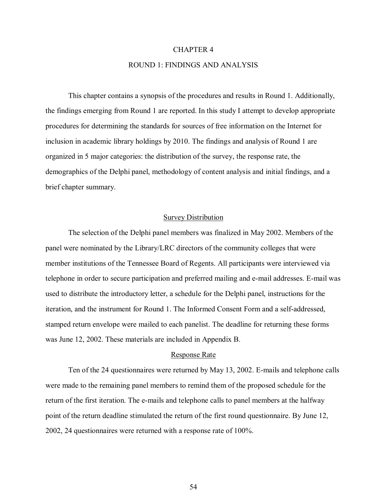## CHAPTER 4

# ROUND 1: FINDINGS AND ANALYSIS

This chapter contains a synopsis of the procedures and results in Round 1. Additionally, the findings emerging from Round 1 are reported. In this study I attempt to develop appropriate procedures for determining the standards for sources of free information on the Internet for inclusion in academic library holdings by 2010. The findings and analysis of Round 1 are organized in 5 major categories: the distribution of the survey, the response rate, the demographics of the Delphi panel, methodology of content analysis and initial findings, and a brief chapter summary.

# Survey Distribution

The selection of the Delphi panel members was finalized in May 2002. Members of the panel were nominated by the Library/LRC directors of the community colleges that were member institutions of the Tennessee Board of Regents. All participants were interviewed via telephone in order to secure participation and preferred mailing and e-mail addresses. E-mail was used to distribute the introductory letter, a schedule for the Delphi panel, instructions for the iteration, and the instrument for Round 1. The Informed Consent Form and a self-addressed, stamped return envelope were mailed to each panelist. The deadline for returning these forms was June 12, 2002. These materials are included in Appendix B.

## Response Rate

Ten of the 24 questionnaires were returned by May 13, 2002. E-mails and telephone calls were made to the remaining panel members to remind them of the proposed schedule for the return of the first iteration. The e-mails and telephone calls to panel members at the halfway point of the return deadline stimulated the return of the first round questionnaire. By June 12, 2002, 24 questionnaires were returned with a response rate of 100%.

54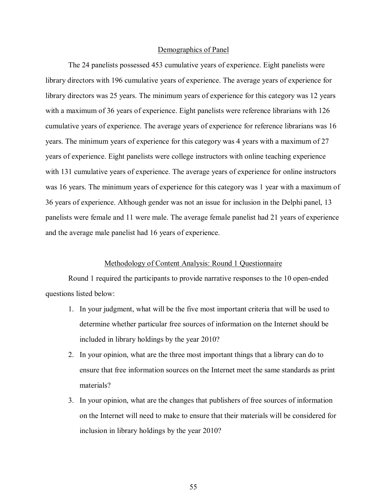#### Demographics of Panel

The 24 panelists possessed 453 cumulative years of experience. Eight panelists were library directors with 196 cumulative years of experience. The average years of experience for library directors was 25 years. The minimum years of experience for this category was 12 years with a maximum of 36 years of experience. Eight panelists were reference librarians with 126 cumulative years of experience. The average years of experience for reference librarians was 16 years. The minimum years of experience for this category was 4 years with a maximum of 27 years of experience. Eight panelists were college instructors with online teaching experience with 131 cumulative years of experience. The average years of experience for online instructors was 16 years. The minimum years of experience for this category was 1 year with a maximum of 36 years of experience. Although gender was not an issue for inclusion in the Delphi panel, 13 panelists were female and 11 were male. The average female panelist had 21 years of experience and the average male panelist had 16 years of experience.

#### Methodology of Content Analysis: Round 1 Questionnaire

Round 1 required the participants to provide narrative responses to the 10 open-ended questions listed below:

- 1. In your judgment, what will be the five most important criteria that will be used to determine whether particular free sources of information on the Internet should be included in library holdings by the year 2010?
- 2. In your opinion, what are the three most important things that a library can do to ensure that free information sources on the Internet meet the same standards as print materials?
- 3. In your opinion, what are the changes that publishers of free sources of information on the Internet will need to make to ensure that their materials will be considered for inclusion in library holdings by the year 2010?

55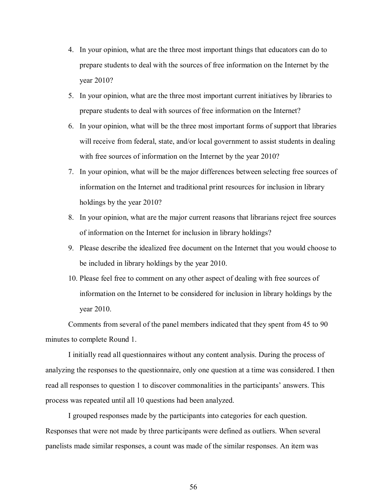- 4. In your opinion, what are the three most important things that educators can do to prepare students to deal with the sources of free information on the Internet by the year 2010?
- 5. In your opinion, what are the three most important current initiatives by libraries to prepare students to deal with sources of free information on the Internet?
- 6. In your opinion, what will be the three most important forms of support that libraries will receive from federal, state, and/or local government to assist students in dealing with free sources of information on the Internet by the year 2010?
- 7. In your opinion, what will be the major differences between selecting free sources of information on the Internet and traditional print resources for inclusion in library holdings by the year 2010?
- 8. In your opinion, what are the major current reasons that librarians reject free sources of information on the Internet for inclusion in library holdings?
- 9. Please describe the idealized free document on the Internet that you would choose to be included in library holdings by the year 2010.
- 10. Please feel free to comment on any other aspect of dealing with free sources of information on the Internet to be considered for inclusion in library holdings by the year 2010.

Comments from several of the panel members indicated that they spent from 45 to 90 minutes to complete Round 1.

I initially read all questionnaires without any content analysis. During the process of analyzing the responses to the questionnaire, only one question at a time was considered. I then read all responses to question 1 to discover commonalities in the participants' answers. This process was repeated until all 10 questions had been analyzed.

I grouped responses made by the participants into categories for each question. Responses that were not made by three participants were defined as outliers. When several panelists made similar responses, a count was made of the similar responses. An item was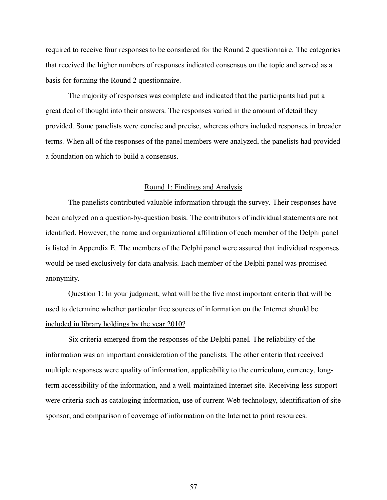required to receive four responses to be considered for the Round 2 questionnaire. The categories that received the higher numbers of responses indicated consensus on the topic and served as a basis for forming the Round 2 questionnaire.

The majority of responses was complete and indicated that the participants had put a great deal of thought into their answers. The responses varied in the amount of detail they provided. Some panelists were concise and precise, whereas others included responses in broader terms. When all of the responses of the panel members were analyzed, the panelists had provided a foundation on which to build a consensus.

## Round 1: Findings and Analysis

The panelists contributed valuable information through the survey. Their responses have been analyzed on a question-by-question basis. The contributors of individual statements are not identified. However, the name and organizational affiliation of each member of the Delphi panel is listed in Appendix E. The members of the Delphi panel were assured that individual responses would be used exclusively for data analysis. Each member of the Delphi panel was promised anonymity.

Question 1: In your judgment, what will be the five most important criteria that will be used to determine whether particular free sources of information on the Internet should be included in library holdings by the year 2010?

Six criteria emerged from the responses of the Delphi panel. The reliability of the information was an important consideration of the panelists. The other criteria that received multiple responses were quality of information, applicability to the curriculum, currency, longterm accessibility of the information, and a well-maintained Internet site. Receiving less support were criteria such as cataloging information, use of current Web technology, identification of site sponsor, and comparison of coverage of information on the Internet to print resources.

57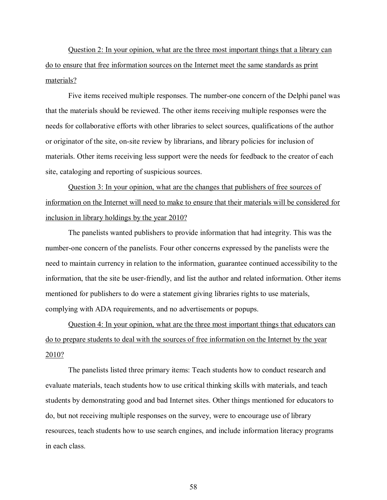Question 2: In your opinion, what are the three most important things that a library can do to ensure that free information sources on the Internet meet the same standards as print materials?

Five items received multiple responses. The number-one concern of the Delphi panel was that the materials should be reviewed. The other items receiving multiple responses were the needs for collaborative efforts with other libraries to select sources, qualifications of the author or originator of the site, on-site review by librarians, and library policies for inclusion of materials. Other items receiving less support were the needs for feedback to the creator of each site, cataloging and reporting of suspicious sources.

Question 3: In your opinion, what are the changes that publishers of free sources of information on the Internet will need to make to ensure that their materials will be considered for inclusion in library holdings by the year 2010?

The panelists wanted publishers to provide information that had integrity. This was the number-one concern of the panelists. Four other concerns expressed by the panelists were the need to maintain currency in relation to the information, guarantee continued accessibility to the information, that the site be user-friendly, and list the author and related information. Other items mentioned for publishers to do were a statement giving libraries rights to use materials, complying with ADA requirements, and no advertisements or popups.

Question 4: In your opinion, what are the three most important things that educators can do to prepare students to deal with the sources of free information on the Internet by the year 2010?

The panelists listed three primary items: Teach students how to conduct research and evaluate materials, teach students how to use critical thinking skills with materials, and teach students by demonstrating good and bad Internet sites. Other things mentioned for educators to do, but not receiving multiple responses on the survey, were to encourage use of library resources, teach students how to use search engines, and include information literacy programs in each class.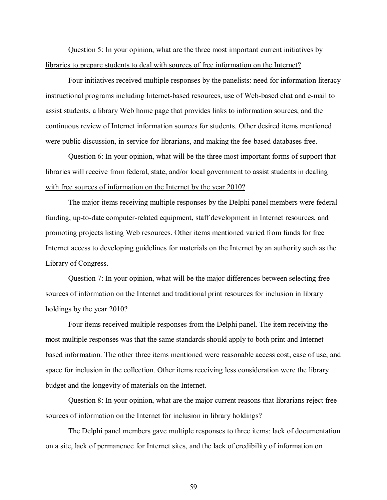Question 5: In your opinion, what are the three most important current initiatives by libraries to prepare students to deal with sources of free information on the Internet?

Four initiatives received multiple responses by the panelists: need for information literacy instructional programs including Internet-based resources, use of Web-based chat and e-mail to assist students, a library Web home page that provides links to information sources, and the continuous review of Internet information sources for students. Other desired items mentioned were public discussion, in-service for librarians, and making the fee-based databases free.

Question 6: In your opinion, what will be the three most important forms of support that libraries will receive from federal, state, and/or local government to assist students in dealing with free sources of information on the Internet by the year 2010?

The major items receiving multiple responses by the Delphi panel members were federal funding, up-to-date computer-related equipment, staff development in Internet resources, and promoting projects listing Web resources. Other items mentioned varied from funds for free Internet access to developing guidelines for materials on the Internet by an authority such as the Library of Congress.

Question 7: In your opinion, what will be the major differences between selecting free sources of information on the Internet and traditional print resources for inclusion in library holdings by the year 2010?

Four items received multiple responses from the Delphi panel. The item receiving the most multiple responses was that the same standards should apply to both print and Internetbased information. The other three items mentioned were reasonable access cost, ease of use, and space for inclusion in the collection. Other items receiving less consideration were the library budget and the longevity of materials on the Internet.

Question 8: In your opinion, what are the major current reasons that librarians reject free sources of information on the Internet for inclusion in library holdings?

The Delphi panel members gave multiple responses to three items: lack of documentation on a site, lack of permanence for Internet sites, and the lack of credibility of information on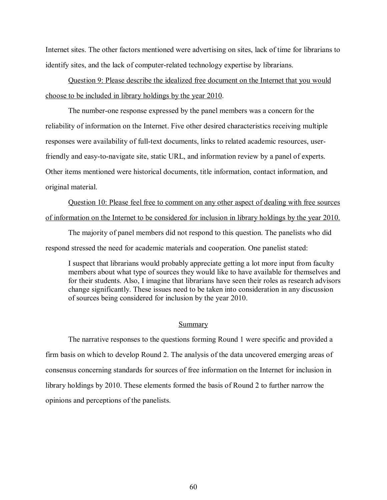Internet sites. The other factors mentioned were advertising on sites, lack of time for librarians to identify sites, and the lack of computer-related technology expertise by librarians.

Question 9: Please describe the idealized free document on the Internet that you would choose to be included in library holdings by the year 2010.

The number-one response expressed by the panel members was a concern for the reliability of information on the Internet. Five other desired characteristics receiving multiple responses were availability of full-text documents, links to related academic resources, userfriendly and easy-to-navigate site, static URL, and information review by a panel of experts. Other items mentioned were historical documents, title information, contact information, and original material.

Question 10: Please feel free to comment on any other aspect of dealing with free sources of information on the Internet to be considered for inclusion in library holdings by the year 2010.

The majority of panel members did not respond to this question. The panelists who did respond stressed the need for academic materials and cooperation. One panelist stated:

I suspect that librarians would probably appreciate getting a lot more input from faculty members about what type of sources they would like to have available for themselves and for their students. Also, I imagine that librarians have seen their roles as research advisors change significantly. These issues need to be taken into consideration in any discussion of sources being considered for inclusion by the year 2010.

## Summary

The narrative responses to the questions forming Round 1 were specific and provided a firm basis on which to develop Round 2. The analysis of the data uncovered emerging areas of consensus concerning standards for sources of free information on the Internet for inclusion in library holdings by 2010. These elements formed the basis of Round 2 to further narrow the opinions and perceptions of the panelists.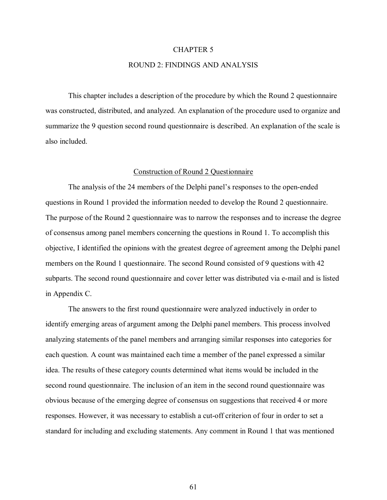#### CHAPTER 5

# ROUND 2: FINDINGS AND ANALYSIS

This chapter includes a description of the procedure by which the Round 2 questionnaire was constructed, distributed, and analyzed. An explanation of the procedure used to organize and summarize the 9 question second round questionnaire is described. An explanation of the scale is also included.

### Construction of Round 2 Questionnaire

The analysis of the 24 members of the Delphi panel's responses to the open-ended questions in Round 1 provided the information needed to develop the Round 2 questionnaire. The purpose of the Round 2 questionnaire was to narrow the responses and to increase the degree of consensus among panel members concerning the questions in Round 1. To accomplish this objective, I identified the opinions with the greatest degree of agreement among the Delphi panel members on the Round 1 questionnaire. The second Round consisted of 9 questions with 42 subparts. The second round questionnaire and cover letter was distributed via e-mail and is listed in Appendix C.

The answers to the first round questionnaire were analyzed inductively in order to identify emerging areas of argument among the Delphi panel members. This process involved analyzing statements of the panel members and arranging similar responses into categories for each question. A count was maintained each time a member of the panel expressed a similar idea. The results of these category counts determined what items would be included in the second round questionnaire. The inclusion of an item in the second round questionnaire was obvious because of the emerging degree of consensus on suggestions that received 4 or more responses. However, it was necessary to establish a cut-off criterion of four in order to set a standard for including and excluding statements. Any comment in Round 1 that was mentioned

61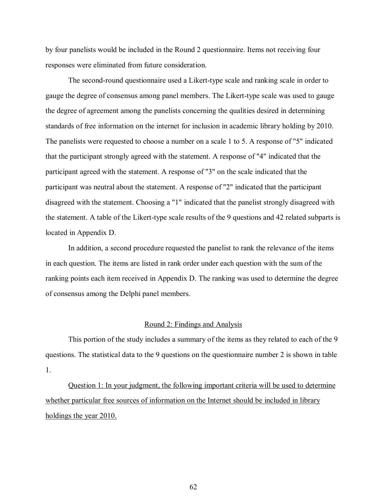by four panelists would be included in the Round 2 questionnaire. Items not receiving four responses were eliminated from future consideration.

The second-round questionnaire used a Likert-type scale and ranking scale in order to gauge the degree of consensus among panel members. The Likert-type scale was used to gauge the degree of agreement among the panelists concerning the qualities desired in determining standards of free information on the internet for inclusion in academic library holding by 2010. The panelists were requested to choose a number on a scale 1 to 5. A response of "5" indicated that the participant strongly agreed with the statement. A response of "4" indicated that the participant agreed with the statement. A response of "3" on the scale indicated that the participant was neutral about the statement. A response of "2" indicated that the participant disagreed with the statement. Choosing a "1" indicated that the panelist strongly disagreed with the statement. A table of the Likert-type scale results of the 9 questions and 42 related subparts is located in Appendix D.

In addition, a second procedure requested the panelist to rank the relevance of the items in each question. The items are listed in rank order under each question with the sum of the ranking points each item received in Appendix D. The ranking was used to determine the degree of consensus among the Delphi panel members.

# Round 2: Findings and Analysis

This portion of the study includes a summary of the items as they related to each of the 9 questions. The statistical data to the 9 questions on the questionnaire number 2 is shown in table 1.

Question 1: In your judgment, the following important criteria will be used to determine whether particular free sources of information on the Internet should be included in library holdings the year 2010.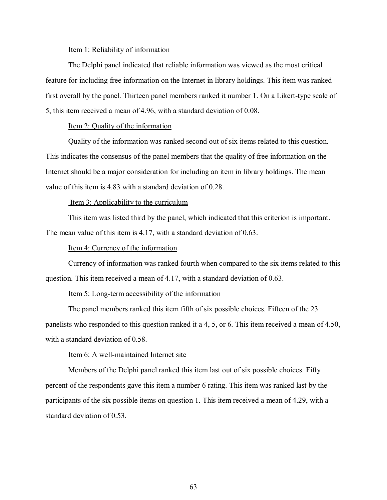#### Item 1: Reliability of information

The Delphi panel indicated that reliable information was viewed as the most critical feature for including free information on the Internet in library holdings. This item was ranked first overall by the panel. Thirteen panel members ranked it number 1. On a Likert-type scale of 5, this item received a mean of 4.96, with a standard deviation of 0.08.

# Item 2: Quality of the information

Quality of the information was ranked second out of six items related to this question. This indicates the consensus of the panel members that the quality of free information on the Internet should be a major consideration for including an item in library holdings. The mean value of this item is 4.83 with a standard deviation of 0.28.

## Item 3: Applicability to the curriculum

This item was listed third by the panel, which indicated that this criterion is important. The mean value of this item is 4.17, with a standard deviation of 0.63.

# Item 4: Currency of the information

Currency of information was ranked fourth when compared to the six items related to this question. This item received a mean of 4.17, with a standard deviation of 0.63.

# Item 5: Long-term accessibility of the information

The panel members ranked this item fifth of six possible choices. Fifteen of the 23 panelists who responded to this question ranked it a 4, 5, or 6. This item received a mean of 4.50, with a standard deviation of 0.58.

## Item 6: A well-maintained Internet site

Members of the Delphi panel ranked this item last out of six possible choices. Fifty percent of the respondents gave this item a number 6 rating. This item was ranked last by the participants of the six possible items on question 1. This item received a mean of 4.29, with a standard deviation of 0.53.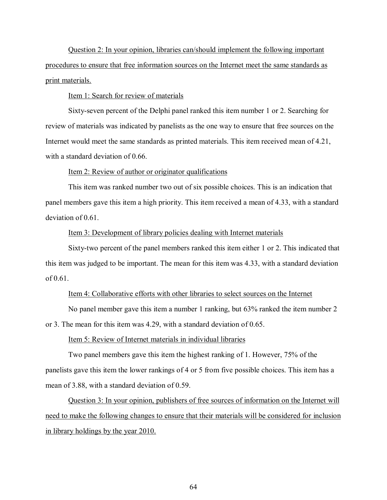Question 2: In your opinion, libraries can/should implement the following important procedures to ensure that free information sources on the Internet meet the same standards as print materials.

## Item 1: Search for review of materials

Sixty-seven percent of the Delphi panel ranked this item number 1 or 2. Searching for review of materials was indicated by panelists as the one way to ensure that free sources on the Internet would meet the same standards as printed materials. This item received mean of 4.21, with a standard deviation of 0.66.

# Item 2: Review of author or originator qualifications

This item was ranked number two out of six possible choices. This is an indication that panel members gave this item a high priority. This item received a mean of 4.33, with a standard deviation of 0.61.

# Item 3: Development of library policies dealing with Internet materials

Sixty-two percent of the panel members ranked this item either 1 or 2. This indicated that this item was judged to be important. The mean for this item was 4.33, with a standard deviation of 0.61.

## Item 4: Collaborative efforts with other libraries to select sources on the Internet

No panel member gave this item a number 1 ranking, but 63% ranked the item number 2 or 3. The mean for this item was 4.29, with a standard deviation of 0.65.

# Item 5: Review of Internet materials in individual libraries

Two panel members gave this item the highest ranking of 1. However, 75% of the panelists gave this item the lower rankings of 4 or 5 from five possible choices. This item has a mean of 3.88, with a standard deviation of 0.59.

Question 3: In your opinion, publishers of free sources of information on the Internet will need to make the following changes to ensure that their materials will be considered for inclusion in library holdings by the year 2010.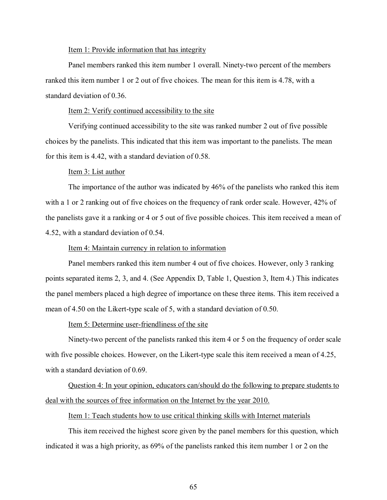#### Item 1: Provide information that has integrity

Panel members ranked this item number 1 overall. Ninety-two percent of the members ranked this item number 1 or 2 out of five choices. The mean for this item is 4.78, with a standard deviation of 0.36.

Item 2: Verify continued accessibility to the site

Verifying continued accessibility to the site was ranked number 2 out of five possible choices by the panelists. This indicated that this item was important to the panelists. The mean for this item is 4.42, with a standard deviation of 0.58.

### Item 3: List author

The importance of the author was indicated by 46% of the panelists who ranked this item with a 1 or 2 ranking out of five choices on the frequency of rank order scale. However, 42% of the panelists gave it a ranking or 4 or 5 out of five possible choices. This item received a mean of 4.52, with a standard deviation of 0.54.

#### Item 4: Maintain currency in relation to information

Panel members ranked this item number 4 out of five choices. However, only 3 ranking points separated items 2, 3, and 4. (See Appendix D, Table 1, Question 3, Item 4.) This indicates the panel members placed a high degree of importance on these three items. This item received a mean of 4.50 on the Likert-type scale of 5, with a standard deviation of 0.50.

Item 5: Determine user-friendliness of the site

Ninety-two percent of the panelists ranked this item 4 or 5 on the frequency of order scale with five possible choices. However, on the Likert-type scale this item received a mean of 4.25, with a standard deviation of 0.69.

Question 4: In your opinion, educators can/should do the following to prepare students to deal with the sources of free information on the Internet by the year 2010.

# Item 1: Teach students how to use critical thinking skills with Internet materials

This item received the highest score given by the panel members for this question, which indicated it was a high priority, as 69% of the panelists ranked this item number 1 or 2 on the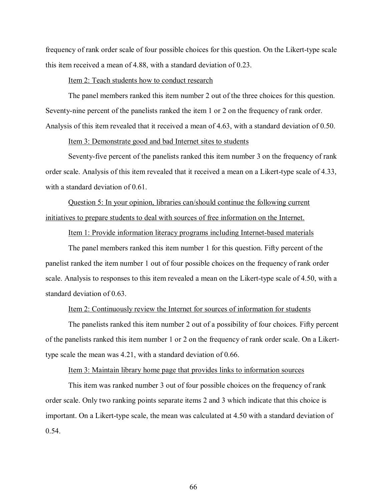frequency of rank order scale of four possible choices for this question. On the Likert-type scale this item received a mean of 4.88, with a standard deviation of 0.23.

## Item 2: Teach students how to conduct research

The panel members ranked this item number 2 out of the three choices for this question. Seventy-nine percent of the panelists ranked the item 1 or 2 on the frequency of rank order. Analysis of this item revealed that it received a mean of 4.63, with a standard deviation of 0.50.

# Item 3: Demonstrate good and bad Internet sites to students

Seventy-five percent of the panelists ranked this item number 3 on the frequency of rank order scale. Analysis of this item revealed that it received a mean on a Likert-type scale of 4.33, with a standard deviation of 0.61.

Question 5: In your opinion, libraries can/should continue the following current initiatives to prepare students to deal with sources of free information on the Internet.

# Item 1: Provide information literacy programs including Internet-based materials

The panel members ranked this item number 1 for this question. Fifty percent of the panelist ranked the item number 1 out of four possible choices on the frequency of rank order scale. Analysis to responses to this item revealed a mean on the Likert-type scale of 4.50, with a standard deviation of 0.63.

# Item 2: Continuously review the Internet for sources of information for students

The panelists ranked this item number 2 out of a possibility of four choices. Fifty percent of the panelists ranked this item number 1 or 2 on the frequency of rank order scale. On a Likerttype scale the mean was 4.21, with a standard deviation of 0.66.

# Item 3: Maintain library home page that provides links to information sources

This item was ranked number 3 out of four possible choices on the frequency of rank order scale. Only two ranking points separate items 2 and 3 which indicate that this choice is important. On a Likert-type scale, the mean was calculated at 4.50 with a standard deviation of 0.54.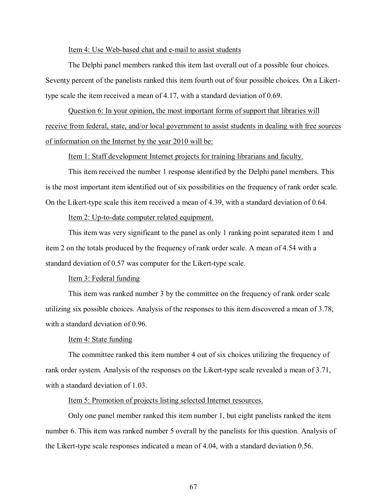#### Item 4: Use Web-based chat and e-mail to assist students

The Delphi panel members ranked this item last overall out of a possible four choices. Seventy percent of the panelists ranked this item fourth out of four possible choices. On a Likerttype scale the item received a mean of 4.17, with a standard deviation of 0.69.

Question 6: In your opinion, the most important forms of support that libraries will receive from federal, state, and/or local government to assist students in dealing with free sources of information on the Internet by the year 2010 will be:

Item 1: Staff development Internet projects for training librarians and faculty.

This item received the number 1 response identified by the Delphi panel members. This is the most important item identified out of six possibilities on the frequency of rank order scale. On the Likert-type scale this item received a mean of 4.39, with a standard deviation of 0.64.

# Item 2: Up-to-date computer related equipment.

This item was very significant to the panel as only 1 ranking point separated item 1 and item 2 on the totals produced by the frequency of rank order scale. A mean of 4.54 with a standard deviation of 0.57 was computer for the Likert-type scale.

# Item 3: Federal funding

This item was ranked number 3 by the committee on the frequency of rank order scale utilizing six possible choices. Analysis of the responses to this item discovered a mean of 3.78, with a standard deviation of 0.96.

#### Item 4: State funding

The committee ranked this item number 4 out of six choices utilizing the frequency of rank order system. Analysis of the responses on the Likert-type scale revealed a mean of 3.71, with a standard deviation of 1.03.

## Item 5: Promotion of projects listing selected Internet resources.

Only one panel member ranked this item number 1, but eight panelists ranked the item number 6. This item was ranked number 5 overall by the panelists for this question. Analysis of the Likert-type scale responses indicated a mean of 4.04, with a standard deviation 0.56.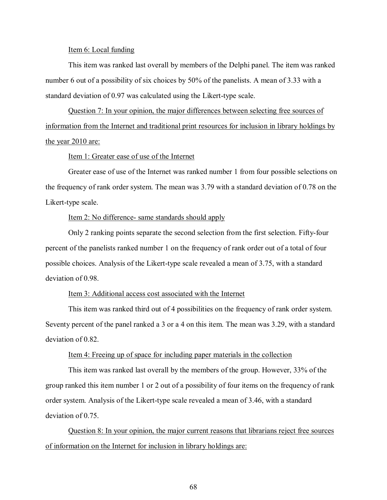#### Item 6: Local funding

This item was ranked last overall by members of the Delphi panel. The item was ranked number 6 out of a possibility of six choices by 50% of the panelists. A mean of 3.33 with a standard deviation of 0.97 was calculated using the Likert-type scale.

Question 7: In your opinion, the major differences between selecting free sources of information from the Internet and traditional print resources for inclusion in library holdings by the year 2010 are:

## Item 1: Greater ease of use of the Internet

Greater ease of use of the Internet was ranked number 1 from four possible selections on the frequency of rank order system. The mean was 3.79 with a standard deviation of 0.78 on the Likert-type scale.

# Item 2: No difference- same standards should apply

Only 2 ranking points separate the second selection from the first selection. Fifty-four percent of the panelists ranked number 1 on the frequency of rank order out of a total of four possible choices. Analysis of the Likert-type scale revealed a mean of 3.75, with a standard deviation of 0.98.

# Item 3: Additional access cost associated with the Internet

This item was ranked third out of 4 possibilities on the frequency of rank order system. Seventy percent of the panel ranked a 3 or a 4 on this item. The mean was 3.29, with a standard deviation of 0.82.

# Item 4: Freeing up of space for including paper materials in the collection

This item was ranked last overall by the members of the group. However, 33% of the group ranked this item number 1 or 2 out of a possibility of four items on the frequency of rank order system. Analysis of the Likert-type scale revealed a mean of 3.46, with a standard deviation of 0.75.

Question 8: In your opinion, the major current reasons that librarians reject free sources of information on the Internet for inclusion in library holdings are: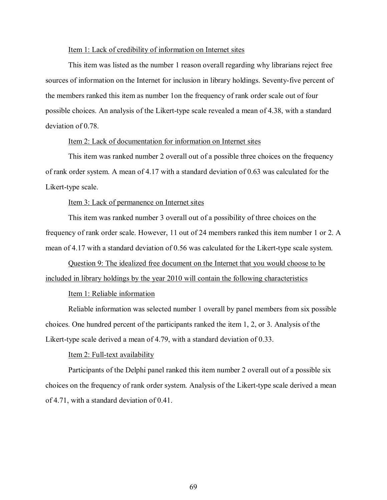## Item 1: Lack of credibility of information on Internet sites

This item was listed as the number 1 reason overall regarding why librarians reject free sources of information on the Internet for inclusion in library holdings. Seventy-five percent of the members ranked this item as number 1on the frequency of rank order scale out of four possible choices. An analysis of the Likert-type scale revealed a mean of 4.38, with a standard deviation of 0.78.

#### Item 2: Lack of documentation for information on Internet sites

This item was ranked number 2 overall out of a possible three choices on the frequency of rank order system. A mean of 4.17 with a standard deviation of 0.63 was calculated for the Likert-type scale.

# Item 3: Lack of permanence on Internet sites

This item was ranked number 3 overall out of a possibility of three choices on the frequency of rank order scale. However, 11 out of 24 members ranked this item number 1 or 2. A mean of 4.17 with a standard deviation of 0.56 was calculated for the Likert-type scale system.

Question 9: The idealized free document on the Internet that you would choose to be included in library holdings by the year 2010 will contain the following characteristics

# Item 1: Reliable information

Reliable information was selected number 1 overall by panel members from six possible choices. One hundred percent of the participants ranked the item 1, 2, or 3. Analysis of the Likert-type scale derived a mean of 4.79, with a standard deviation of 0.33.

# Item 2: Full-text availability

Participants of the Delphi panel ranked this item number 2 overall out of a possible six choices on the frequency of rank order system. Analysis of the Likert-type scale derived a mean of 4.71, with a standard deviation of 0.41.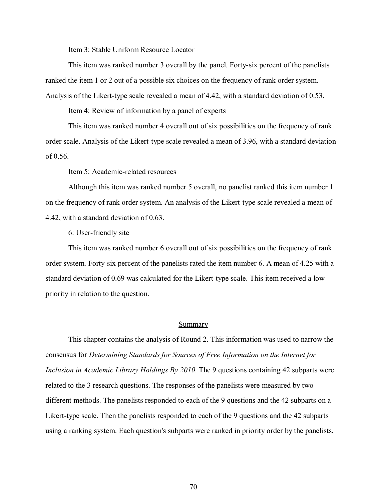#### Item 3: Stable Uniform Resource Locator

This item was ranked number 3 overall by the panel. Forty-six percent of the panelists ranked the item 1 or 2 out of a possible six choices on the frequency of rank order system. Analysis of the Likert-type scale revealed a mean of 4.42, with a standard deviation of 0.53.

# Item 4: Review of information by a panel of experts

This item was ranked number 4 overall out of six possibilities on the frequency of rank order scale. Analysis of the Likert-type scale revealed a mean of 3.96, with a standard deviation of 0.56.

# Item 5: Academic-related resources

Although this item was ranked number 5 overall, no panelist ranked this item number 1 on the frequency of rank order system. An analysis of the Likert-type scale revealed a mean of 4.42, with a standard deviation of 0.63.

## 6: User-friendly site

This item was ranked number 6 overall out of six possibilities on the frequency of rank order system. Forty-six percent of the panelists rated the item number 6. A mean of 4.25 with a standard deviation of 0.69 was calculated for the Likert-type scale. This item received a low priority in relation to the question.

## Summary

This chapter contains the analysis of Round 2. This information was used to narrow the consensus for *Determining Standards for Sources of Free Information on the Internet for Inclusion in Academic Library Holdings By 2010*. The 9 questions containing 42 subparts were related to the 3 research questions. The responses of the panelists were measured by two different methods. The panelists responded to each of the 9 questions and the 42 subparts on a Likert-type scale. Then the panelists responded to each of the 9 questions and the 42 subparts using a ranking system. Each question's subparts were ranked in priority order by the panelists.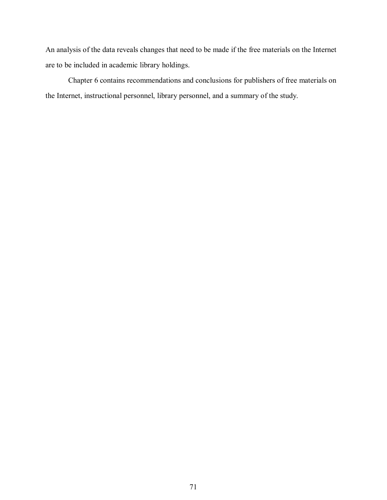An analysis of the data reveals changes that need to be made if the free materials on the Internet are to be included in academic library holdings.

Chapter 6 contains recommendations and conclusions for publishers of free materials on the Internet, instructional personnel, library personnel, and a summary of the study.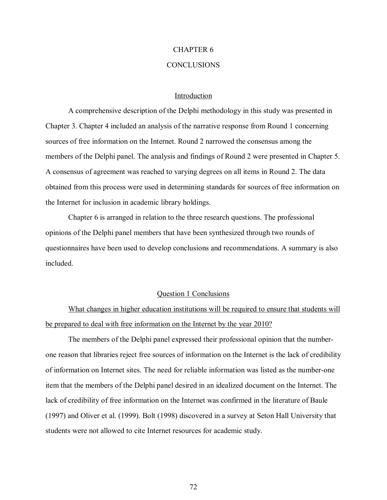# CHAPTER 6

## **CONCLUSIONS**

#### Introduction

A comprehensive description of the Delphi methodology in this study was presented in Chapter 3. Chapter 4 included an analysis of the narrative response from Round 1 concerning sources of free information on the Internet. Round 2 narrowed the consensus among the members of the Delphi panel. The analysis and findings of Round 2 were presented in Chapter 5. A consensus of agreement was reached to varying degrees on all items in Round 2. The data obtained from this process were used in determining standards for sources of free information on the Internet for inclusion in academic library holdings.

Chapter 6 is arranged in relation to the three research questions. The professional opinions of the Delphi panel members that have been synthesized through two rounds of questionnaires have been used to develop conclusions and recommendations. A summary is also included.

#### Question 1 Conclusions

What changes in higher education institutions will be required to ensure that students will be prepared to deal with free information on the Internet by the year 2010?

The members of the Delphi panel expressed their professional opinion that the numberone reason that libraries reject free sources of information on the Internet is the lack of credibility of information on Internet sites. The need for reliable information was listed as the number-one item that the members of the Delphi panel desired in an idealized document on the Internet. The lack of credibility of free information on the Internet was confirmed in the literature of Baule (1997) and Oliver et al. (1999). Bolt (1998) discovered in a survey at Seton Hall University that students were not allowed to cite Internet resources for academic study.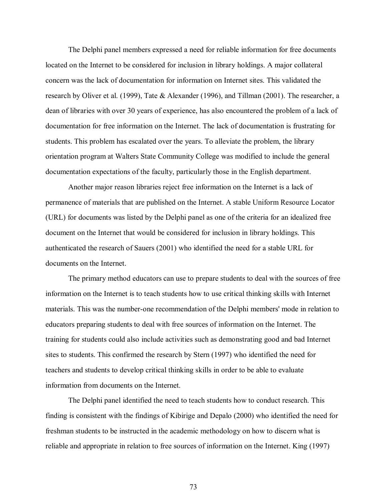The Delphi panel members expressed a need for reliable information for free documents located on the Internet to be considered for inclusion in library holdings. A major collateral concern was the lack of documentation for information on Internet sites. This validated the research by Oliver et al. (1999), Tate & Alexander (1996), and Tillman (2001). The researcher, a dean of libraries with over 30 years of experience, has also encountered the problem of a lack of documentation for free information on the Internet. The lack of documentation is frustrating for students. This problem has escalated over the years. To alleviate the problem, the library orientation program at Walters State Community College was modified to include the general documentation expectations of the faculty, particularly those in the English department.

Another major reason libraries reject free information on the Internet is a lack of permanence of materials that are published on the Internet. A stable Uniform Resource Locator (URL) for documents was listed by the Delphi panel as one of the criteria for an idealized free document on the Internet that would be considered for inclusion in library holdings. This authenticated the research of Sauers (2001) who identified the need for a stable URL for documents on the Internet.

The primary method educators can use to prepare students to deal with the sources of free information on the Internet is to teach students how to use critical thinking skills with Internet materials. This was the number-one recommendation of the Delphi members' mode in relation to educators preparing students to deal with free sources of information on the Internet. The training for students could also include activities such as demonstrating good and bad Internet sites to students. This confirmed the research by Stern (1997) who identified the need for teachers and students to develop critical thinking skills in order to be able to evaluate information from documents on the Internet.

The Delphi panel identified the need to teach students how to conduct research. This finding is consistent with the findings of Kibirige and Depalo (2000) who identified the need for freshman students to be instructed in the academic methodology on how to discern what is reliable and appropriate in relation to free sources of information on the Internet. King (1997)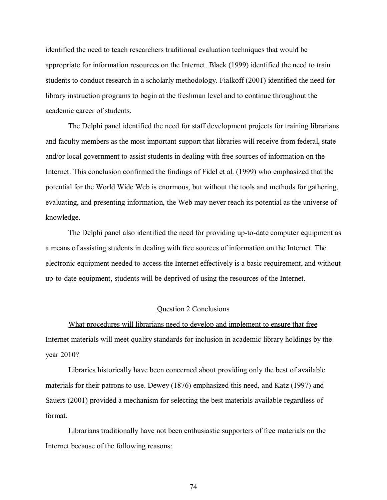identified the need to teach researchers traditional evaluation techniques that would be appropriate for information resources on the Internet. Black (1999) identified the need to train students to conduct research in a scholarly methodology. Fialkoff (2001) identified the need for library instruction programs to begin at the freshman level and to continue throughout the academic career of students.

The Delphi panel identified the need for staff development projects for training librarians and faculty members as the most important support that libraries will receive from federal, state and/or local government to assist students in dealing with free sources of information on the Internet. This conclusion confirmed the findings of Fidel et al. (1999) who emphasized that the potential for the World Wide Web is enormous, but without the tools and methods for gathering, evaluating, and presenting information, the Web may never reach its potential as the universe of knowledge.

The Delphi panel also identified the need for providing up-to-date computer equipment as a means of assisting students in dealing with free sources of information on the Internet. The electronic equipment needed to access the Internet effectively is a basic requirement, and without up-to-date equipment, students will be deprived of using the resources of the Internet.

#### Question 2 Conclusions

What procedures will librarians need to develop and implement to ensure that free Internet materials will meet quality standards for inclusion in academic library holdings by the year 2010?

Libraries historically have been concerned about providing only the best of available materials for their patrons to use. Dewey (1876) emphasized this need, and Katz (1997) and Sauers (2001) provided a mechanism for selecting the best materials available regardless of format.

Librarians traditionally have not been enthusiastic supporters of free materials on the Internet because of the following reasons: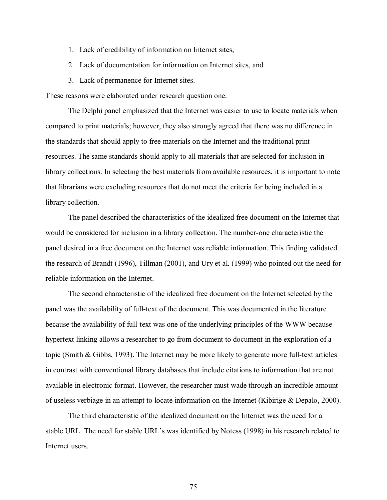- 1. Lack of credibility of information on Internet sites,
- 2. Lack of documentation for information on Internet sites, and
- 3. Lack of permanence for Internet sites.

These reasons were elaborated under research question one.

The Delphi panel emphasized that the Internet was easier to use to locate materials when compared to print materials; however, they also strongly agreed that there was no difference in the standards that should apply to free materials on the Internet and the traditional print resources. The same standards should apply to all materials that are selected for inclusion in library collections. In selecting the best materials from available resources, it is important to note that librarians were excluding resources that do not meet the criteria for being included in a library collection.

The panel described the characteristics of the idealized free document on the Internet that would be considered for inclusion in a library collection. The number-one characteristic the panel desired in a free document on the Internet was reliable information. This finding validated the research of Brandt (1996), Tillman (2001), and Ury et al. (1999) who pointed out the need for reliable information on the Internet.

The second characteristic of the idealized free document on the Internet selected by the panel was the availability of full-text of the document. This was documented in the literature because the availability of full-text was one of the underlying principles of the WWW because hypertext linking allows a researcher to go from document to document in the exploration of a topic (Smith & Gibbs, 1993). The Internet may be more likely to generate more full-text articles in contrast with conventional library databases that include citations to information that are not available in electronic format. However, the researcher must wade through an incredible amount of useless verbiage in an attempt to locate information on the Internet (Kibirige & Depalo, 2000).

The third characteristic of the idealized document on the Internet was the need for a stable URL. The need for stable URL's was identified by Notess (1998) in his research related to Internet users.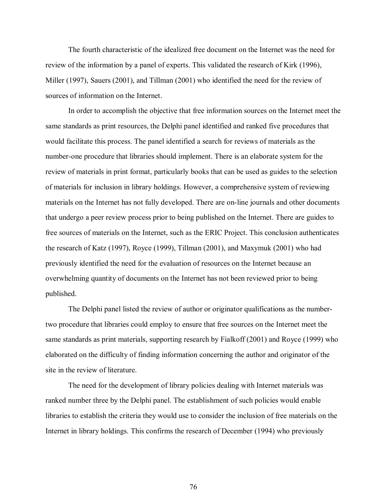The fourth characteristic of the idealized free document on the Internet was the need for review of the information by a panel of experts. This validated the research of Kirk (1996), Miller (1997), Sauers (2001), and Tillman (2001) who identified the need for the review of sources of information on the Internet.

In order to accomplish the objective that free information sources on the Internet meet the same standards as print resources, the Delphi panel identified and ranked five procedures that would facilitate this process. The panel identified a search for reviews of materials as the number-one procedure that libraries should implement. There is an elaborate system for the review of materials in print format, particularly books that can be used as guides to the selection of materials for inclusion in library holdings. However, a comprehensive system of reviewing materials on the Internet has not fully developed. There are on-line journals and other documents that undergo a peer review process prior to being published on the Internet. There are guides to free sources of materials on the Internet, such as the ERIC Project. This conclusion authenticates the research of Katz (1997), Royce (1999), Tillman (2001), and Maxymuk (2001) who had previously identified the need for the evaluation of resources on the Internet because an overwhelming quantity of documents on the Internet has not been reviewed prior to being published.

The Delphi panel listed the review of author or originator qualifications as the numbertwo procedure that libraries could employ to ensure that free sources on the Internet meet the same standards as print materials, supporting research by Fialkoff (2001) and Royce (1999) who elaborated on the difficulty of finding information concerning the author and originator of the site in the review of literature.

The need for the development of library policies dealing with Internet materials was ranked number three by the Delphi panel. The establishment of such policies would enable libraries to establish the criteria they would use to consider the inclusion of free materials on the Internet in library holdings. This confirms the research of December (1994) who previously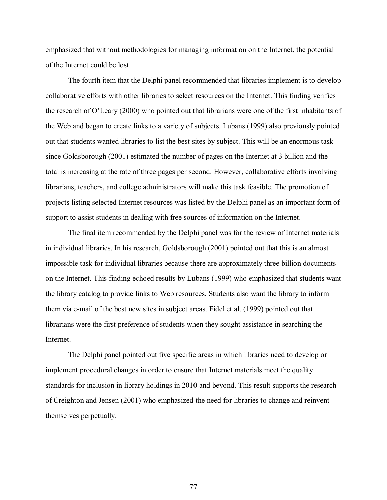emphasized that without methodologies for managing information on the Internet, the potential of the Internet could be lost.

The fourth item that the Delphi panel recommended that libraries implement is to develop collaborative efforts with other libraries to select resources on the Internet. This finding verifies the research of  $O<sup>2</sup>$  Leary (2000) who pointed out that librarians were one of the first inhabitants of the Web and began to create links to a variety of subjects. Lubans (1999) also previously pointed out that students wanted libraries to list the best sites by subject. This will be an enormous task since Goldsborough (2001) estimated the number of pages on the Internet at 3 billion and the total is increasing at the rate of three pages per second. However, collaborative efforts involving librarians, teachers, and college administrators will make this task feasible. The promotion of projects listing selected Internet resources was listed by the Delphi panel as an important form of support to assist students in dealing with free sources of information on the Internet.

The final item recommended by the Delphi panel was for the review of Internet materials in individual libraries. In his research, Goldsborough (2001) pointed out that this is an almost impossible task for individual libraries because there are approximately three billion documents on the Internet. This finding echoed results by Lubans (1999) who emphasized that students want the library catalog to provide links to Web resources. Students also want the library to inform them via e-mail of the best new sites in subject areas. Fidel et al. (1999) pointed out that librarians were the first preference of students when they sought assistance in searching the Internet.

The Delphi panel pointed out five specific areas in which libraries need to develop or implement procedural changes in order to ensure that Internet materials meet the quality standards for inclusion in library holdings in 2010 and beyond. This result supports the research of Creighton and Jensen (2001) who emphasized the need for libraries to change and reinvent themselves perpetually.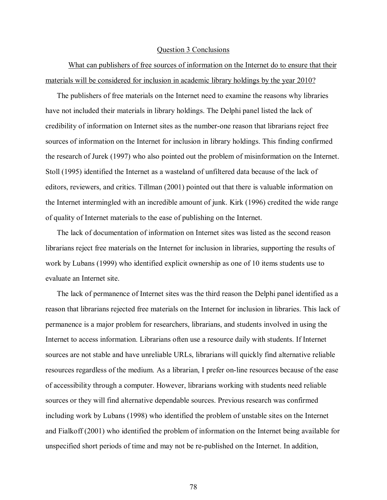#### Question 3 Conclusions

What can publishers of free sources of information on the Internet do to ensure that their materials will be considered for inclusion in academic library holdings by the year 2010?

The publishers of free materials on the Internet need to examine the reasons why libraries have not included their materials in library holdings. The Delphi panel listed the lack of credibility of information on Internet sites as the number-one reason that librarians reject free sources of information on the Internet for inclusion in library holdings. This finding confirmed the research of Jurek (1997) who also pointed out the problem of misinformation on the Internet. Stoll (1995) identified the Internet as a wasteland of unfiltered data because of the lack of editors, reviewers, and critics. Tillman (2001) pointed out that there is valuable information on the Internet intermingled with an incredible amount of junk. Kirk (1996) credited the wide range of quality of Internet materials to the ease of publishing on the Internet.

The lack of documentation of information on Internet sites was listed as the second reason librarians reject free materials on the Internet for inclusion in libraries, supporting the results of work by Lubans (1999) who identified explicit ownership as one of 10 items students use to evaluate an Internet site.

The lack of permanence of Internet sites was the third reason the Delphi panel identified as a reason that librarians rejected free materials on the Internet for inclusion in libraries. This lack of permanence is a major problem for researchers, librarians, and students involved in using the Internet to access information. Librarians often use a resource daily with students. If Internet sources are not stable and have unreliable URLs, librarians will quickly find alternative reliable resources regardless of the medium. As a librarian, I prefer on-line resources because of the ease of accessibility through a computer. However, librarians working with students need reliable sources or they will find alternative dependable sources. Previous research was confirmed including work by Lubans (1998) who identified the problem of unstable sites on the Internet and Fialkoff (2001) who identified the problem of information on the Internet being available for unspecified short periods of time and may not be re-published on the Internet. In addition,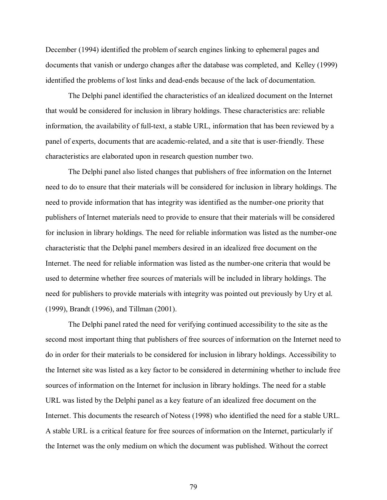December (1994) identified the problem of search engines linking to ephemeral pages and documents that vanish or undergo changes after the database was completed, and Kelley (1999) identified the problems of lost links and dead-ends because of the lack of documentation.

The Delphi panel identified the characteristics of an idealized document on the Internet that would be considered for inclusion in library holdings. These characteristics are: reliable information, the availability of full-text, a stable URL, information that has been reviewed by a panel of experts, documents that are academic-related, and a site that is user-friendly. These characteristics are elaborated upon in research question number two.

The Delphi panel also listed changes that publishers of free information on the Internet need to do to ensure that their materials will be considered for inclusion in library holdings. The need to provide information that has integrity was identified as the number-one priority that publishers of Internet materials need to provide to ensure that their materials will be considered for inclusion in library holdings. The need for reliable information was listed as the number-one characteristic that the Delphi panel members desired in an idealized free document on the Internet. The need for reliable information was listed as the number-one criteria that would be used to determine whether free sources of materials will be included in library holdings. The need for publishers to provide materials with integrity was pointed out previously by Ury et al. (1999), Brandt (1996), and Tillman (2001).

The Delphi panel rated the need for verifying continued accessibility to the site as the second most important thing that publishers of free sources of information on the Internet need to do in order for their materials to be considered for inclusion in library holdings. Accessibility to the Internet site was listed as a key factor to be considered in determining whether to include free sources of information on the Internet for inclusion in library holdings. The need for a stable URL was listed by the Delphi panel as a key feature of an idealized free document on the Internet. This documents the research of Notess (1998) who identified the need for a stable URL. A stable URL is a critical feature for free sources of information on the Internet, particularly if the Internet was the only medium on which the document was published. Without the correct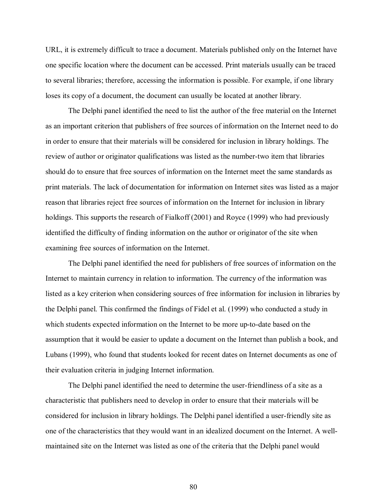URL, it is extremely difficult to trace a document. Materials published only on the Internet have one specific location where the document can be accessed. Print materials usually can be traced to several libraries; therefore, accessing the information is possible. For example, if one library loses its copy of a document, the document can usually be located at another library.

The Delphi panel identified the need to list the author of the free material on the Internet as an important criterion that publishers of free sources of information on the Internet need to do in order to ensure that their materials will be considered for inclusion in library holdings. The review of author or originator qualifications was listed as the number-two item that libraries should do to ensure that free sources of information on the Internet meet the same standards as print materials. The lack of documentation for information on Internet sites was listed as a major reason that libraries reject free sources of information on the Internet for inclusion in library holdings. This supports the research of Fialkoff (2001) and Royce (1999) who had previously identified the difficulty of finding information on the author or originator of the site when examining free sources of information on the Internet.

The Delphi panel identified the need for publishers of free sources of information on the Internet to maintain currency in relation to information. The currency of the information was listed as a key criterion when considering sources of free information for inclusion in libraries by the Delphi panel. This confirmed the findings of Fidel et al. (1999) who conducted a study in which students expected information on the Internet to be more up-to-date based on the assumption that it would be easier to update a document on the Internet than publish a book, and Lubans (1999), who found that students looked for recent dates on Internet documents as one of their evaluation criteria in judging Internet information.

The Delphi panel identified the need to determine the user-friendliness of a site as a characteristic that publishers need to develop in order to ensure that their materials will be considered for inclusion in library holdings. The Delphi panel identified a user-friendly site as one of the characteristics that they would want in an idealized document on the Internet. A wellmaintained site on the Internet was listed as one of the criteria that the Delphi panel would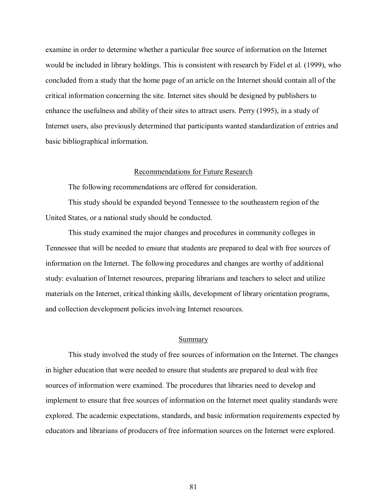examine in order to determine whether a particular free source of information on the Internet would be included in library holdings. This is consistent with research by Fidel et al. (1999), who concluded from a study that the home page of an article on the Internet should contain all of the critical information concerning the site. Internet sites should be designed by publishers to enhance the usefulness and ability of their sites to attract users. Perry (1995), in a study of Internet users, also previously determined that participants wanted standardization of entries and basic bibliographical information.

#### Recommendations for Future Research

The following recommendations are offered for consideration.

This study should be expanded beyond Tennessee to the southeastern region of the United States, or a national study should be conducted.

This study examined the major changes and procedures in community colleges in Tennessee that will be needed to ensure that students are prepared to deal with free sources of information on the Internet. The following procedures and changes are worthy of additional study: evaluation of Internet resources, preparing librarians and teachers to select and utilize materials on the Internet, critical thinking skills, development of library orientation programs, and collection development policies involving Internet resources.

#### Summary

This study involved the study of free sources of information on the Internet. The changes in higher education that were needed to ensure that students are prepared to deal with free sources of information were examined. The procedures that libraries need to develop and implement to ensure that free sources of information on the Internet meet quality standards were explored. The academic expectations, standards, and basic information requirements expected by educators and librarians of producers of free information sources on the Internet were explored.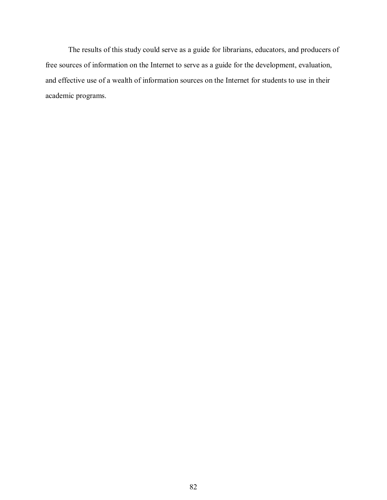The results of this study could serve as a guide for librarians, educators, and producers of free sources of information on the Internet to serve as a guide for the development, evaluation, and effective use of a wealth of information sources on the Internet for students to use in their academic programs.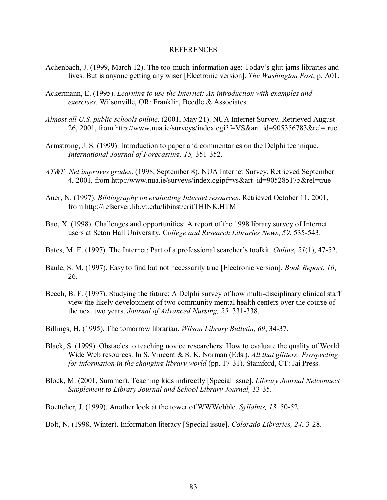#### REFERENCES

- Achenbach, J. (1999, March 12). The too-much-information age: Today's glut jams libraries and lives. But is anyone getting any wiser [Electronic version]. *The Washington Post*, p. A01.
- Ackermann, E. (1995). *Learning to use the Internet: An introduction with examples and exercises*. Wilsonville, OR: Franklin, Beedle & Associates.
- *Almost all U.S. public schools online*. (2001, May 21). NUA Internet Survey. Retrieved August 26, 2001, from http://www.nua.ie/surveys/index.cgi?f=VS&art\_id=905356783&rel=true
- Armstrong, J. S. (1999). Introduction to paper and commentaries on the Delphi technique. *International Journal of Forecasting, 15,* 351-352.
- *AT&T: Net improves grades*. (1998, September 8). NUA Internet Survey. Retrieved September 4, 2001, from http://www.nua.ie/surveys/index.cgipf=vs&art\_id=905285175&rel=true
- Auer, N. (1997). *Bibliography on evaluating Internet resources*. Retrieved October 11, 2001, from http://refserver.lib.vt.edu/libinst/critTHINK.HTM
- Bao, X. (1998). Challenges and opportunities: A report of the 1998 library survey of Internet users at Seton Hall University. C*ollege and Research Libraries News*, *59*, 535-543.
- Bates, M. E. (1997). The Internet: Part of a professional searcher's toolkit. *Online*, 21(1), 47-52.
- Baule, S. M. (1997). Easy to find but not necessarily true [Electronic version]. *Book Report*, *16*, 26.
- Beech, B. F. (1997). Studying the future: A Delphi survey of how multi-disciplinary clinical staff view the likely development of two community mental health centers over the course of the next two years. *Journal of Advanced Nursing, 25,* 331-338.
- Billings, H. (1995). The tomorrow librarian. *Wilson Library Bulletin, 69*, 34-37.
- Black, S. (1999). Obstacles to teaching novice researchers: How to evaluate the quality of World Wide Web resources. In S. Vincent & S. K. Norman (Eds.), *All that glitters: Prospecting for information in the changing library world* (pp. 17-31). Stamford, CT: Jai Press.
- Block, M. (2001, Summer). Teaching kids indirectly [Special issue]. *Library Journal Netconnect Supplement to Library Journal and School Library Journal,* 33-35.

Boettcher, J. (1999). Another look at the tower of WWWebble. *Syllabus, 13,* 50-52.

Bolt, N. (1998, Winter). Information literacy [Special issue]. *Colorado Libraries, 24*, 3-28.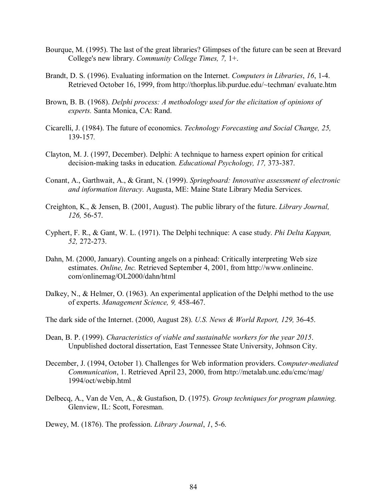- Bourque, M. (1995). The last of the great libraries? Glimpses of the future can be seen at Brevard College's new library. *Community College Times, 7,* 1+.
- Brandt, D. S. (1996). Evaluating information on the Internet. *Computers in Libraries*, *16*, 1-4. Retrieved October 16, 1999, from http://thorplus.lib.purdue.edu/~techman/ evaluate.htm
- Brown, B. B. (1968). *Delphi process: A methodology used for the elicitation of opinions of experts.* Santa Monica, CA: Rand.
- Cicarelli, J. (1984). The future of economics. *Technology Forecasting and Social Change, 25,*  139-157*.*
- Clayton, M. J. (1997, December). Delphi: A technique to harness expert opinion for critical decision-making tasks in education. *Educational Psychology, 17,* 373-387.
- Conant, A., Garthwait, A., & Grant, N. (1999). *Springboard: Innovative assessment of electronic and information literacy.* Augusta, ME: Maine State Library Media Services.
- Creighton, K., & Jensen, B. (2001, August). The public library of the future. *Library Journal, 126,* 56-57.
- Cyphert, F. R., & Gant, W. L. (1971). The Delphi technique: A case study. *Phi Delta Kappan, 52,* 272-273.
- Dahn, M. (2000, January). Counting angels on a pinhead: Critically interpreting Web size estimates. *Online, Inc.* Retrieved September 4, 2001, from http://www.onlineinc. com/onlinemag/OL2000/dahn/html
- Dalkey, N., & Helmer, O. (1963). An experimental application of the Delphi method to the use of experts. *Management Science, 9,* 458-467.
- The dark side of the Internet. (2000, August 28). *U.S. News & World Report, 129,* 36-45.
- Dean, B. P. (1999). *Characteristics of viable and sustainable workers for the year 2015*. Unpublished doctoral dissertation, East Tennessee State University, Johnson City.
- December, J. (1994, October 1). Challenges for Web information providers. C*omputer-mediated Communication*, 1. Retrieved April 23, 2000, from http://metalab.unc.edu/cmc/mag/ 1994/oct/webip.html
- Delbecq, A., Van de Ven, A., & Gustafson, D. (1975). *Group techniques for program planning.* Glenview, IL: Scott, Foresman.

Dewey, M. (1876). The profession. *Library Journal*, *1*, 5-6.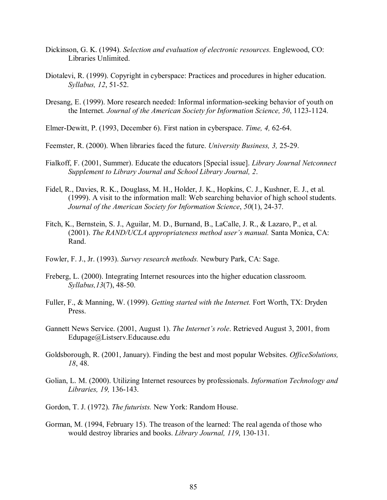- Dickinson, G. K. (1994). *Selection and evaluation of electronic resources.* Englewood, CO: Libraries Unlimited.
- Diotalevi, R. (1999). Copyright in cyberspace: Practices and procedures in higher education. *Syllabus, 12*, 51-52.
- Dresang, E. (1999). More research needed: Informal information-seeking behavior of youth on the Internet*. Journal of the American Society for Information Science, 50*, 1123-1124.
- Elmer-Dewitt, P. (1993, December 6). First nation in cyberspace. *Time, 4,* 62-64.
- Feemster, R. (2000). When libraries faced the future. *University Business, 3,* 25-29.
- Fialkoff, F. (2001, Summer). Educate the educators [Special issue]. *Library Journal Netconnect Supplement to Library Journal and School Library Journal, 2*.
- Fidel, R., Davies, R. K., Douglass, M. H., Holder, J. K., Hopkins, C. J., Kushner, E. J., et al. (1999). A visit to the information mall: Web searching behavior of high school students. *Journal of the American Society for Information Science*, *50*(1), 24-37.
- Fitch, K., Bernstein, S. J., Aguilar, M. D., Burnand, B., LaCalle, J. R., & Lazaro, P., et al. (2001). *The RAND/UCLA appropriateness method user's manual.* Santa Monica, CA: Rand.
- Fowler, F. J., Jr. (1993). *Survey research methods.* Newbury Park, CA: Sage.
- Freberg, L. (2000). Integrating Internet resources into the higher education classroom. *Syllabus,13*(7), 48-50.
- Fuller, F., & Manning, W. (1999). *Getting started with the Internet.* Fort Worth, TX: Dryden Press.
- Gannett News Service. (2001, August 1). *The Internet's role*. Retrieved August 3, 2001, from Edupage@Listserv.Educause.edu
- Goldsborough, R. (2001, January). Finding the best and most popular Websites. *OfficeSolutions, 18*, 48.
- Golian, L. M. (2000). Utilizing Internet resources by professionals. *Information Technology and Libraries, 19,* 136-143.
- Gordon, T. J. (1972). *The futurists.* New York: Random House.
- Gorman, M. (1994, February 15). The treason of the learned: The real agenda of those who would destroy libraries and books. *Library Journal, 119*, 130-131.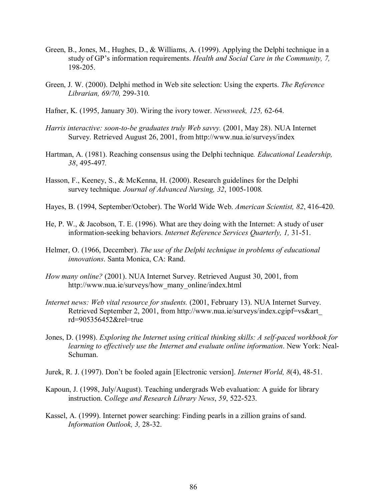- Green, B., Jones, M., Hughes, D., & Williams, A. (1999). Applying the Delphi technique in a study of GP's information requirements. *Health and Social Care in the Community, 7,* 198-205.
- Green, J. W. (2000). Delphi method in Web site selection: Using the experts. *The Reference Librarian, 69/70,* 299-310.
- Hafner, K. (1995, January 30). Wiring the ivory tower. *Newsweek, 125,* 62-64.
- *Harris interactive: soon-to-be graduates truly Web savvy.* (2001, May 28). NUA Internet Survey. Retrieved August 26, 2001, from http://www.nua.ie/surveys/index
- Hartman, A. (1981). Reaching consensus using the Delphi technique*. Educational Leadership, 38*, 495-497*.*
- Hasson, F., Keeney, S., & McKenna, H. (2000). Research guidelines for the Delphi survey technique*. Journal of Advanced Nursing, 32*, 1005-1008*.*
- Hayes, B. (1994, September/October). The World Wide Web. *American Scientist, 82*, 416-420.
- He, P. W., & Jacobson, T. E. (1996). What are they doing with the Internet: A study of user information-seeking behaviors. *Internet Reference Services Quarterly, 1,* 31-51.
- Helmer, O. (1966, December). *The use of the Delphi technique in problems of educational innovations*. Santa Monica, CA: Rand.
- *How many online?* (2001). NUA Internet Survey. Retrieved August 30, 2001, from http://www.nua.ie/surveys/how\_many\_online/index.html
- *Internet news: Web vital resource for students.* (2001, February 13). NUA Internet Survey. Retrieved September 2, 2001, from http://www.nua.ie/surveys/index.cgipf=vs&art\_ rd=905356452&rel=true
- Jones, D. (1998). *Exploring the Internet using critical thinking skills: A self-paced workbook for learning to effectively use the Internet and evaluate online information*. New York: Neal-Schuman.
- Jurek, R. J. (1997). Donít be fooled again [Electronic version]. *Internet World, 8*(4), 48-51.
- Kapoun, J. (1998, July/August). Teaching undergrads Web evaluation: A guide for library instruction. C*ollege and Research Library News*, *59*, 522-523.
- Kassel, A. (1999). Internet power searching: Finding pearls in a zillion grains of sand. *Information Outlook, 3,* 28-32.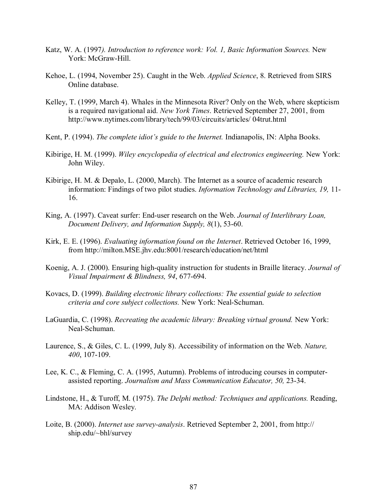- Katz, W. A. (1997*). Introduction to reference work: Vol. 1, Basic Information Sources.* New York: McGraw-Hill.
- Kehoe, L. (1994, November 25). Caught in the Web. *Applied Science*, 8. Retrieved from SIRS Online database.
- Kelley, T. (1999, March 4). Whales in the Minnesota River? Only on the Web, where skepticism is a required navigational aid. *New York Times*. Retrieved September 27, 2001, from http://www.nytimes.com/library/tech/99/03/circuits/articles/ 04trut.html
- Kent, P. (1994). *The complete idiot's guide to the Internet*. Indianapolis, IN: Alpha Books.
- Kibirige, H. M. (1999). *Wiley encyclopedia of electrical and electronics engineering.* New York: John Wiley.
- Kibirige, H. M. & Depalo, L. (2000, March). The Internet as a source of academic research information: Findings of two pilot studies. *Information Technology and Libraries, 19,* 11- 16.
- King, A. (1997). Caveat surfer: End-user research on the Web. *Journal of Interlibrary Loan, Document Delivery, and Information Supply, 8*(1), 53-60.
- Kirk, E. E. (1996). *Evaluating information found on the Internet*. Retrieved October 16, 1999, from http://milton.MSE.jhv.edu:8001/research/education/net/html
- Koenig, A. J. (2000). Ensuring high-quality instruction for students in Braille literacy. *Journal of Visual Impairment & Blindness, 94*, 677-694.
- Kovacs, D. (1999). *Building electronic library collections: The essential guide to selection criteria and core subject collections.* New York: Neal-Schuman.
- LaGuardia, C. (1998). *Recreating the academic library: Breaking virtual ground.* New York: Neal-Schuman.
- Laurence, S., & Giles, C. L. (1999, July 8). Accessibility of information on the Web. *Nature, 400*, 107-109.
- Lee, K. C., & Fleming, C. A. (1995, Autumn). Problems of introducing courses in computerassisted reporting. *Journalism and Mass Communication Educator, 50,* 23-34.
- Lindstone, H., & Turoff, M. (1975). *The Delphi method: Techniques and applications.* Reading, MA: Addison Wesley.
- Loite, B. (2000). *Internet use survey-analysis*. Retrieved September 2, 2001, from http:// ship.edu/~bhl/survey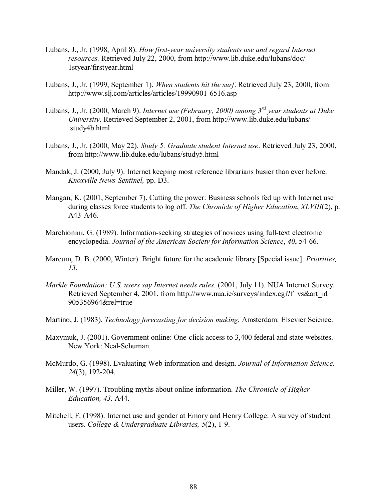- Lubans, J., Jr. (1998, April 8). *How first-year university students use and regard Internet resources.* Retrieved July 22, 2000, from http://www.lib.duke.edu/lubans/doc/ 1styear/firstyear.html
- Lubans, J., Jr. (1999, September 1). *When students hit the surf*. Retrieved July 23, 2000, from http://www.slj.com/articles/articles/19990901-6516.asp
- Lubans, J., Jr. (2000, March 9). *Internet use (February, 2000) among 3rd year students at Duke University*. Retrieved September 2, 2001, from http://www.lib.duke.edu/lubans/ study4b.html
- Lubans, J., Jr. (2000, May 22). *Study 5: Graduate student Internet use*. Retrieved July 23, 2000, from http://www.lib.duke.edu/lubans/study5.html
- Mandak, J. (2000, July 9). Internet keeping most reference librarians busier than ever before. *Knoxville News-Sentinel,* pp. D3.
- Mangan, K. (2001, September 7). Cutting the power: Business schools fed up with Internet use during classes force students to log off. *The Chronicle of Higher Education*, *XLVIII*(2), p. A43-A46.
- Marchionini, G. (1989). Information-seeking strategies of novices using full-text electronic encyclopedia. *Journal of the American Society for Information Science*, *40*, 54-66.
- Marcum, D. B. (2000, Winter). Bright future for the academic library [Special issue]. *Priorities, 13.*
- *Markle Foundation: U.S. users say Internet needs rules.* (2001, July 11). NUA Internet Survey. Retrieved September 4, 2001, from http://www.nua.ie/surveys/index.cgi?f=vs&art\_id= 905356964&rel=true
- Martino, J. (1983). *Technology forecasting for decision making.* Amsterdam: Elsevier Science.
- Maxymuk, J. (2001). Government online: One-click access to 3,400 federal and state websites. New York: Neal-Schuman.
- McMurdo, G. (1998). Evaluating Web information and design. *Journal of Information Science, 24*(3), 192-204.
- Miller, W. (1997). Troubling myths about online information. *The Chronicle of Higher Education, 43,* A44.
- Mitchell, F. (1998). Internet use and gender at Emory and Henry College: A survey of student users. *College & Undergraduate Libraries, 5*(2), 1-9.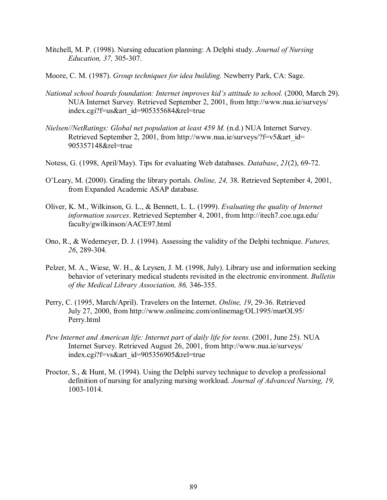- Mitchell, M. P. (1998). Nursing education planning: A Delphi study. *Journal of Nursing Education, 37,* 305-307.
- Moore, C. M. (1987). *Group techniques for idea building.* Newberry Park, CA: Sage.
- *National school boards foundation: Internet improves kidís attitude to school.* (2000, March 29). NUA Internet Survey. Retrieved September 2, 2001, from http://www.nua.ie/surveys/ index.cgi?f=us&art\_id=905355684&rel=true
- *Nielsen//NetRatings: Global net population at least 459 M.* (n.d.) NUA Internet Survey. Retrieved September 2, 2001, from http://www.nua.ie/surveys/?f=v5&art\_id= 905357148&rel=true
- Notess, G. (1998, April/May). Tips for evaluating Web databases. *Database*, *21*(2), 69-72.
- OíLeary, M. (2000). Grading the library portals. *Online, 24,* 38. Retrieved September 4, 2001, from Expanded Academic ASAP database.
- Oliver, K. M., Wilkinson, G. L., & Bennett, L. L. (1999). *Evaluating the quality of Internet information sources*. Retrieved September 4, 2001, from http://itech7.coe.uga.edu/ faculty/gwilkinson/AACE97.html
- Ono, R., & Wedemeyer, D. J. (1994). Assessing the validity of the Delphi technique. *Futures, 26*, 289-304.
- Pelzer, M. A., Wiese, W. H., & Leysen, J. M. (1998, July). Library use and information seeking behavior of veterinary medical students revisited in the electronic environment. *Bulletin of the Medical Library Association, 86,* 346-355.
- Perry, C. (1995, March/April). Travelers on the Internet. *Online, 19*, 29-36. Retrieved July 27, 2000, from http://www.onlineinc.com/onlinemag/OL1995/marOL95/ Perry.html
- *Pew Internet and American life: Internet part of daily life for teens.* (2001, June 25). NUA Internet Survey. Retrieved August 26, 2001, from http://www.nua.ie/surveys/ index.cgi?f=vs&art\_id=905356905&rel=true
- Proctor, S., & Hunt, M. (1994). Using the Delphi survey technique to develop a professional definition of nursing for analyzing nursing workload. *Journal of Advanced Nursing, 19,* 1003-1014.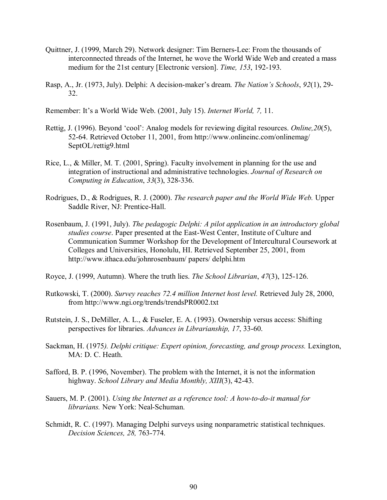- Quittner, J. (1999, March 29). Network designer: Tim Berners-Lee: From the thousands of interconnected threads of the Internet, he wove the World Wide Web and created a mass medium for the 21st century [Electronic version]. *Time, 153*, 192-193.
- Rasp, A., Jr. (1973, July). Delphi: A decision-makerís dream. *The Nationís Schools*, *92*(1), 29- 32.

Remember: It's a World Wide Web. (2001, July 15). *Internet World, 7,* 11.

- Rettig, J. (1996). Beyond 'cool': Analog models for reviewing digital resources. *Online*, 20(5), 52-64. Retrieved October 11, 2001, from http://www.onlineinc.com/onlinemag/ SeptOL/rettig9.html
- Rice, L., & Miller, M. T. (2001, Spring). Faculty involvement in planning for the use and integration of instructional and administrative technologies. *Journal of Research on Computing in Education*, *33*(3), 328-336.
- Rodrigues, D., & Rodrigues, R. J. (2000). *The research paper and the World Wide Web.* Upper Saddle River, NJ: Prentice-Hall.
- Rosenbaum, J. (1991, July). *The pedagogic Delphi: A pilot application in an introductory global studies course*. Paper presented at the East-West Center, Institute of Culture and Communication Summer Workshop for the Development of Intercultural Coursework at Colleges and Universities, Honolulu, HI. Retrieved September 25, 2001, from http://www.ithaca.edu/johnrosenbaum/ papers/ delphi.htm
- Royce, J. (1999, Autumn). Where the truth lies. *The School Librarian*, *47*(3), 125-126.
- Rutkowski, T. (2000). *Survey reaches 72.4 million Internet host level.* Retrieved July 28, 2000, from http://www.ngi.org/trends/trendsPR0002.txt
- Rutstein, J. S., DeMiller, A. L., & Fuseler, E. A. (1993). Ownership versus access: Shifting perspectives for libraries. *Advances in Librarianship, 17*, 33-60.
- Sackman, H. (1975*). Delphi critique: Expert opinion, forecasting, and group process.* Lexington, MA: D. C. Heath.
- Safford, B. P. (1996, November). The problem with the Internet, it is not the information highway. *School Library and Media Monthly, XIII*(3), 42-43.
- Sauers, M. P. (2001). *Using the Internet as a reference tool: A how-to-do-it manual for librarians.* New York: Neal-Schuman.
- Schmidt, R. C. (1997). Managing Delphi surveys using nonparametric statistical techniques. *Decision Sciences, 28,* 763-774.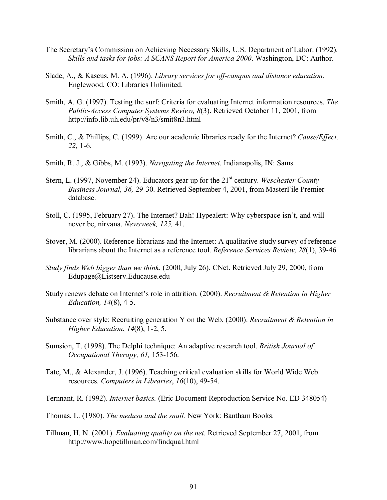- The Secretary's Commission on Achieving Necessary Skills, U.S. Department of Labor. (1992). *Skills and tasks for jobs: A SCANS Report for America 2000*. Washington, DC: Author.
- Slade, A., & Kascus, M. A. (1996). *Library services for off-campus and distance education.* Englewood, CO: Libraries Unlimited.
- Smith, A. G. (1997). Testing the surf: Criteria for evaluating Internet information resources. *The Public-Access Computer Systems Review, 8*(3). Retrieved October 11, 2001, from http://info.lib.uh.edu/pr/v8/n3/smit8n3.html
- Smith, C., & Phillips, C. (1999). Are our academic libraries ready for the Internet? *Cause/Effect, 22,* 1-6.
- Smith, R. J., & Gibbs, M. (1993). *Navigating the Internet*. Indianapolis, IN: Sams.
- Stern, L. (1997, November 24). Educators gear up for the 21<sup>st</sup> century. *Weschester County Business Journal, 36,* 29-30. Retrieved September 4, 2001, from MasterFile Premier database.
- Stoll, C. (1995, February 27). The Internet? Bah! Hypealert: Why cyberspace isn't, and will never be, nirvana. *Newsweek, 125,* 41.
- Stover, M. (2000). Reference librarians and the Internet: A qualitative study survey of reference librarians about the Internet as a reference tool. *Reference Services Review*, *28*(1), 39-46.
- *Study finds Web bigger than we think*. (2000, July 26). CNet. Retrieved July 29, 2000, from Edupage@Listserv.Educause.edu
- Study renews debate on Internet's role in attrition. (2000). *Recruitment & Retention in Higher Education, 14*(8), 4-5.
- Substance over style: Recruiting generation Y on the Web. (2000). *Recruitment & Retention in Higher Education*, *14*(8), 1-2, 5.
- Sumsion, T. (1998). The Delphi technique: An adaptive research tool. *British Journal of Occupational Therapy, 61,* 153-156.
- Tate, M., & Alexander, J. (1996). Teaching critical evaluation skills for World Wide Web resources. *Computers in Libraries*, *16*(10), 49-54.
- Ternnant, R. (1992). *Internet basics.* (Eric Document Reproduction Service No. ED 348054)
- Thomas, L. (1980). *The medusa and the snail.* New York: Bantham Books.
- Tillman, H. N. (2001). *Evaluating quality on the net*. Retrieved September 27, 2001, from http://www.hopetillman.com/findqual.html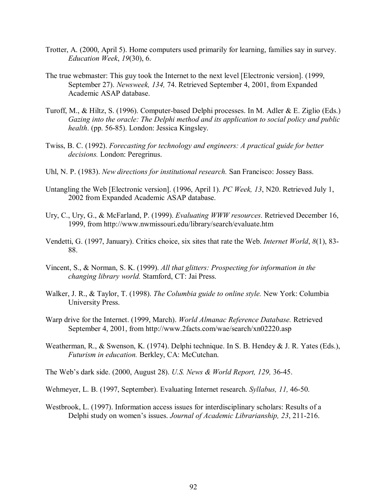- Trotter, A. (2000, April 5). Home computers used primarily for learning, families say in survey. *Education Week*, *19*(30), 6.
- The true webmaster: This guy took the Internet to the next level [Electronic version]. (1999, September 27). *Newsweek, 134,* 74. Retrieved September 4, 2001, from Expanded Academic ASAP database.
- Turoff, M., & Hiltz, S. (1996). Computer-based Delphi processes. In M. Adler & E. Ziglio (Eds.) *Gazing into the oracle: The Delphi method and its application to social policy and public health*. (pp. 56-85). London: Jessica Kingsley.
- Twiss, B. C. (1992). *Forecasting for technology and engineers: A practical guide for better decisions.* London: Peregrinus.
- Uhl, N. P. (1983). *New directions for institutional research.* San Francisco: Jossey Bass.
- Untangling the Web [Electronic version]. (1996, April 1). *PC Week, 13*, N20. Retrieved July 1, 2002 from Expanded Academic ASAP database.
- Ury, C., Ury, G., & McFarland, P. (1999). *Evaluating WWW resources*. Retrieved December 16, 1999, from http://www.nwmissouri.edu/library/search/evaluate.htm
- Vendetti, G. (1997, January). Critics choice, six sites that rate the Web. *Internet World*, *8*(1), 83- 88.
- Vincent, S., & Norman, S. K. (1999). *All that glitters: Prospecting for information in the changing library world.* Stamford, CT: Jai Press.
- Walker, J. R., & Taylor, T. (1998). *The Columbia guide to online style.* New York: Columbia University Press.
- Warp drive for the Internet. (1999, March). *World Almanac Reference Database.* Retrieved September 4, 2001, from http://www.2facts.com/wae/search/xn02220.asp
- Weatherman, R., & Swenson, K. (1974). Delphi technique. In S. B. Hendey & J. R. Yates (Eds.), *Futurism in education.* Berkley, CA: McCutchan.
- The Webís dark side. (2000, August 28). *U.S. News & World Report, 129,* 36-45.
- Wehmeyer, L. B. (1997, September). Evaluating Internet research. *Syllabus, 11,* 46-50.
- Westbrook, L. (1997). Information access issues for interdisciplinary scholars: Results of a Delphi study on women's issues. *Journal of Academic Librarianship*, 23, 211-216.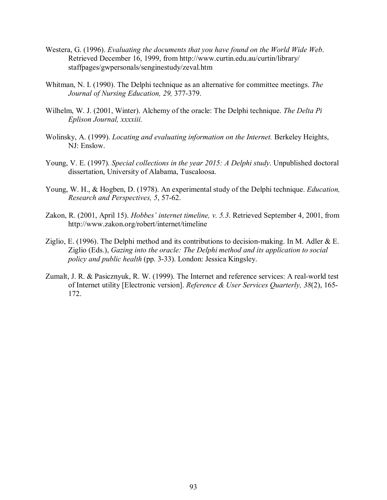- Westera, G. (1996). *Evaluating the documents that you have found on the World Wide Web*. Retrieved December 16, 1999, from http://www.curtin.edu.au/curtin/library/ staffpages/gwpersonals/senginestudy/zeval.htm
- Whitman, N. I. (1990). The Delphi technique as an alternative for committee meetings. *The Journal of Nursing Education, 29,* 377-379.
- Wilhelm, W. J. (2001, Winter). Alchemy of the oracle: The Delphi technique. *The Delta Pi Eplison Journal, xxxxiii.*
- Wolinsky, A. (1999). *Locating and evaluating information on the Internet.* Berkeley Heights, NJ: Enslow.
- Young, V. E. (1997). *Special collections in the year 2015: A Delphi study*. Unpublished doctoral dissertation, University of Alabama, Tuscaloosa.
- Young, W. H., & Hogben, D. (1978). An experimental study of the Delphi technique. *Education, Research and Perspectives, 5*, 57-62.
- Zakon, R. (2001, April 15). *Hobbes' internet timeline*, *v. 5.3*. Retrieved September 4, 2001, from http://www.zakon.org/robert/internet/timeline
- Ziglio, E. (1996). The Delphi method and its contributions to decision-making. In M. Adler  $\&$  E. Ziglio (Eds.), *Gazing into the oracle: The Delphi method and its application to social policy and public health* (pp. 3-33). London: Jessica Kingsley.
- Zumalt, J. R. & Pasicznyuk, R. W. (1999). The Internet and reference services: A real-world test of Internet utility [Electronic version]. *Reference & User Services Quarterly, 38*(2), 165- 172.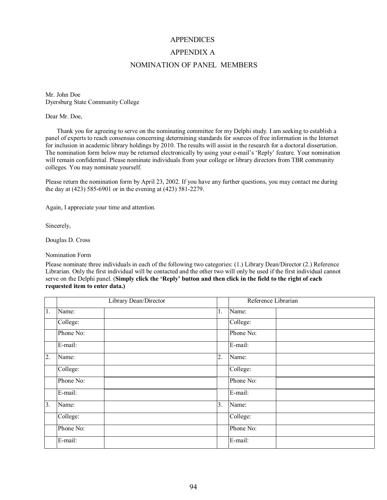# **APPENDICES** APPENDIX A NOMINATION OF PANEL MEMBERS

Mr. John Doe Dyersburg State Community College

Dear Mr. Doe,

Thank you for agreeing to serve on the nominating committee for my Delphi study. I am seeking to establish a panel of experts to reach consensus concerning determining standards for sources of free information in the Internet for inclusion in academic library holdings by 2010. The results will assist in the research for a doctoral dissertation. The nomination form below may be returned electronically by using your e-mail's 'Reply' feature. Your nomination will remain confidential. Please nominate individuals from your college or library directors from TBR community colleges. You may nominate yourself.

Please return the nomination form by April 23, 2002. If you have any further questions, you may contact me during the day at (423) 585-6901 or in the evening at (423) 581-2279.

Again, I appreciate your time and attention.

Sincerely,

Douglas D. Cross

Nomination Form

Please nominate three individuals in each of the following two categories: (1.) Library Dean/Director (2.) Reference Librarian. Only the first individual will be contacted and the other two will only be used if the first individual cannot serve on the Delphi panel. (**Simply click the 'Reply' button and then click in the field to the right of each requested item to enter data.)** 

|    | Library Dean/Director |  |    | Reference Librarian |  |
|----|-----------------------|--|----|---------------------|--|
| 1. | Name:                 |  | 1. | Name:               |  |
|    | College:              |  |    | College:            |  |
|    | Phone No:             |  |    | Phone No:           |  |
|    | E-mail:               |  |    | E-mail:             |  |
| 2. | Name:                 |  | 2. | Name:               |  |
|    | College:              |  |    | College:            |  |
|    | Phone No:             |  |    | Phone No:           |  |
|    | E-mail:               |  |    | E-mail:             |  |
| 3. | Name:                 |  | 3. | Name:               |  |
|    | College:              |  |    | College:            |  |
|    | Phone No:             |  |    | Phone No:           |  |
|    | E-mail:               |  |    | E-mail:             |  |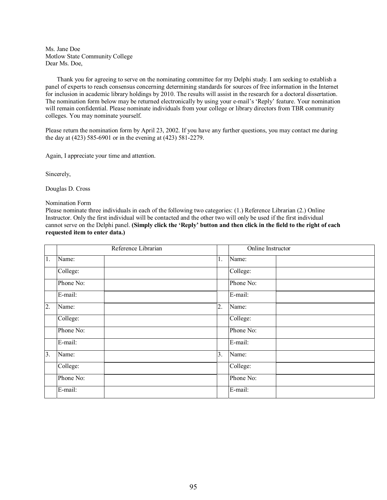Ms. Jane Doe Motlow State Community College Dear Ms. Doe,

Thank you for agreeing to serve on the nominating committee for my Delphi study. I am seeking to establish a panel of experts to reach consensus concerning determining standards for sources of free information in the Internet for inclusion in academic library holdings by 2010. The results will assist in the research for a doctoral dissertation. The nomination form below may be returned electronically by using your e-mail's 'Reply' feature. Your nomination will remain confidential. Please nominate individuals from your college or library directors from TBR community colleges. You may nominate yourself.

Please return the nomination form by April 23, 2002. If you have any further questions, you may contact me during the day at (423) 585-6901 or in the evening at (423) 581-2279.

Again, I appreciate your time and attention.

Sincerely,

Douglas D. Cross

Nomination Form

Please nominate three individuals in each of the following two categories: (1.) Reference Librarian (2.) Online Instructor. Only the first individual will be contacted and the other two will only be used if the first individual cannot serve on the Delphi panel. (Simply click the 'Reply' button and then click in the field to the right of each **requested item to enter data.)** 

|    | Reference Librarian |  |    | Online Instructor |  |
|----|---------------------|--|----|-------------------|--|
| 1. | Name:               |  | 1. | Name:             |  |
|    | College:            |  |    | College:          |  |
|    | Phone No:           |  |    | Phone No:         |  |
|    | E-mail:             |  |    | E-mail:           |  |
| 2. | Name:               |  | 2. | Name:             |  |
|    | College:            |  |    | College:          |  |
|    | Phone No:           |  |    | Phone No:         |  |
|    | E-mail:             |  |    | E-mail:           |  |
| 3. | Name:               |  | 3. | Name:             |  |
|    | College:            |  |    | College:          |  |
|    | Phone No:           |  |    | Phone No:         |  |
|    | E-mail:             |  |    | E-mail:           |  |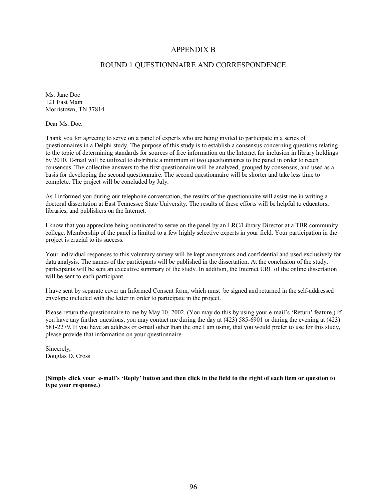#### APPENDIX B

#### ROUND 1 QUESTIONNAIRE AND CORRESPONDENCE

Ms. Jane Doe 121 East Main Morristown, TN 37814

Dear Ms. Doe:

Thank you for agreeing to serve on a panel of experts who are being invited to participate in a series of questionnaires in a Delphi study. The purpose of this study is to establish a consensus concerning questions relating to the topic of determining standards for sources of free information on the Internet for inclusion in library holdings by 2010. E-mail will be utilized to distribute a minimum of two questionnaires to the panel in order to reach consensus. The collective answers to the first questionnaire will be analyzed, grouped by consensus, and used as a basis for developing the second questionnaire. The second questionnaire will be shorter and take less time to complete. The project will be concluded by July.

As I informed you during our telephone conversation, the results of the questionnaire will assist me in writing a doctoral dissertation at East Tennessee State University. The results of these efforts will be helpful to educators, libraries, and publishers on the Internet.

I know that you appreciate being nominated to serve on the panel by an LRC/Library Director at a TBR community college. Membership of the panel is limited to a few highly selective experts in your field. Your participation in the project is crucial to its success.

Your individual responses to this voluntary survey will be kept anonymous and confidential and used exclusively for data analysis. The names of the participants will be published in the dissertation. At the conclusion of the study, participants will be sent an executive summary of the study. In addition, the Internet URL of the online dissertation will be sent to each participant.

I have sent by separate cover an Informed Consent form, which must be signed and returned in the self-addressed envelope included with the letter in order to participate in the project.

Please return the questionnaire to me by May 10, 2002. (You may do this by using your e-mail's 'Return' feature.) If you have any further questions, you may contact me during the day at (423) 585-6901 or during the evening at (423) 581-2279. If you have an address or e-mail other than the one I am using, that you would prefer to use for this study, please provide that information on your questionnaire.

Sincerely, Douglas D. Cross

(Simply click your e-mail's 'Reply' button and then click in the field to the right of each item or question to **type your response.)**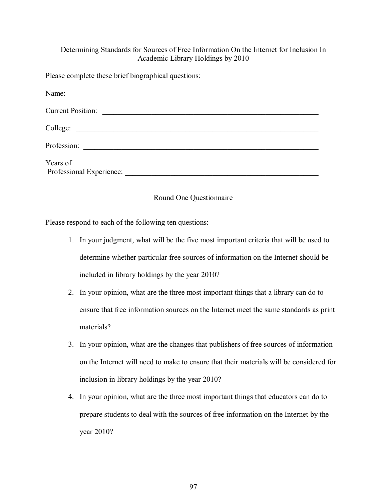# Determining Standards for Sources of Free Information On the Internet for Inclusion In Academic Library Holdings by 2010

Please complete these brief biographical questions:

| Name:                                                       |
|-------------------------------------------------------------|
| <b>Current Position:</b>                                    |
| College:                                                    |
| Profession:<br><u> 1980 - Andrea Andrew Maria (b. 1980)</u> |
| Years of<br>Professional Experience:                        |

# Round One Questionnaire

Please respond to each of the following ten questions:

- 1. In your judgment, what will be the five most important criteria that will be used to determine whether particular free sources of information on the Internet should be included in library holdings by the year 2010?
- 2. In your opinion, what are the three most important things that a library can do to ensure that free information sources on the Internet meet the same standards as print materials?
- 3. In your opinion, what are the changes that publishers of free sources of information on the Internet will need to make to ensure that their materials will be considered for inclusion in library holdings by the year 2010?
- 4. In your opinion, what are the three most important things that educators can do to prepare students to deal with the sources of free information on the Internet by the year 2010?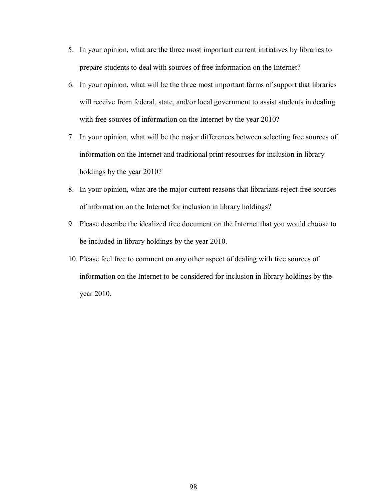- 5. In your opinion, what are the three most important current initiatives by libraries to prepare students to deal with sources of free information on the Internet?
- 6. In your opinion, what will be the three most important forms of support that libraries will receive from federal, state, and/or local government to assist students in dealing with free sources of information on the Internet by the year 2010?
- 7. In your opinion, what will be the major differences between selecting free sources of information on the Internet and traditional print resources for inclusion in library holdings by the year 2010?
- 8. In your opinion, what are the major current reasons that librarians reject free sources of information on the Internet for inclusion in library holdings?
- 9. Please describe the idealized free document on the Internet that you would choose to be included in library holdings by the year 2010.
- 10. Please feel free to comment on any other aspect of dealing with free sources of information on the Internet to be considered for inclusion in library holdings by the year 2010.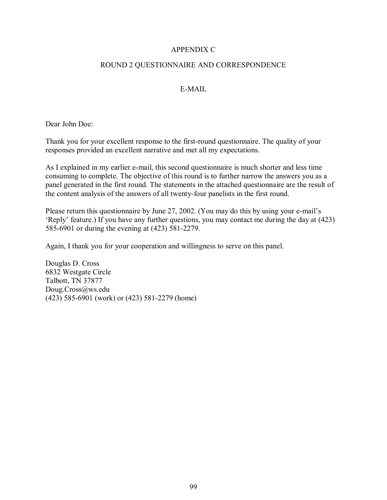## APPENDIX C

### ROUND 2 QUESTIONNAIRE AND CORRESPONDENCE

# E-MAIL

Dear John Doe:

Thank you for your excellent response to the first-round questionnaire. The quality of your responses provided an excellent narrative and met all my expectations.

As I explained in my earlier e-mail, this second questionnaire is much shorter and less time consuming to complete. The objective of this round is to further narrow the answers you as a panel generated in the first round. The statements in the attached questionnaire are the result of the content analysis of the answers of all twenty-four panelists in the first round.

Please return this questionnaire by June 27, 2002. (You may do this by using your e-mail's ëReplyí feature.) If you have any further questions, you may contact me during the day at (423) 585-6901 or during the evening at (423) 581-2279.

Again, I thank you for your cooperation and willingness to serve on this panel.

Douglas D. Cross 6832 Westgate Circle Talbott, TN 37877 Doug.Cross@ws.edu (423) 585-6901 (work) or (423) 581-2279 (home)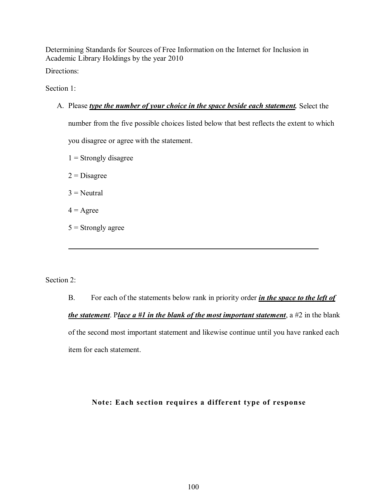Determining Standards for Sources of Free Information on the Internet for Inclusion in Academic Library Holdings by the year 2010 Directions:

Section 1<sup>-</sup>

A. Please *type the number of your choice in the space beside each statement.* Select the

number from the five possible choices listed below that best reflects the extent to which you disagree or agree with the statement.

- $1 =$  Strongly disagree
- $2$  = Disagree
- $3$  = Neutral
- $4 = \text{Agree}$
- $5$  = Strongly agree

Section 2<sup>-</sup>

 $\overline{a}$ 

B. For each of the statements below rank in priority order *in the space to the left of the statement*. P*lace a #1 in the blank of the most important statement*, a #2 in the blank of the second most important statement and likewise continue until you have ranked each item for each statement.

# **Note: Each section requires a different type of response**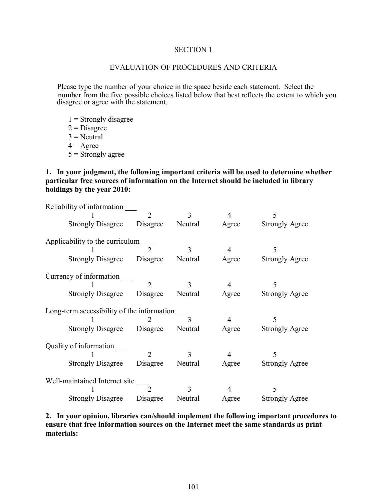## SECTION 1

## EVALUATION OF PROCEDURES AND CRITERIA

 Please type the number of your choice in the space beside each statement. Select the number from the five possible choices listed below that best reflects the extent to which you disagree or agree with the statement.

- $1$  = Strongly disagree
- $2$  = Disagree
- $3 =$ Neutral
- $4 = \text{Agree}$
- $5 =$ Strongly agree

## **1. In your judgment, the following important criteria will be used to determine whether particular free sources of information on the Internet should be included in library holdings by the year 2010:**

| Reliability of information                 |                                 |                  |                |                       |  |  |  |  |  |
|--------------------------------------------|---------------------------------|------------------|----------------|-----------------------|--|--|--|--|--|
|                                            | $\overline{2}$                  | 3                | 4              | 5                     |  |  |  |  |  |
| <b>Strongly Disagree</b>                   |                                 | Disagree Neutral | Agree          | <b>Strongly Agree</b> |  |  |  |  |  |
|                                            |                                 |                  |                |                       |  |  |  |  |  |
|                                            | Applicability to the curriculum |                  |                |                       |  |  |  |  |  |
|                                            |                                 | $\mathcal{E}$    | $\overline{4}$ | 5                     |  |  |  |  |  |
| <b>Strongly Disagree</b> Disagree          |                                 | Neutral          | Agree          | <b>Strongly Agree</b> |  |  |  |  |  |
| Currency of information                    |                                 |                  |                |                       |  |  |  |  |  |
|                                            | $\mathcal{D}$                   | $\mathcal{E}$    |                |                       |  |  |  |  |  |
|                                            |                                 |                  | 4              | 5                     |  |  |  |  |  |
| <b>Strongly Disagree</b> Disagree          |                                 | Neutral          | Agree          | <b>Strongly Agree</b> |  |  |  |  |  |
| Long-term accessibility of the information |                                 |                  |                |                       |  |  |  |  |  |
|                                            |                                 |                  | 4              | 5                     |  |  |  |  |  |
| Strongly Disagree Disagree Neutral         |                                 |                  | Agree          | <b>Strongly Agree</b> |  |  |  |  |  |
|                                            |                                 |                  |                |                       |  |  |  |  |  |
| Quality of information                     |                                 |                  |                |                       |  |  |  |  |  |
|                                            |                                 |                  | 4              | 5                     |  |  |  |  |  |
| Strongly Disagree Disagree                 |                                 | Neutral          | Agree          | <b>Strongly Agree</b> |  |  |  |  |  |
|                                            |                                 |                  |                |                       |  |  |  |  |  |
| Well-maintained Internet site              |                                 |                  |                |                       |  |  |  |  |  |
|                                            |                                 | 3                | 4              |                       |  |  |  |  |  |
| <b>Strongly Disagree</b>                   | Disagree                        | Neutral          | Agree          | <b>Strongly Agree</b> |  |  |  |  |  |

## **2. In your opinion, libraries can/should implement the following important procedures to ensure that free information sources on the Internet meet the same standards as print materials:**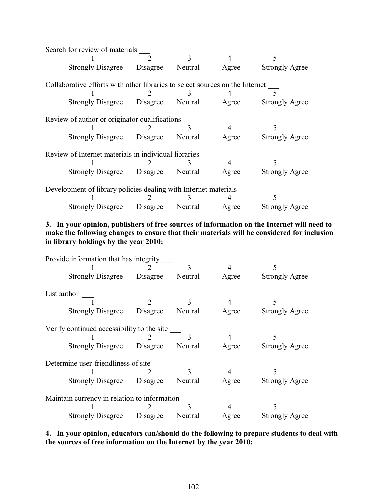| Search for review of materials                                               |                                               |   |       |                       |  |  |  |
|------------------------------------------------------------------------------|-----------------------------------------------|---|-------|-----------------------|--|--|--|
|                                                                              |                                               | 3 | 4     |                       |  |  |  |
| Strongly Disagree Disagree Neutral                                           |                                               |   | Agree | <b>Strongly Agree</b> |  |  |  |
| Collaborative efforts with other libraries to select sources on the Internet |                                               |   |       |                       |  |  |  |
|                                                                              |                                               |   | 4     |                       |  |  |  |
| Strongly Disagree Disagree Neutral Agree Strongly Agree                      |                                               |   |       |                       |  |  |  |
|                                                                              | Review of author or originator qualifications |   |       |                       |  |  |  |
|                                                                              |                                               |   | 4     |                       |  |  |  |
| Strongly Disagree Disagree Neutral                                           |                                               |   | Agree | <b>Strongly Agree</b> |  |  |  |
| Review of Internet materials in individual libraries                         |                                               |   |       |                       |  |  |  |
|                                                                              |                                               |   | 4     |                       |  |  |  |
| Strongly Disagree Disagree Neutral                                           |                                               |   | Agree | <b>Strongly Agree</b> |  |  |  |
| Development of library policies dealing with Internet materials              |                                               |   |       |                       |  |  |  |
|                                                                              |                                               |   |       |                       |  |  |  |
| Strongly Disagree Disagree Neutral Agree Strongly Agree                      |                                               |   |       |                       |  |  |  |

**3. In your opinion, publishers of free sources of information on the Internet will need to make the following changes to ensure that their materials will be considered for inclusion in library holdings by the year 2010:** 

| Provide information that has integrity       |                                            |                |       |                                       |  |  |  |
|----------------------------------------------|--------------------------------------------|----------------|-------|---------------------------------------|--|--|--|
|                                              |                                            | 3              | 4     |                                       |  |  |  |
| Strongly Disagree Disagree Neutral           |                                            |                | Agree | <b>Strongly Agree</b>                 |  |  |  |
| List author                                  |                                            |                |       |                                       |  |  |  |
|                                              |                                            | 3 <sup>1</sup> |       |                                       |  |  |  |
| <b>Strongly Disagree</b>                     |                                            |                |       | Disagree Neutral Agree Strongly Agree |  |  |  |
|                                              | Verify continued accessibility to the site |                |       |                                       |  |  |  |
|                                              |                                            |                |       |                                       |  |  |  |
| Strongly Disagree Disagree Neutral           |                                            |                | Agree | <b>Strongly Agree</b>                 |  |  |  |
| Determine user-friendliness of site          |                                            |                |       |                                       |  |  |  |
|                                              |                                            | $\mathbf{3}$   |       |                                       |  |  |  |
| Strongly Disagree Disagree Neutral           |                                            |                | Agree | <b>Strongly Agree</b>                 |  |  |  |
| Maintain currency in relation to information |                                            |                |       |                                       |  |  |  |
|                                              |                                            | $\mathcal{L}$  |       |                                       |  |  |  |
| Strongly Disagree Disagree Neutral           |                                            |                | Agree | <b>Strongly Agree</b>                 |  |  |  |

**4. In your opinion, educators can/should do the following to prepare students to deal with the sources of free information on the Internet by the year 2010:**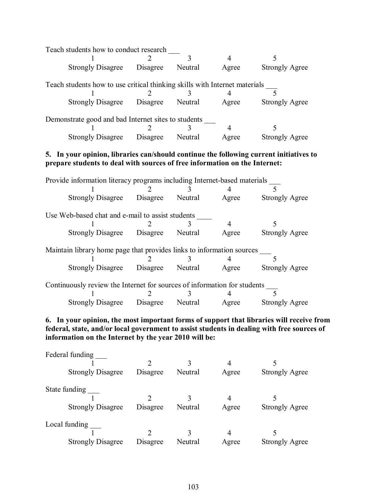|                                                                                                                                                        |  | $\mathbf{3}$  | $\overline{4}$ | 5                     |  |  |  |
|--------------------------------------------------------------------------------------------------------------------------------------------------------|--|---------------|----------------|-----------------------|--|--|--|
| Strongly Disagree Disagree Neutral                                                                                                                     |  |               | Agree          | <b>Strongly Agree</b> |  |  |  |
| Teach students how to use critical thinking skills with Internet materials ______                                                                      |  |               |                |                       |  |  |  |
|                                                                                                                                                        |  |               |                |                       |  |  |  |
| Strongly Disagree Disagree Neutral Agree Strongly Agree                                                                                                |  |               |                |                       |  |  |  |
| Demonstrate good and bad Internet sites to students                                                                                                    |  |               |                |                       |  |  |  |
|                                                                                                                                                        |  | $\mathbf{3}$  | $\overline{4}$ | 5                     |  |  |  |
| Strongly Disagree Disagree Neutral Agree                                                                                                               |  |               |                | <b>Strongly Agree</b> |  |  |  |
| prepare students to deal with sources of free information on the Internet:<br>Provide information literacy programs including Internet-based materials |  | $\mathcal{R}$ | 4              |                       |  |  |  |
| Strongly Disagree Disagree Neutral Agree Strongly Agree                                                                                                |  |               |                |                       |  |  |  |
| Use Web-based chat and e-mail to assist students                                                                                                       |  |               |                |                       |  |  |  |
|                                                                                                                                                        |  | $\mathcal{E}$ | $\overline{4}$ | 5                     |  |  |  |
| Strongly Disagree Disagree Neutral Agree                                                                                                               |  |               |                | <b>Strongly Agree</b> |  |  |  |
| Maintain library home page that provides links to information sources                                                                                  |  |               |                |                       |  |  |  |
|                                                                                                                                                        |  |               |                |                       |  |  |  |
| Strongly Disagree Disagree Neutral Agree Strongly Agree                                                                                                |  |               |                |                       |  |  |  |
|                                                                                                                                                        |  |               |                |                       |  |  |  |

| Continuously review the Internet for sources of information for students |  |  |       |                       |  |  |  |
|--------------------------------------------------------------------------|--|--|-------|-----------------------|--|--|--|
|                                                                          |  |  |       |                       |  |  |  |
| Strongly Disagree Disagree Neutral                                       |  |  | Agree | <b>Strongly Agree</b> |  |  |  |

# **6. In your opinion, the most important forms of support that libraries will receive from federal, state, and/or local government to assist students in dealing with free sources of information on the Internet by the year 2010 will be:**

| Federal funding<br><b>Strongly Disagree</b> | Disagree | Neutral | 4<br>Agree | <b>Strongly Agree</b> |
|---------------------------------------------|----------|---------|------------|-----------------------|
| State funding<br><b>Strongly Disagree</b>   | Disagree | Neutral | 4<br>Agree | <b>Strongly Agree</b> |
| Local funding<br><b>Strongly Disagree</b>   | Disagree | Neutral | 4<br>Agree | <b>Strongly Agree</b> |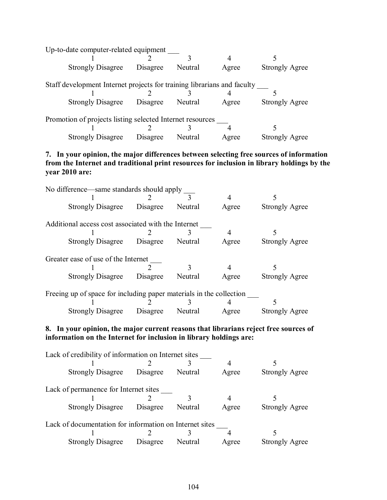| Up-to-date computer-related equipment                     |                                                                         |          |         |       |                       |  |
|-----------------------------------------------------------|-------------------------------------------------------------------------|----------|---------|-------|-----------------------|--|
|                                                           |                                                                         |          |         |       |                       |  |
|                                                           | <b>Strongly Disagree</b>                                                | Disagree | Neutral | Agree | <b>Strongly Agree</b> |  |
|                                                           | Staff development Internet projects for training librarians and faculty |          |         |       |                       |  |
|                                                           |                                                                         |          |         |       |                       |  |
|                                                           | <b>Strongly Disagree</b>                                                | Disagree | Neutral | Agree | <b>Strongly Agree</b> |  |
| Promotion of projects listing selected Internet resources |                                                                         |          |         |       |                       |  |
|                                                           |                                                                         |          |         |       |                       |  |
|                                                           | <b>Strongly Disagree</b>                                                | Disagree | Neutral | Agree | Strongly Agree        |  |

# **7. In your opinion, the major differences between selecting free sources of information from the Internet and traditional print resources for inclusion in library holdings by the year 2010 are:**

| No difference—same standards should apply                           |                            |                  |              |       |                       |  |
|---------------------------------------------------------------------|----------------------------|------------------|--------------|-------|-----------------------|--|
|                                                                     |                            |                  | $\mathbf{3}$ | 4     |                       |  |
|                                                                     | <b>Strongly Disagree</b>   | Disagree         | Neutral      | Agree | <b>Strongly Agree</b> |  |
| Additional access cost associated with the Internet                 |                            |                  |              |       |                       |  |
|                                                                     |                            |                  |              |       |                       |  |
|                                                                     | Strongly Disagree Disagree |                  | Neutral      | Agree | <b>Strongly Agree</b> |  |
| Greater ease of use of the Internet                                 |                            |                  |              |       |                       |  |
|                                                                     |                            |                  |              | 4     |                       |  |
|                                                                     | <b>Strongly Disagree</b>   | Disagree         | Neutral      | Agree | <b>Strongly Agree</b> |  |
| Freeing up of space for including paper materials in the collection |                            |                  |              |       |                       |  |
|                                                                     |                            |                  |              |       |                       |  |
|                                                                     | <b>Strongly Disagree</b>   | Disagree Neutral |              | Agree | Strongly Agree        |  |

# **8. In your opinion, the major current reasons that librarians reject free sources of information on the Internet for inclusion in library holdings are:**

|  | Lack of credibility of information on Internet sites    |          |         |       |                       |  |  |
|--|---------------------------------------------------------|----------|---------|-------|-----------------------|--|--|
|  |                                                         |          |         |       |                       |  |  |
|  | <b>Strongly Disagree</b>                                | Disagree | Neutral | Agree | <b>Strongly Agree</b> |  |  |
|  |                                                         |          |         |       |                       |  |  |
|  | Lack of permanence for Internet sites                   |          |         |       |                       |  |  |
|  |                                                         |          |         |       |                       |  |  |
|  | <b>Strongly Disagree</b>                                | Disagree | Neutral | Agree | <b>Strongly Agree</b> |  |  |
|  |                                                         |          |         |       |                       |  |  |
|  | Lack of documentation for information on Internet sites |          |         |       |                       |  |  |
|  |                                                         |          |         |       |                       |  |  |
|  | <b>Strongly Disagree</b>                                | Disagree | Neutral | Agree | <b>Strongly Agree</b> |  |  |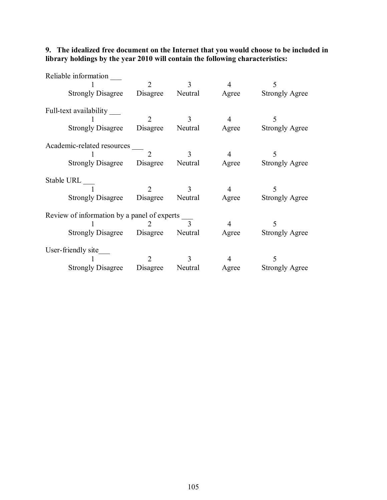## **9. The idealized free document on the Internet that you would choose to be included in library holdings by the year 2010 will contain the following characteristics:**

| Reliable information<br>Strongly Disagree Disagree Neutral Agree Strongly Agree                          | $\overline{2}$           | 3 <sup>1</sup> | $\overline{4}$ | 5                          |
|----------------------------------------------------------------------------------------------------------|--------------------------|----------------|----------------|----------------------------|
| Full-text availability<br>Strongly Disagree Disagree Neutral Agree Strongly Agree                        | 2                        | 3              | $\overline{4}$ | 5                          |
| Academic-related resources<br>Strongly Disagree Disagree Neutral Agree Strongly Agree                    | $\overline{\phantom{a}}$ | 3 <sup>1</sup> | $\overline{4}$ | 5                          |
| Stable URL<br>Strongly Disagree Disagree Neutral Agree Strongly Agree                                    | 2                        | $\overline{3}$ | $\overline{4}$ | 5                          |
| Review of information by a panel of experts _<br>Strongly Disagree Disagree Neutral Agree Strongly Agree |                          |                | $\overline{4}$ |                            |
| User-friendly site<br>Strongly Disagree Disagree Neutral Agree                                           | $2^{\circ}$              | 3 <sup>7</sup> | 4              | 5<br><b>Strongly Agree</b> |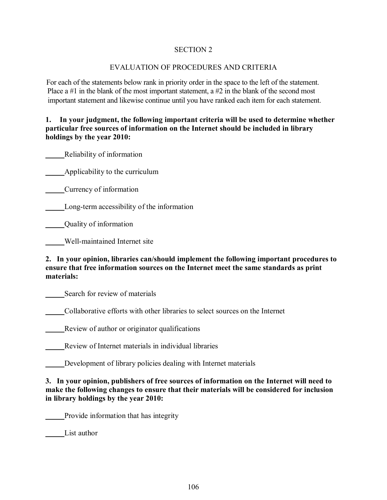# SECTION 2

# EVALUATION OF PROCEDURES AND CRITERIA

For each of the statements below rank in priority order in the space to the left of the statement. Place a  $#1$  in the blank of the most important statement, a  $#2$  in the blank of the second most important statement and likewise continue until you have ranked each item for each statement. P i

# **1. In your judgment, the following important criteria will be used to determine whether particular free sources of information on the Internet should be included in library holdings by the year 2010:**

\_\_\_\_\_Reliability of information

**Example 2** Applicability to the curriculum

\_\_\_\_\_Currency of information

\_\_\_\_\_Long-term accessibility of the information

\_\_\_\_\_Quality of information

\_\_\_\_\_Well-maintained Internet site

# **2. In your opinion, libraries can/should implement the following important procedures to ensure that free information sources on the Internet meet the same standards as print materials:**

Search for review of materials

\_\_\_\_\_Collaborative efforts with other libraries to select sources on the Internet

\_\_\_\_\_Review of author or originator qualifications

Review of Internet materials in individual libraries

\_\_\_\_\_Development of library policies dealing with Internet materials

**3. In your opinion, publishers of free sources of information on the Internet will need to make the following changes to ensure that their materials will be considered for inclusion in library holdings by the year 2010:** 

\_\_\_\_\_Provide information that has integrity

List author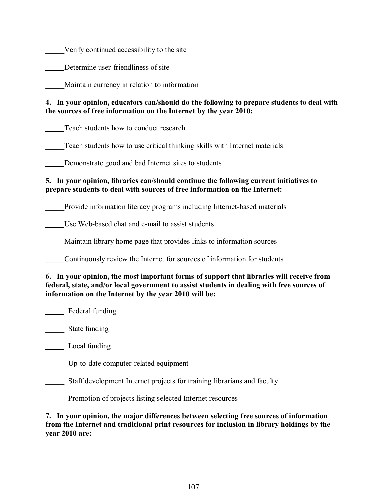\_\_\_\_\_Verify continued accessibility to the site

Determine user-friendliness of site

\_\_\_\_\_Maintain currency in relation to information

# **4. In your opinion, educators can/should do the following to prepare students to deal with the sources of free information on the Internet by the year 2010:**

Teach students how to conduct research

\_\_\_\_\_Teach students how to use critical thinking skills with Internet materials

Demonstrate good and bad Internet sites to students

# **5. In your opinion, libraries can/should continue the following current initiatives to prepare students to deal with sources of free information on the Internet:**

\_\_\_\_\_Provide information literacy programs including Internet-based materials

\_\_\_\_\_Use Web-based chat and e-mail to assist students

\_\_\_\_\_Maintain library home page that provides links to information sources

\_\_\_\_\_Continuously review the Internet for sources of information for students

# **6. In your opinion, the most important forms of support that libraries will receive from federal, state, and/or local government to assist students in dealing with free sources of information on the Internet by the year 2010 will be:**

Federal funding

\_\_\_\_\_ State funding

\_\_\_\_\_ Local funding

\_\_\_\_\_ Up-to-date computer-related equipment

\_\_\_\_\_ Staff development Internet projects for training librarians and faculty

Promotion of projects listing selected Internet resources

**7. In your opinion, the major differences between selecting free sources of information from the Internet and traditional print resources for inclusion in library holdings by the year 2010 are:**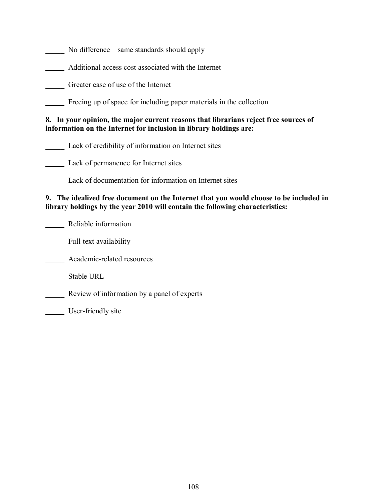No difference—same standards should apply

\_\_\_\_\_ Additional access cost associated with the Internet

\_\_\_\_\_ Greater ease of use of the Internet

\_\_\_\_\_ Freeing up of space for including paper materials in the collection

### **8. In your opinion, the major current reasons that librarians reject free sources of information on the Internet for inclusion in library holdings are:**

\_\_\_\_\_ Lack of credibility of information on Internet sites

\_\_\_\_\_ Lack of permanence for Internet sites

\_\_\_\_\_ Lack of documentation for information on Internet sites

## **9. The idealized free document on the Internet that you would choose to be included in library holdings by the year 2010 will contain the following characteristics:**

\_\_\_\_\_ Reliable information

\_\_\_\_\_\_ Full-text availability

Academic-related resources

\_\_\_\_\_ Stable URL

\_\_\_\_\_ Review of information by a panel of experts

User-friendly site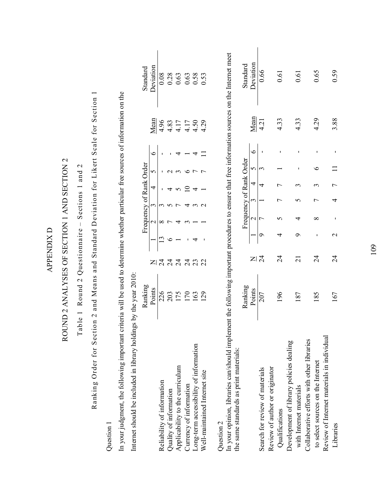| Internet should be included in library holdin                                                                                                                                             | gs by the year 2010: |                                                        |                  |                         |   |   |            |           |                                      |                                             |
|-------------------------------------------------------------------------------------------------------------------------------------------------------------------------------------------|----------------------|--------------------------------------------------------|------------------|-------------------------|---|---|------------|-----------|--------------------------------------|---------------------------------------------|
|                                                                                                                                                                                           | Ranking              |                                                        |                  | Frequency of Rank Order |   |   |            |           |                                      | Standard                                    |
|                                                                                                                                                                                           | Points               |                                                        |                  | $\mathcal{C}$           |   | 4 | 5          | $\bullet$ | Jean                                 | Deviation                                   |
| Reliability of information                                                                                                                                                                | 226                  | $\Xi$ $\frac{2}{4}$                                    |                  | ∞                       |   |   |            |           | 4.96                                 | 0.08                                        |
| Quality of information                                                                                                                                                                    |                      | $\overline{c}$                                         |                  |                         |   |   |            |           |                                      |                                             |
| Applicability to the curriculum                                                                                                                                                           | 203                  | $\overline{z}$                                         |                  |                         |   |   |            |           | $4.17$<br>$4.17$<br>$4.17$<br>$4.50$ | $\begin{array}{c} 0.28 \\ 0.63 \end{array}$ |
| Currency of information                                                                                                                                                                   | 170                  | $\overline{24}$                                        |                  |                         |   |   |            |           |                                      | 0.58                                        |
| Long-term accessibility of information                                                                                                                                                    | 163                  | 23                                                     |                  |                         |   |   |            | 4         |                                      |                                             |
| Well-maintained Internet site                                                                                                                                                             | 29                   | 22                                                     |                  |                         | ᠭ |   |            |           | 4.29                                 | 0.53                                        |
| Question 2                                                                                                                                                                                |                      |                                                        |                  |                         |   |   |            |           |                                      |                                             |
| In your opinion, libraries can/should implement the following important procedures to ensure that free information sources on the Internet meet<br>the same standards as print materials: |                      |                                                        |                  |                         |   |   |            |           |                                      |                                             |
|                                                                                                                                                                                           | Ranking              |                                                        |                  | Frequency of Rank Order |   |   |            |           |                                      | Standard                                    |
|                                                                                                                                                                                           | Points               |                                                        |                  | $\mathcal{C}$           | 3 | 4 | 5          | $\bullet$ | Mean                                 | Deviation                                   |
| Search for review of materials                                                                                                                                                            | 207                  | $\Xi$ । $\stackrel{\scriptstyle >}{\scriptstyle \sim}$ | ഗ                |                         |   | 4 | $\epsilon$ |           | 4.21                                 | 0.66                                        |
| Review of author or originator                                                                                                                                                            |                      |                                                        |                  |                         |   |   |            |           |                                      |                                             |
| Qualifications                                                                                                                                                                            | 196                  | $\overline{\mathcal{L}}$                               | 4                |                         |   |   |            |           | 4.33                                 | 0.61                                        |
| Development of library policies dealing                                                                                                                                                   |                      |                                                        |                  |                         |   |   |            |           |                                      |                                             |
| with Internet materials                                                                                                                                                                   | 187                  | $\overline{c}$                                         | ⌒                | 4                       | 5 | ς |            |           | 4.33                                 | $\overline{0.6}$                            |
| Collaborative efforts with other libraries                                                                                                                                                |                      |                                                        |                  |                         |   |   |            |           |                                      |                                             |
| to select sources on the Internet                                                                                                                                                         | 185                  | $\overline{2}$                                         | ï                | ∞                       |   | ς | ७          |           | 4.29                                 | 0.65                                        |
| Review of Internet materials in individual                                                                                                                                                |                      |                                                        |                  |                         |   |   |            |           |                                      |                                             |
| Libraries                                                                                                                                                                                 | 167                  | $\overline{24}$                                        | $\mathrel{\sim}$ |                         | 4 |   |            |           | 3.88                                 | 0.59                                        |

# **APPENDIX D** APPENDIX D

# ROUND 2 ANALYSES OF SECTION 1 AND SECTION 2 ROUND 2 ANALYSES OF SECTION 1 AND SECTION 2

Table 1 Round 2 Questionnaire – Sections 1 and 2 Table 1 Round 2 Questionnaire - Sections 1 and 2 Ranking Order for Section 2 and Means and Standard Deviation for Likert Scale for Section 1 Ranking Order for Section 2 and Means and Standard Deviation for Likert Scale for Section 1

In your judgment, the following important criteria will be used to determine whether particular free sources of information on the

In your judgment, the following important criteria will be used to determine whether particular free sources of information on the

Question 1 Question 1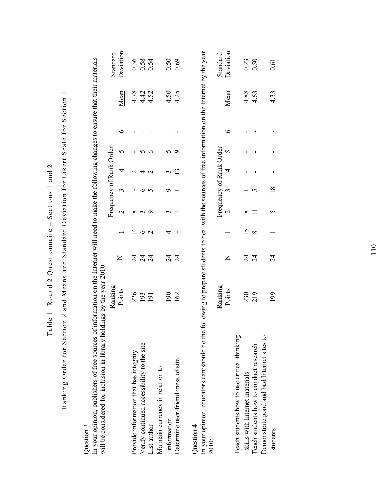| In your opinion, publishers of free sources of information on the Internet will need to make the following changes to ensure that their materials<br>will be considered for inclusion in library holdings by the year 2010:<br>Question 3 | Ranking          |                          |                 |               | Frequency of Rank Order |                 |   |   |      | Standard  |
|-------------------------------------------------------------------------------------------------------------------------------------------------------------------------------------------------------------------------------------------|------------------|--------------------------|-----------------|---------------|-------------------------|-----------------|---|---|------|-----------|
|                                                                                                                                                                                                                                           | Points           | $\mathsf{Z}$             |                 | $\mathbf 2$   | 3                       | 4               | 5 | ७ | Mean | Deviation |
| Provide information that has integrity                                                                                                                                                                                                    | 226              | $\overline{c}$           | $\overline{4}$  | ∞             |                         |                 |   |   | 4.78 | 0.36      |
| Verify continued accessibility to the site                                                                                                                                                                                                | 193              | $\overline{24}$          | $\circ$         |               | ∘                       |                 |   |   | 4.42 | 0.58      |
| List author                                                                                                                                                                                                                               | $\overline{191}$ | $\overline{24}$          | $\mathbf{\sim}$ | ⌒             | 5                       | $\mathbf{\sim}$ | ℃ |   | 4.52 | 0.54      |
| Maintain currency in relation to                                                                                                                                                                                                          |                  |                          |                 |               |                         |                 |   |   |      |           |
| information                                                                                                                                                                                                                               | 190              | $\overline{\mathcal{A}}$ |                 |               | σ                       |                 | 5 |   | 4.50 | 0.50      |
| Determine user-friendliness of site                                                                                                                                                                                                       | 162              | $\overline{24}$          |                 |               |                         | ഇ               | ᡋ |   | 4.25 | 0.69      |
| In your opinion, educators can/should do the following to prepare students to deal with the sources of free information on the Internet by the year<br>Question $4$<br>2010:                                                              |                  |                          |                 |               |                         |                 |   |   |      |           |
|                                                                                                                                                                                                                                           | Ranking          |                          |                 |               | Frequency of Rank Order |                 |   |   |      | Standard  |
|                                                                                                                                                                                                                                           | Points           | $\mathsf{z}$             |                 | $\mathcal{L}$ | 3                       | 4               | 5 | ৩ | Mean | Deviation |
| Teach students how to use critical thinking                                                                                                                                                                                               |                  |                          |                 |               |                         |                 |   |   |      |           |
| skills with Internet materials                                                                                                                                                                                                            | 230              | $\overline{24}$          | $\overline{15}$ | ∞             |                         |                 |   |   | 4.88 | 0.23      |
| Teach students how to conduct research                                                                                                                                                                                                    | 219              | $\overline{24}$          | $\infty$        |               |                         |                 |   |   | 4.63 | 0.50      |
| Demonstrate good and bad Internet sites to                                                                                                                                                                                                |                  |                          |                 |               |                         |                 |   |   |      |           |
| students                                                                                                                                                                                                                                  | 199              | $\overline{c}$           |                 |               | $\frac{8}{18}$          |                 |   |   | 4.33 | 0.61      |

Table 1 Round 2 Questionnaire - Sections 1 and 2 Table 1 Round 2 Questionnaire – Sections 1 and 2

Ranking Order for Section 2 and Means and Standard Deviation for Likert Scale for Section 1 Ranking Order for Section 2 and Means and Standard Deviation for Likert Scale for Section 1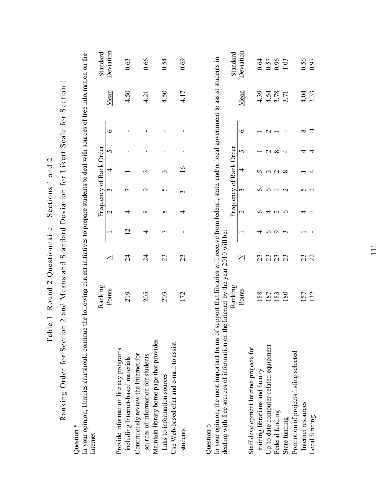| J<br>ť                                                 |
|--------------------------------------------------------|
| $\frac{1}{2}$                                          |
| j                                                      |
| $-10.7$<br>c המנוט<br>ζ<br>I                           |
| ֧֖֧֧֚֚֚֚֚֚֚֚֚֚֚֚֚֚֚֚֚֚֚֚֚֚֚֚֚֚֚֚֚֚֚֚֚֚֚֝֬֝֓֝<br>l<br>Ó |
|                                                        |
|                                                        |
| י<br>יי נו<br>$\frac{1}{2}$<br>ï<br>ľ                  |
| f,                                                     |
| $\frac{1}{2}$<br>.<br>E                                |
|                                                        |

Ranking Order for Section 2 and Means and Standard Deviation for Likert Scale for Section 1 Ranking Order for Section 2 and Means and Standard Deviation for Likert Scale for Section 1

Question 5 Question 5

In your opinion, libraries can/should continue the following current initiatives to prepare students to deal with sources of free information on the In your opinion, libraries can/should continue the following current initiatives to prepare students to deal with sources of free information on the Internet: Internet:

|                                          | Ranking |    |                      | Frequency of Rank Order |  |         |      | Standard  |
|------------------------------------------|---------|----|----------------------|-------------------------|--|---------|------|-----------|
|                                          | Points  |    | $\frac{2}{\sqrt{2}}$ |                         |  | $\circ$ | Mean | Deviation |
| Provide information literacy programs    |         |    |                      |                         |  |         |      |           |
| including Internet-based materials       | 219     | 24 |                      |                         |  |         | 4.50 | 0.63      |
| Continuously review the Internet for     |         |    |                      |                         |  |         |      |           |
| sources of information for students      | 205     | 24 |                      |                         |  |         | 4.21 | 0.66      |
| Maintain library home page that provides |         |    |                      |                         |  |         |      |           |
| links to information sources             | 203     | 23 |                      |                         |  |         | 4.50 | 0.54      |
| Use Web-based chat and e-mail to assist  |         |    |                      |                         |  |         |      |           |
| students                                 | 172     | 23 |                      |                         |  |         | 4.17 | 0.69      |
|                                          |         |    |                      |                         |  |         |      |           |
|                                          |         |    |                      |                         |  |         |      |           |

Question 6 Question 6

In your opinion, the most important forms of support that libraries will receive from federal, state, and/or local government to assist students in In your opinion, the most important forms of support that libraries will receive from federal, state, and/or local government to assist students in dealing with free sources of information on the Internet by the year 2010 will be: dealing with free sources of information on the Internet by the year 2010 will be:

|                                         |                      |    |  | uency of Rank C |  |        |                      | Standard                                                    |
|-----------------------------------------|----------------------|----|--|-----------------|--|--------|----------------------|-------------------------------------------------------------|
|                                         | Points               |    |  |                 |  | $\sim$ | <b>Jean</b>          | Jeviation                                                   |
| Staff development Internet projects for |                      |    |  |                 |  |        |                      |                                                             |
| training librarians and faculty         | 188                  |    |  |                 |  |        |                      |                                                             |
| Up-to-date computer-related equipment   | 187                  |    |  |                 |  |        |                      |                                                             |
| Federal funding                         | 183<br>180           | ೧೧ |  |                 |  |        | 4.39<br>4.54<br>3.71 | $\begin{array}{c} 0.64 \\ 0.57 \\ 0.96 \\ 1.03 \end{array}$ |
| State funding                           |                      | 23 |  |                 |  |        |                      |                                                             |
| Promotion of projects listing selected  |                      |    |  |                 |  |        |                      |                                                             |
| Internet resources                      | 157                  |    |  |                 |  |        | $4.04$<br>3.33       | 0.56<br>0.97                                                |
| Local funding                           | $\widetilde{\omega}$ |    |  |                 |  |        |                      |                                                             |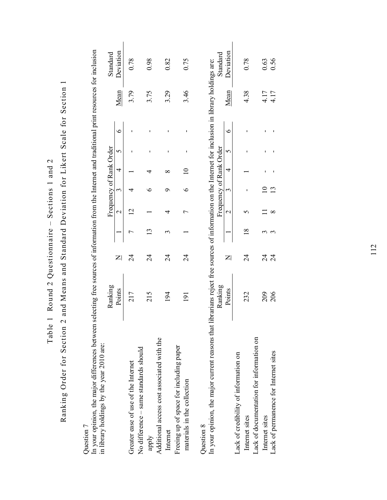Table 1 Round 2 Questionnaire - Sections 1 and 2 Table 1 Round 2 Questionnaire – Sections 1 and 2

Ranking Order for Section 2 and Means and Standard Deviation for Likert Scale for Section 1 Ranking Order for Section 2 and Means and Standard Deviation for Likert Scale for Section 1

Question 7 Question 7

Standard<br>Deviation In your opinion, the major differences between selecting free sources of information from the Internet and traditional print resources for inclusion<br>in library holdings by the year 2010 are: In your opinion, the major differences between selecting free sources of information from the Internet and traditional print resources for inclusion Frequency of Rank Order Ranking<br>Points in library holdings by the year 2010 are:

Ranking<br>
Frequency of Rank Order

Standard Deviation

|                                                                                                                                                                    | Points            |    | 2 3 4 5 |                         |  | $\ddot{\circ}$ | Mean | Deviation             |
|--------------------------------------------------------------------------------------------------------------------------------------------------------------------|-------------------|----|---------|-------------------------|--|----------------|------|-----------------------|
| Greater ease of use of the Internet                                                                                                                                | 217               | 24 |         |                         |  |                | 3.79 | 0.78                  |
| No difference - same standards should<br>apply                                                                                                                     | 215               | 24 |         |                         |  |                | 3.75 | 0.98                  |
| Additional access cost associated with the<br>Internet                                                                                                             | 194               | 24 |         |                         |  |                | 3.29 | 0.82                  |
| Freeing up of space for including paper<br>materials in the collection                                                                                             | $\overline{191}$  | 24 |         |                         |  |                | 3.46 | 0.75                  |
| In your opinion, the major current reasons that librarians reject free sources of information on the Internet for inclusion in library holdings are:<br>Question 8 |                   |    |         |                         |  |                |      |                       |
|                                                                                                                                                                    | Ranking<br>Points |    | $\sim$  | Frequency of Rank Order |  |                | Mean | Deviation<br>Standard |
| Lack of credibility of information on                                                                                                                              |                   |    |         |                         |  |                |      |                       |

|                                         |        |    |  | $\frac{1}{2}$ and $\frac{1}{2}$ and $\frac{1}{2}$ and $\frac{1}{2}$ |  |             | <b>Dunitary</b> |
|-----------------------------------------|--------|----|--|---------------------------------------------------------------------|--|-------------|-----------------|
|                                         | Points |    |  |                                                                     |  | <u>Jean</u> | Deviation       |
| ack of credibility of information on    |        |    |  |                                                                     |  |             |                 |
| Internet sites                          | 232    | 24 |  |                                                                     |  | $+38$       | 0.78            |
| ack of documentation for information on |        |    |  |                                                                     |  |             |                 |
| Internet sites                          | 209    |    |  |                                                                     |  | 4.17        | $0.63$<br>0.56  |
| ack of permanence for Internet sites    | 206    | 24 |  |                                                                     |  | 4.17        |                 |
|                                         |        |    |  |                                                                     |  |             |                 |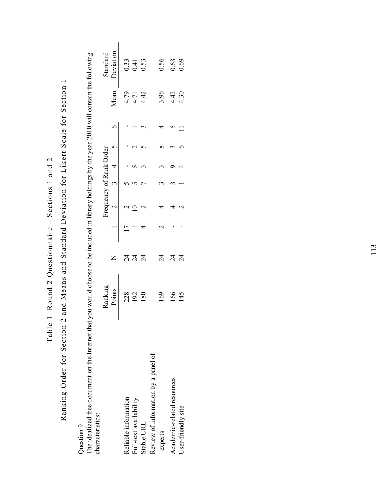Table 1 Round 2 Questionnaire – Sections 1 and 2 Table 1 Round 2 Questionnaire - Sections 1 and 2

Ranking Order for Section 2 and Means and Standard Deviation for Likert Scale for Section 1 Ranking Order for Section 2 and Means and Standard Deviation for Likert Scale for Section 1

Question 9 Question 9

The idealized free document on the Internet that you would choose to be included in library holdings by the year 2010 will contain the following The idealized free document on the Internet that you would choose to be included in library holdings by the year 2010 will contain the following characteristics: characteristics:

|                                     | Ranking<br>Points<br>Points<br>228<br>192<br>192 |                 | Frequency of Rank Order<br>17 2 5 5 5 7<br>17 2 5 5 7 7 1<br>4 2 7 3 5 3<br>4 2 7 3 5 3 |  |  |                               | Standard<br>Deviation<br>0.33<br>0.53<br>0.53<br>0.69<br>0.69<br>0.69 |
|-------------------------------------|--------------------------------------------------|-----------------|-----------------------------------------------------------------------------------------|--|--|-------------------------------|-----------------------------------------------------------------------|
| Reliable information                |                                                  | ನ ನ ನ           |                                                                                         |  |  | $\frac{4}{4}$<br>4.71<br>4.42 |                                                                       |
| Full-text availability              |                                                  |                 |                                                                                         |  |  |                               |                                                                       |
| Stable URL                          |                                                  |                 |                                                                                         |  |  |                               |                                                                       |
| Review of information by a panel of |                                                  |                 |                                                                                         |  |  |                               |                                                                       |
| experts                             | 169                                              |                 |                                                                                         |  |  |                               |                                                                       |
| Academic-related resources          |                                                  | ನ<br>ನ ನ ನ<br>2 |                                                                                         |  |  | $3.96$<br>$4.42$<br>$4.30$    |                                                                       |
| User-friendly site                  | 166<br>145                                       |                 |                                                                                         |  |  |                               |                                                                       |
|                                     |                                                  |                 |                                                                                         |  |  |                               |                                                                       |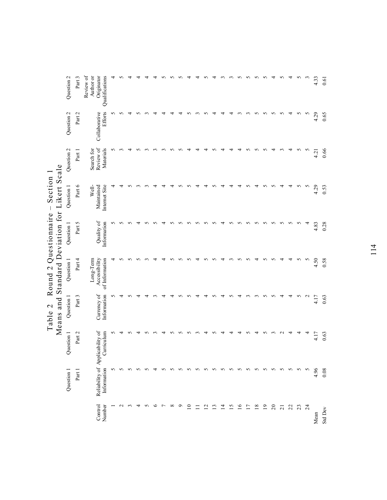| Review of<br>Originator<br>Qualifications<br>Author or<br>4<br>n<br>$\mathfrak{c}$<br>↤<br>n<br>n<br>n<br>n<br>4<br>n<br>4.33<br><b>Efforts</b><br>Collaborative<br>5<br>5<br>5<br>5<br>S<br>4<br>5<br>S<br>4.29<br>n<br>₹<br>n<br>n<br>4<br>4<br>4<br>$\mathfrak{g}$<br>₹<br>₹<br>Review of<br>Materials<br>5<br>5<br>5<br>$\sim$<br>Search for<br>4<br>n<br>n<br>4<br>$\mathfrak{g}$<br>4<br>4.21<br>Internet Site<br>5<br>S<br>4.29<br>Well-<br>Maintained<br>n<br>n<br>n<br>₹<br>4<br>n<br>4<br>₹<br>₹<br>₹<br>Quality of<br>Information<br>5<br>5<br>5<br>5<br>5<br>5<br>5<br>4<br>5<br>5<br>5<br>S<br>5<br>5<br>5<br>5<br>5<br>4<br>4.83<br>n<br>n<br>n<br>4<br>S<br>₹<br>4.50<br>Long-Term<br>of Information<br>S<br>$\sim$<br>Accessibility<br>4<br>S<br>S<br>n<br>S<br>n<br>S<br>4<br>5<br>S<br>4<br>n<br>n<br>4<br>4<br>n<br>$\sim$<br>₹<br>₹<br>n<br>4<br>$\sim$ | Question 1                                                                                      |
|-----------------------------------------------------------------------------------------------------------------------------------------------------------------------------------------------------------------------------------------------------------------------------------------------------------------------------------------------------------------------------------------------------------------------------------------------------------------------------------------------------------------------------------------------------------------------------------------------------------------------------------------------------------------------------------------------------------------------------------------------------------------------------------------------------------------------------------------------------------------------------|-------------------------------------------------------------------------------------------------|
|                                                                                                                                                                                                                                                                                                                                                                                                                                                                                                                                                                                                                                                                                                                                                                                                                                                                             | Currency of<br>Information<br>Part 3<br>Reliability of Applicability of<br>Part 2<br>Curriculum |
|                                                                                                                                                                                                                                                                                                                                                                                                                                                                                                                                                                                                                                                                                                                                                                                                                                                                             | 5<br>5                                                                                          |
|                                                                                                                                                                                                                                                                                                                                                                                                                                                                                                                                                                                                                                                                                                                                                                                                                                                                             | ₹<br>4                                                                                          |
|                                                                                                                                                                                                                                                                                                                                                                                                                                                                                                                                                                                                                                                                                                                                                                                                                                                                             | n<br>n                                                                                          |
|                                                                                                                                                                                                                                                                                                                                                                                                                                                                                                                                                                                                                                                                                                                                                                                                                                                                             | 4                                                                                               |
|                                                                                                                                                                                                                                                                                                                                                                                                                                                                                                                                                                                                                                                                                                                                                                                                                                                                             |                                                                                                 |
|                                                                                                                                                                                                                                                                                                                                                                                                                                                                                                                                                                                                                                                                                                                                                                                                                                                                             |                                                                                                 |
|                                                                                                                                                                                                                                                                                                                                                                                                                                                                                                                                                                                                                                                                                                                                                                                                                                                                             | 4                                                                                               |
|                                                                                                                                                                                                                                                                                                                                                                                                                                                                                                                                                                                                                                                                                                                                                                                                                                                                             | S                                                                                               |
|                                                                                                                                                                                                                                                                                                                                                                                                                                                                                                                                                                                                                                                                                                                                                                                                                                                                             | ∽<br>n                                                                                          |
|                                                                                                                                                                                                                                                                                                                                                                                                                                                                                                                                                                                                                                                                                                                                                                                                                                                                             | ∽<br>S                                                                                          |
|                                                                                                                                                                                                                                                                                                                                                                                                                                                                                                                                                                                                                                                                                                                                                                                                                                                                             | ↽<br>$\mathfrak{g}$                                                                             |
|                                                                                                                                                                                                                                                                                                                                                                                                                                                                                                                                                                                                                                                                                                                                                                                                                                                                             | ↽<br>4                                                                                          |
|                                                                                                                                                                                                                                                                                                                                                                                                                                                                                                                                                                                                                                                                                                                                                                                                                                                                             | ∽<br>S                                                                                          |
|                                                                                                                                                                                                                                                                                                                                                                                                                                                                                                                                                                                                                                                                                                                                                                                                                                                                             | ₹<br>4                                                                                          |
|                                                                                                                                                                                                                                                                                                                                                                                                                                                                                                                                                                                                                                                                                                                                                                                                                                                                             | n<br>4                                                                                          |
|                                                                                                                                                                                                                                                                                                                                                                                                                                                                                                                                                                                                                                                                                                                                                                                                                                                                             | ᆉ<br>4                                                                                          |
|                                                                                                                                                                                                                                                                                                                                                                                                                                                                                                                                                                                                                                                                                                                                                                                                                                                                             | $\sim$<br>n                                                                                     |
|                                                                                                                                                                                                                                                                                                                                                                                                                                                                                                                                                                                                                                                                                                                                                                                                                                                                             | $\sim$<br>4                                                                                     |
|                                                                                                                                                                                                                                                                                                                                                                                                                                                                                                                                                                                                                                                                                                                                                                                                                                                                             | 5<br>n                                                                                          |
|                                                                                                                                                                                                                                                                                                                                                                                                                                                                                                                                                                                                                                                                                                                                                                                                                                                                             | 5<br>$\epsilon$                                                                                 |
|                                                                                                                                                                                                                                                                                                                                                                                                                                                                                                                                                                                                                                                                                                                                                                                                                                                                             | ₹<br>$\sim$                                                                                     |
|                                                                                                                                                                                                                                                                                                                                                                                                                                                                                                                                                                                                                                                                                                                                                                                                                                                                             | 4<br>4                                                                                          |
|                                                                                                                                                                                                                                                                                                                                                                                                                                                                                                                                                                                                                                                                                                                                                                                                                                                                             | 5<br>4                                                                                          |
|                                                                                                                                                                                                                                                                                                                                                                                                                                                                                                                                                                                                                                                                                                                                                                                                                                                                             | $\mathbf{c}$<br>4                                                                               |
|                                                                                                                                                                                                                                                                                                                                                                                                                                                                                                                                                                                                                                                                                                                                                                                                                                                                             | 4.17<br>4.17                                                                                    |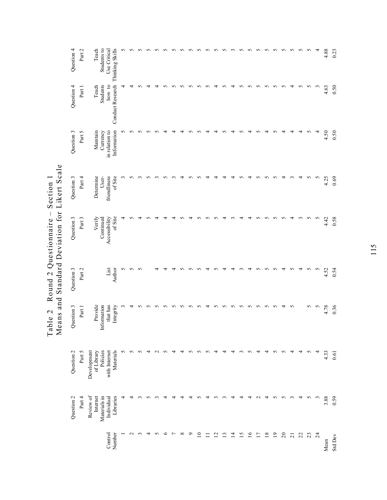|                                                     | Question 4 | Part 2 | Students to<br>Teach                  | Thinking Skills<br>Use Critical   | n |             | r      |   |        |   |   |              |         |                 |        |                 | n      |                | n      | S               | S               | n        | S               | S        | S               | S                     | S      | 4               | 4.88 | 0.23     |
|-----------------------------------------------------|------------|--------|---------------------------------------|-----------------------------------|---|-------------|--------|---|--------|---|---|--------------|---------|-----------------|--------|-----------------|--------|----------------|--------|-----------------|-----------------|----------|-----------------|----------|-----------------|-----------------------|--------|-----------------|------|----------|
|                                                     | Question 4 | Part 1 | Students<br>Teach                     | <b>Conduct Research</b><br>how to |   |             |        |   |        |   |   |              |         |                 | n      | ↴               | n      | 4              | n      | S               | S               | S        | 5               | 5        | 4               | 5                     | n      | $\mathfrak{c}$  | 4.63 | 0.50     |
|                                                     | Question 3 | Part 5 | Maintain<br>Currency                  | in relation to<br>Information     | n |             | n      |   |        |   |   |              |         |                 |        |                 |        |                |        |                 |                 | ↴        | n               |          |                 |                       | n      | 4               | 4.50 | 0.50     |
|                                                     | Question 3 | Part 4 | Determine<br>User-                    | friendliness<br>of Site           | 3 | n           |        | n |        | ∽ |   |              | n       | n               | ₹      |                 |        |                | n      | ₹               | n               | S        | S               | 4        | $\sim$          | 4                     | n      | S               | 4.25 | 0.69     |
| MEATS ATH DIATH HOL TOI TOI THE ATHEN A SHEET SAILS | Question 3 | Part 3 | Verify<br>Continued                   | of Site<br>Accessibility          | 4 |             | ₹      |   |        |   | ₹ |              |         |                 | n      | n               | 4      |                | 4      | 4               | n               | n        | n               | n        | ᅿ               | $\tilde{\phantom{0}}$ | 5      | $\sim$          | 4.42 | 0.58     |
|                                                     | Question 3 | Part 2 |                                       | List<br>Author                    | 5 | 5           | S      |   |        |   |   |              |         |                 |        |                 |        |                |        |                 | S               | S        |                 |          |                 | 4                     | 5      | S               | 4.52 | 0.54     |
|                                                     | Question 3 | Part 1 | Provide<br>Information                | that has<br>Integrity             |   | ↤           | n      | n | n      | n | n | ∽            | n       | ∽               | 4      | ∽               | n      | $\Omega$       | n      | $\Omega$        | $\Omega$        | $\Omega$ | $\Omega$        | ᆉ        | $\sim$          |                       | 5      | $\sim$          | 4.78 | 0.36     |
|                                                     | Question 2 | Part 5 | Policies<br>Development<br>of Library | Materials<br>with Internet        | 5 | S           | n      | ᆉ | $\sim$ | n | 4 | ₹            | S       | S               | S      | ᅿ               | ᆉ      | 4              | $\sim$ | $\Omega$        | 4               | 4        | n               | $\Omega$ | ₹               | 4                     | $\sim$ | 4               | 4.33 | $0.61\,$ |
|                                                     | Question 2 | Part 4 | Review of<br>Internet<br>Materials in | Libraries<br>Individual           |   |             |        | n |        | ↤ | 4 | ₹            | ᅿ       | n               | 4      | $\sim$          | $\sim$ | ₹              | ↤      | 4               | $\sim$          | 4        | n               | n        | $\sim$          | 4                     | S      | $\mathfrak{c}$  | 3.88 | 0.59     |
|                                                     |            |        |                                       | Control<br>Number                 |   | $\mathbf 2$ | $\sim$ | 4 | 5      | ७ | ↽ | ${}^{\circ}$ | $\circ$ | $\overline{10}$ | $\Box$ | $\overline{12}$ | 13     | $\overline{4}$ | 15     | $\overline{16}$ | $\overline{17}$ | 18       | $\overline{19}$ | $\Omega$ | $\overline{21}$ | $\mathfrak{Z}$        | 23     | $\overline{24}$ | Mean | Std Dev  |

Table 2 Round 2 Questionnaire – Section 1<br>Means and Standard Deviation for Likert Scale Means and Standard Deviation for Likert Scale Table 2 Round 2 Questionnaire  $-$  Section 1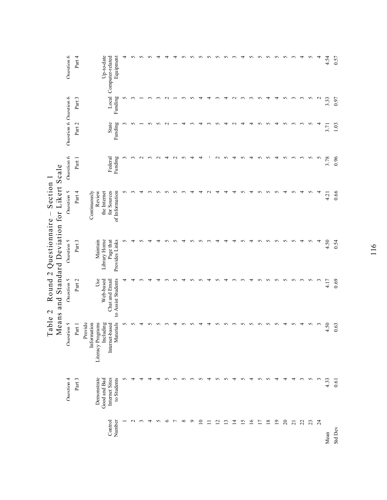|                                                            | Ouestion 6            | Part 4 | Up-to-date<br>Local Computer-related<br>Equipment                                                       | 4<br>5 | n<br>3          | ∽               | $\widetilde{\phantom{a}}$ |        |         |                |            |         |             | 4      |                 | 4  | $\mathbf{\sim}$ | $\sim$   | n<br>$\sim$     | 5<br>S   | n<br>4   | S<br>4          | S<br>S         | $\sim$<br>$\tilde{\phantom{a}}$ | 4<br>$\epsilon$ | S<br>$\sim$ | 4<br>$\sim$    | 4.54 | 0.57    |
|------------------------------------------------------------|-----------------------|--------|---------------------------------------------------------------------------------------------------------|--------|-----------------|-----------------|---------------------------|--------|---------|----------------|------------|---------|-------------|--------|-----------------|----|-----------------|----------|-----------------|----------|----------|-----------------|----------------|---------------------------------|-----------------|-------------|----------------|------|---------|
|                                                            |                       | Part 3 | Funding                                                                                                 |        |                 |                 |                           |        |         |                |            |         |             |        |                 |    |                 |          |                 |          |          |                 |                |                                 |                 |             |                | 3.33 | 0.97    |
|                                                            | Onestion 6 Onestion 6 | Part 2 | State<br>Funding                                                                                        |        |                 |                 | 5                         |        |         |                | 4          |         | 4           |        | 5               | 4  | $\sim$          | 4        | 4               | 5        | 5        | 4               | 5              | 3                               | $\sim$          | 5           | 4              | 3.71 | 1.03    |
|                                                            | Ouestion 6            | Part 1 | Federal<br>Funding                                                                                      | 3      | 3               | $\mathbf{\sim}$ | $\mathfrak{g}$            | $\sim$ | 4       | $\sim$         | 5          | 4       | 4           |        | $\mathbf{\sim}$ | 5  | 4               | 5        | 4               | 5        | 5        | 4               | 5              | 3                               | $\epsilon$      | S           | $\sim$         | 3.78 | 0.96    |
| Means and Standard Deviation for Likert Scale<br>Section 1 | Ouestion 5            | Part 4 | Continuously<br>Review<br>for Sources<br>the Internet<br>of Information                                 | n      |                 | 4               |                           | n      | n       | n              |            | 4       | 4           | $\sim$ | 4               | 4  | 4               | S        | 4               | S        | 5        | 5               | 4              | S                               | 4               | 5           | 4              | 4.21 | 0.66    |
| Round 2 Questionnaire $-$                                  | Ouestion 5            | Part 3 | Library Home<br>Provides Links<br>Page that<br>Maintain                                                 | 5      | 4               | v               | 4                         | ₹      | n       |                | ₹          | n       | v.          |        | 4               | 4  | 4               | S        | 4               | 5        | n        | n               | $\Omega$       | $\sim$                          | ↤               | S           | 4              | 4.50 | 0.54    |
|                                                            | Onestion 5            | Part 2 | Use<br>to Assist Students<br>Web-based<br>Chat and Email                                                |        |                 |                 |                           |        |         |                |            |         |             | ₹      |                 | 4  |                 |          | 4               | 5        | 5        | 5               | $\sigma$       | 5                               | $\sim$          | 5           | $\mathfrak{c}$ | 4.17 | 0.69    |
|                                                            | Ouestion 5            | Part 1 | Materials<br>Provide<br>ograms<br>duding<br>Information<br>Internet-based<br>Literacy Pro<br>$rac{}{c}$ | 5      | 5               | 4               | n                         | n      |         | ᆉ              | n          | n       | ᆉ           | ₹      | n               | n  | $\sim$          | $\Omega$ | n               | $\Omega$ | $\Omega$ | $\Omega$        | ↤              | $\Omega$                        | ↴               | $\sim$      | $\mathfrak{c}$ | 4.50 | 0.63    |
|                                                            | Ouestion 4            | Part 3 | Internet Sites<br>Demonstrate<br>to Students<br>Good and Bad                                            | S      | 4               | 4               | 4                         | 4      | S       | $\sim$         | S          | $\sim$  | S           | 4      | S               | 5  | 4               | S        | 4               | S        | S        | 4               | 4              | 4                               | $\sim$          | S           | $\mathfrak{c}$ | 4.33 | 0.61    |
|                                                            |                       |        | Control<br>Number                                                                                       |        | $\mathbf{\sim}$ | 3               | 4                         | 5      | $\circ$ | $\overline{ }$ | $^{\circ}$ | $\circ$ | $\supseteq$ | Ξ      | $\overline{12}$ | 13 | $\overline{1}$  | 15       | $\overline{16}$ | 17       | 18       | $\overline{19}$ | $\overline{c}$ | $\overline{21}$                 | 22              | 23          | $\overline{z}$ | Mean | Std Dev |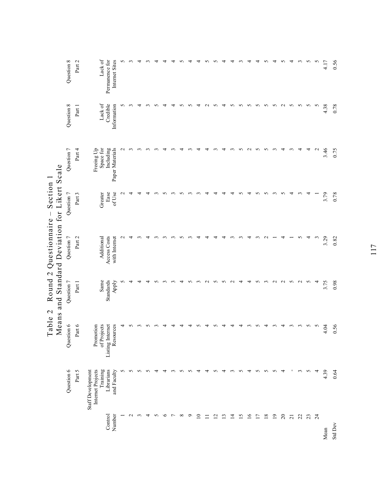|                 |                                                                  | Table 2                                      |                   | Means and Standard Deviation for Likert Scale<br>Round $2$ Questionnaire $-$ | Section 1       |                              |                     |                           |
|-----------------|------------------------------------------------------------------|----------------------------------------------|-------------------|------------------------------------------------------------------------------|-----------------|------------------------------|---------------------|---------------------------|
|                 | Question 6                                                       | Question 6                                   | Question 7        | Question 7                                                                   | Question 7      | Question 7                   | Question 8          | Question 8                |
|                 | Part 5                                                           | Part $6$                                     | Part 1            | Part 2                                                                       | Part 3          | Part 4                       | Part 1              | Part 2                    |
| Control         | Staff Development<br>Training<br>Librarians<br>Internet Projects | of Projects<br>Promotion<br>Listing Internet | Same<br>Standards | Access Costs<br>Additional                                                   | Ease<br>Greater | Freeing Up<br>Space for      | Lack of<br>Credible | Lack of<br>Permanence for |
| Number          | and Faculty                                                      | Resources                                    | Apply             | with Internet                                                                | of Use          | Including<br>Paper Materials | Information         | Internet Sites            |
|                 | 5                                                                | 4                                            | n                 |                                                                              |                 |                              | n                   | n                         |
| $\mathbf{\sim}$ | 5                                                                |                                              | 4                 |                                                                              |                 |                              |                     |                           |
| ç               | 5                                                                |                                              | 4                 |                                                                              |                 |                              | ₹                   |                           |
| 4               | 5                                                                |                                              |                   |                                                                              |                 |                              |                     |                           |
| S               | ᆉ                                                                |                                              |                   |                                                                              |                 |                              |                     |                           |
| $\circ$         | 4                                                                |                                              |                   |                                                                              |                 |                              |                     |                           |
| $\overline{ }$  | 3                                                                |                                              |                   |                                                                              |                 |                              |                     |                           |
| $^{\circ}$      | 5                                                                |                                              | 4                 |                                                                              |                 |                              |                     |                           |
| ç               | S                                                                |                                              | ∽                 |                                                                              |                 |                              |                     |                           |
| $\overline{10}$ | 4                                                                |                                              |                   |                                                                              |                 |                              |                     |                           |
| $\equiv$        | 4                                                                |                                              |                   |                                                                              |                 |                              |                     |                           |
| 12              | 5                                                                |                                              | n                 |                                                                              |                 |                              |                     |                           |
| $\overline{13}$ | 4                                                                |                                              | n                 |                                                                              |                 |                              | 4                   |                           |
| $\overline{4}$  | 3                                                                |                                              |                   |                                                                              |                 |                              | n                   |                           |
| 15              | 5                                                                |                                              | ᆉ                 |                                                                              |                 |                              | S                   |                           |
| 16              | 4                                                                |                                              | 4                 |                                                                              |                 |                              | $\sim$              |                           |
| $\overline{17}$ | 5                                                                | n                                            | S                 |                                                                              |                 | S                            | 5                   |                           |
| 18              | 5                                                                |                                              | ç                 |                                                                              |                 |                              | 5                   | n                         |
| $\overline{19}$ | 5                                                                |                                              |                   |                                                                              |                 |                              | 5                   | 4                         |
| $\overline{c}$  | 4                                                                | 4                                            |                   |                                                                              |                 | 4                            | $\sim$              | 5                         |
| $\overline{21}$ |                                                                  | $\sim$                                       | n                 |                                                                              |                 |                              | 5                   | 4                         |
| 22              | 3                                                                |                                              | $\sim$            |                                                                              |                 |                              | S                   | $\mathfrak{g}$            |
| 23              | S                                                                | 5                                            | S                 |                                                                              |                 | 4                            | S                   | $\sim$                    |
| 24              | 4                                                                | S                                            | 4                 |                                                                              |                 | $\sim$                       | S                   | S                         |
| Mean            | 4.39                                                             | 4.04                                         | 3.75              | 3.29                                                                         | 3.79            | 3.46                         | 4.38                | 4.17                      |
| Std Dev         | 0.64                                                             | 0.56                                         | 0.98              | 0.82                                                                         | 0.78            | 0.75                         | 0.78                | 0.56                      |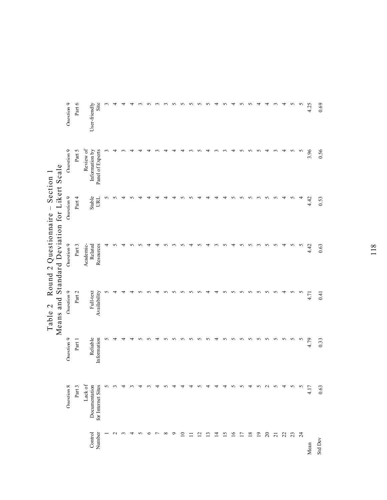|                                                            | Onestion 9<br>Ouestion 9 | Part 6<br>Part 5 | Site<br>$User-friendly$<br>Review of<br>Information by<br>Panel of Experts |   | 4               | 4 |   |   |         |                |                |         | n               | n      | n              | ∽            |                | ∽  | ↽        | ∽<br>S          | n<br>n   | ᆉ<br>S          | 4<br>4         | $\sim$<br>3     | 4<br>4 | S<br>S    | S<br>5 | 4.25<br>3.96 | 0.69<br>0.56 |
|------------------------------------------------------------|--------------------------|------------------|----------------------------------------------------------------------------|---|-----------------|---|---|---|---------|----------------|----------------|---------|-----------------|--------|----------------|--------------|----------------|----|----------|-----------------|----------|-----------------|----------------|-----------------|--------|-----------|--------|--------------|--------------|
| Means and Standard Deviation for Likert Scale<br>Section 1 | Ouestion 9               | Part 4           | Stable<br><b>IRL</b>                                                       | 5 | n               |   |   |   |         |                |                |         |                 |        |                |              |                |    |          | n               | n        | $\sim$          | n              | n               | 4      | n         | 4      | 4.42         | 0.53         |
| Round 2 Questionnaire -                                    | Ouestion 9               | Part 3           | Academic-<br>Resources<br>Related                                          | 4 | n               | ₹ |   |   |         |                | 5              |         | n               | 4      | n              | 4            | ç              | S  | 4        | 5               | S        | $\mathfrak{g}$  | 5              | 5               | 4      | S         | 5      | 4.42         | 0.63         |
| Table 2                                                    | Ouestion 9               | Part 2           | Full-text<br>Availability                                                  | n | 4               |   |   |   |         |                |                |         | S               | S      |                | 4            |                | S  | S        | 5               | 5        | 5               | 5              | 5               | 4      | S         | S      | 4.71         | 0.41         |
|                                                            | Ouestion 9               | Part 1           | Reliable<br>Information                                                    | 5 | 4               | ᅿ |   |   |         |                | $\overline{2}$ | n       | $\sqrt{2}$      | S      | S              | n            | ₹              | S  | $\Omega$ | n               | $\Omega$ | $\Omega$        | n              | n               | S      | S         | S      | 4.79         | 0.33         |
|                                                            | Ouestion 8               | Part 3           | Lack of<br>Documentation<br>for Internet Sites                             | 5 | ç               | ᆉ |   | ₹ |         | 4              | n              |         |                 | 4      | 5              | ₹            |                | 4  | S        | 5               | 4        | $\sigma$        | $\sim$         | 5               | 4      | $\sim$    | 5      | 4.17         | 0.63         |
|                                                            |                          |                  | Control<br>Number                                                          |   | $\mathbf{\sim}$ |   | ↴ | S | $\circ$ | $\overline{ }$ | $\infty$       | $\circ$ | $\overline{10}$ | $\Box$ | $\overline{c}$ | $\mathbf{r}$ | $\overline{4}$ | 15 | 16       | $\overline{17}$ | 18       | $\overline{19}$ | $\overline{c}$ | $\overline{21}$ | 22     | $23$ $73$ |        | Mean         | Std Dev      |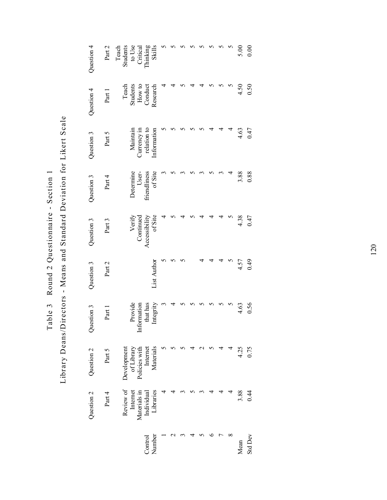Table 3 Round 2 Questionnaire - Section 1 Table 3 Round 2 Questionnaire - Section 1

Library Deans/Directors - Means and Standard Deviation for Likert Scale Library Deans/Directors - Means and Standard Deviation for Likert Scale

| Question 4 | Part 2 | Students<br>to Use<br>Critical<br>Teach<br>Thinking    | <b>Skills</b>            |  |  |  |   | 5.00 | 0.00           |
|------------|--------|--------------------------------------------------------|--------------------------|--|--|--|---|------|----------------|
| Question 4 | Part 1 | Teach<br>Students<br>How to<br>Conduct                 | Research                 |  |  |  |   | 4.50 | 0.50           |
| Question 3 | Part 5 | relation to<br>Maintain<br>Currency in                 | Information              |  |  |  | ₹ | 4.63 | 0.47           |
| Question 3 | Part 4 | Determine<br>friendliness<br>User-                     | of Site                  |  |  |  |   | 3.88 | 0.88           |
| Question 3 | Part 3 | Verify<br>Continued                                    | Accessibility<br>of Site |  |  |  |   | 4.38 | 0.47           |
| Question 3 | Part 2 |                                                        | List Author              |  |  |  |   | 4.57 | 64.0           |
| Question 3 | Part   | Provide<br>Information<br>that has                     | Integrity                |  |  |  |   | 4.63 | 0.56           |
| Question 2 | Part 5 | Internet<br>Development<br>of Library<br>Policies with | Materials                |  |  |  |   | 4.25 | 0.75           |
| Question 2 | Part 4 | Review of<br>Internet<br>Materials in<br>Individual    | Libraries                |  |  |  |   | 3.88 | 0.44           |
|            |        |                                                        | Control<br>Number        |  |  |  | ∞ | Mean | <b>Std Dev</b> |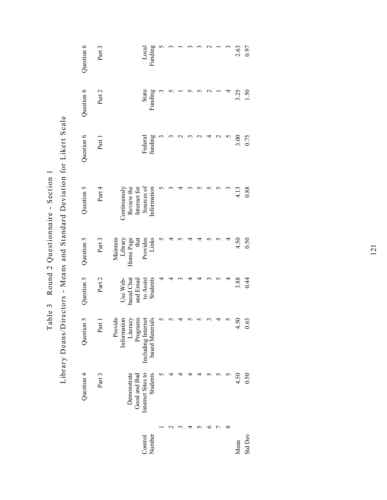| Question 6 | Part 3 |                                                                            |                                            | Funding<br>Local                     |             |  |  |   | 3 | 2.63 | 0.97            |
|------------|--------|----------------------------------------------------------------------------|--------------------------------------------|--------------------------------------|-------------|--|--|---|---|------|-----------------|
| Question 6 | Part 2 |                                                                            |                                            | State<br>Funding                     |             |  |  |   |   | 3.25 | $\overline{50}$ |
| Question 6 | Part 1 |                                                                            |                                            | funding<br>Federal                   |             |  |  | C |   | 3.00 | 0.75            |
| Question 5 | Part 4 | Review the<br>Continuously                                                 | Internet for                               | Sources of<br>Information            |             |  |  |   |   | 4.13 | 0.88            |
| Question 5 | Part 3 | Maintain<br>Library<br>Home Page<br>Home Page<br>that<br>Provides<br>Links |                                            |                                      |             |  |  |   |   | 4.50 | 0.50            |
| Question 5 | Part 2 | based Chat<br>Use Web-                                                     | and Email<br>to Assist                     | Students                             |             |  |  |   |   | 3.88 | 0.44            |
| Question 5 | Part 1 | Provide<br>Information                                                     | Literacy<br>Programs<br>Including Internet | based Materials                      | $\varsigma$ |  |  |   | S | 4.50 | 0.63            |
| Question 4 | Part 3 | Demonstrate                                                                | Good and Bad                               | Internet Sites to<br><b>Students</b> |             |  |  |   |   | 4.50 | 0.50            |
|            |        |                                                                            |                                            | Number<br>Control                    |             |  |  |   | ∞ | Mean | <b>Std Dev</b>  |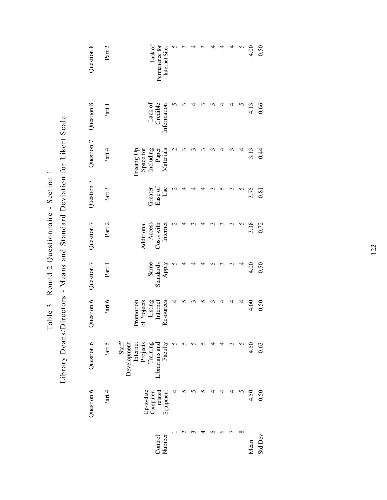| Question 8 | Part 2 | Internet Sites<br>Lack of<br>Permanence for                                           |   |   |   |   | 4      |                    | 4.00 | 0.50    |
|------------|--------|---------------------------------------------------------------------------------------|---|---|---|---|--------|--------------------|------|---------|
| Question 8 | Part 1 | Lack of<br>Credible<br>Information                                                    |   |   |   | ч | 4      |                    | 4.13 | 0.66    |
| Question 7 | Part 4 | Including<br>Materials<br>Freeing Up<br>Space for<br>Paper                            |   |   |   | ₹ | $\sim$ |                    | 3.13 | 0.44    |
| Question 7 | Part 3 | Use<br>Ease of<br>Greater                                                             |   |   |   |   | M      | n                  | 3.75 | 0.81    |
| Question 7 | Part 2 | Additional<br>Access<br>Costs with<br>Internet                                        |   |   |   |   |        |                    | 3.38 | 0.72    |
| Question 7 | Part 1 | Same<br>Standards<br>Apply                                                            |   | 4 | ₹ |   | 3      |                    | 4.00 | 0.50    |
| Question 6 | Part 6 | Listing<br>Promotion<br>of Projects<br>Resources<br>Internet                          |   |   |   |   | 4      | 4                  | 4.00 | 0.50    |
| Question 6 | Part 5 | Projects<br>Training<br>Faculty<br>Staff<br>Development<br>Internet<br>Librarians and | n |   |   |   | M      | $\mathbf{\hat{z}}$ | 4.50 | 0.63    |
| Question 6 | Part 4 | Up-to-date<br>related<br>Equipment<br>Computer-                                       |   |   |   |   |        |                    | 4.50 | 0.50    |
|            |        | Number<br>Control                                                                     |   |   |   | ≏ |        | ${}^{\circ}$       | Mean | Std Dev |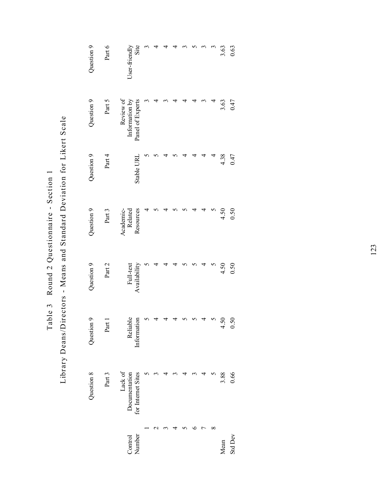| 3.63<br>0.63          | 0.47<br>3.63                                    | 0.47<br>4.38 | 0.50<br>4.50                      | 0.50<br>4.50              | 50<br>$\overline{50}$<br>4 | 3.88<br>0.66                                   |  |
|-----------------------|-------------------------------------------------|--------------|-----------------------------------|---------------------------|----------------------------|------------------------------------------------|--|
|                       |                                                 |              |                                   |                           |                            |                                                |  |
|                       |                                                 |              |                                   |                           |                            |                                                |  |
|                       |                                                 |              |                                   |                           |                            |                                                |  |
|                       |                                                 |              |                                   |                           |                            |                                                |  |
|                       |                                                 |              |                                   |                           |                            |                                                |  |
|                       |                                                 |              |                                   |                           |                            |                                                |  |
|                       |                                                 |              |                                   |                           |                            |                                                |  |
|                       |                                                 |              |                                   |                           |                            |                                                |  |
| Site<br>User-friendly | Review of<br>Information by<br>Panel of Experts | Stable URI   | Resources<br>Academic-<br>Related | Full-text<br>Availability | Reliable<br>Information    | Lack of<br>Documentation<br>for Internet Sites |  |
| Part 6                | Part 5                                          | Part 4       | Part 3                            | Part 2                    | Part 1                     | Part 3                                         |  |
| Question 9            | Question 9                                      | Question 9   | Question 9                        | Question 9                | Question 9                 | Question 8                                     |  |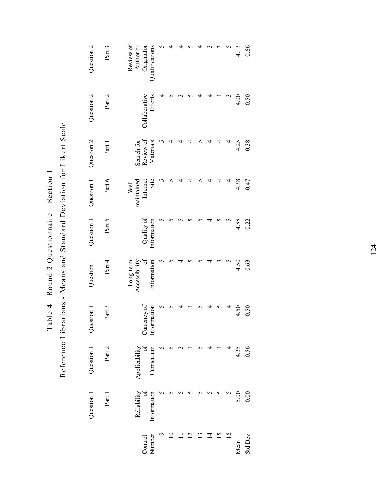Reference Librarians - Means and Standard Deviation for Likert Scale Reference Librarians - Means and Standard Deviation for Likert Scale Table 4 Round 2 Questionnaire  $-$  Section 1 Table 4 Round 2 Questionnaire - Section 1

Originator<br>Qualifications Review of<br>Author or Question  $2$ Question 1 and 1 and 1 and 1 and 1 and 1 and 1 and 1 and 1 and 1 and 1 and 1 and 1 and 1 and 1 and 1 and 1 and 1 and 1 and 1 and 1 and 1 and 1 and 1 and 1 and 1 and 1 and 1 and 1 and 1 and 1 and 1 and 1 and 1 and 1 and 1 a Part 3 Part 1 Part 2 Part 3 Part 4 Part 5 Part 6 Part 1 Part 2 Part 3 Review of Author or Qualifications  $\sigma$ 9 5 5 5 5 5 5 5 4 5  $\overline{a}$ 10 5 5 5 5 5 5 4 5 4 4 11 5 3 4 4 5 4 4 3 4  $\sim$ 12 5 4 4 5 5 4 4 5 5 4 13 5 5 5 5 5 5 5 4 4  $\sim$ 14 5 4 4 4 4 4 4 4 3 15 5 4 5 3 5 4 4 4 3 16 5 4 4 5 5 4 4 3 5 4.13 Mean 5.00 5.00 4.25 4.38 4.88 4.88 4.88 4.38 4.38 4.39 4.13 0.66 Std Dev 0.00 0.56 0.50 0.63 0.22 0.47 0.38 0.50 0.66  $\epsilon$  $\overline{5}$ Efforts Question 2 Part 2 Collaborative Collaborative 4  $\sigma$  $\sim$  $\sim$ 4 4.00  $0.50$ Search for<br>Review of Part 1 Search for Review of Materials 4.25 0.38 Question 2 Materials 4 4  $\overline{6}$ Question 1 Part  $6$ Internet Site Wellmaintained 4.38  $0.47$ maintained  $\sim$  $\Omega$ 4 4  $\sigma$ 4 Question 1 Part 5 Quality of<br>Information Information  $\sigma$  $\sigma$  $\sigma$  $\sim$  $\sim$ 4.88 0.22  $\sigma$  $\mathbf{r}$ 4 Long-term<br>Accessibility Part 4 of Question 1 Long-term Accessibility Information 4.50 0.63 Information  $\mathbf{\hat{5}}$  $\mathbf{\hat{z}}$ 4  $\sim$  $\mathbf{\hat{z}}$ 4 Part 3 Currency of Currency of Information 4.50  $0.50$ Question 1 Information  $\mathbf{\hat{5}}$  $\sigma$ 4 4 5 4  $\mathbf{\hat{5}}$ 4  $\frac{\partial f}{\partial x}$ Part 2 4.25 0.56 Question 1 Applicability Applicability Curriculum  $\mathbf{\hat{z}}$  $\tilde{\phantom{a}}$ 4 5 5.00  $0.00$ Question 1 Part 1 Reliability of Information  $\sigma$  $\sigma$  $\sigma$  $\mathbf{\hat{c}}$  $\sim$  $\Omega$  $\Omega$  $\mathcal{L}$ Information  $\frac{12}{13}$  $\circ$  $\overline{10}$  $\Box$  $\overline{4}$  $15$ <br> $16$ Control Number Std Dev Mean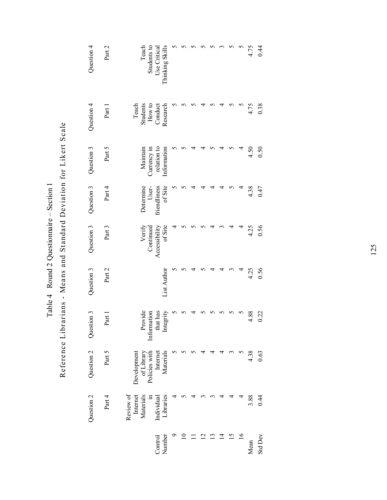| Question 4 | Part 2 | Teach<br>Students to                        | Thinking Skills<br>Use Critical                 |  |                          |   |   | n  |              | 4.75 | 0.44    |
|------------|--------|---------------------------------------------|-------------------------------------------------|--|--------------------------|---|---|----|--------------|------|---------|
| Question 4 | Part 1 | Teach<br>Students<br>How to                 | Conduct<br>Research                             |  |                          |   |   |    |              | 4.75 | 0.38    |
| Question 3 | Part 5 | Maintain<br>Currency in                     | relation to<br>nformation                       |  |                          |   |   |    |              | 4.50 | 0.50    |
| Question 3 | Part 4 | Determine<br>User-                          | of Site<br>friendliness                         |  |                          |   |   |    | Ч            | 4.38 | 0.47    |
| Question 3 | Part 3 | Verify<br>Continued                         | of Site<br>Accessibility                        |  |                          |   |   | 4  | 4            | 4.25 | 0.56    |
| Question 3 | Part 2 |                                             | List Author                                     |  |                          |   |   |    | 4            | 4.25 | 0.56    |
| Question 3 | Part 1 |                                             | Provide<br>Information<br>that has<br>Integrity |  |                          |   |   |    |              | 4.88 | 0.22    |
| Question 2 | Part 5 | of Library<br>Policies with<br>Development  | Materials<br>Internet                           |  |                          |   |   | ∾  |              | 4.38 | 0.63    |
| Question 2 | Part 4 | Review of<br>Materials<br>Internet<br>$\Xi$ | Libraries<br>Individual                         |  |                          |   |   |    |              | 3.88 | 0.44    |
|            |        |                                             | Number<br>Control                               |  | $\overline{\phantom{0}}$ | ن | 4 | 15 | $\tilde{16}$ | Mean | Std Dev |

Mean<br>Std Dev

Reference Librarians - Means and Standard Deviation for Likert Scale Reference Librarians - Means and Standard Deviation for Likert Scale Table 4 Round 2 Questionnaire  $-$  Section 1 Table 4 Round 2 Questionnaire - Section 1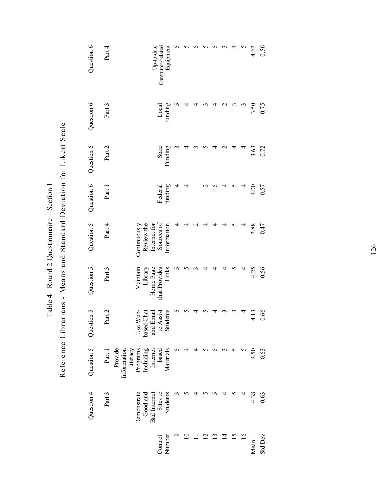| Round 2 Question<br>Table 4 | Reference Librarians - Means and Standard Deviation for Likert Scale |
|-----------------------------|----------------------------------------------------------------------|
|                             |                                                                      |

| Question 6 | Part 4            |                         | Up-to-date                                 | Equipment<br>Computer-related                    |   |   |  |   |                 |                | 4.63 | 0.56           |
|------------|-------------------|-------------------------|--------------------------------------------|--------------------------------------------------|---|---|--|---|-----------------|----------------|------|----------------|
| Question 6 | Part 3            |                         |                                            | Funding<br>Local                                 |   |   |  |   |                 |                | 3.50 | 0.75           |
| Question 6 | Part 2            |                         |                                            | State<br>Funding                                 |   |   |  |   |                 |                | 3.63 | 0.72           |
| Question 6 | Part 1            |                         |                                            | Federal<br>funding                               | 4 | 4 |  |   |                 |                | 4.00 | 0.57           |
| Question 5 | Part 4            | Continuously            | Review the<br>Internet for                 | Sources of<br>Information                        |   |   |  |   |                 |                | 3.88 | 0.47           |
| Question 5 | Part 3            | Maintain                | Library                                    | Links<br>Home Page<br>that Provides              |   |   |  |   |                 |                | 4.25 | 0.56           |
| Question 5 | Part 2            | Use Web-                |                                            | based Chat<br>and Email<br>to Assist<br>Students |   |   |  |   |                 |                | 4.13 | 0.66           |
| Question 5 | Provide<br>Part 1 | Literacy<br>Information | Programs<br>Including<br>Internet<br>based | Materials                                        |   |   |  |   |                 |                | 4.50 | 0.63           |
| Question 4 | Part 3            | Demonstrate             | Good and                                   | Bad Internet<br>Sites to<br>Students             |   |   |  |   |                 |                | 4.38 | 0.63           |
|            |                   |                         |                                            | Control<br>Number                                |   |   |  | ᅺ | $\overline{15}$ | $\overline{9}$ | Mean | <b>Std Dev</b> |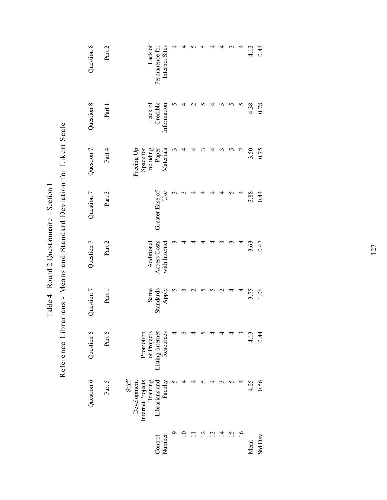| Question 8 | Part 2   | Lack of<br>Internet Sites<br>Permanence for                                                         |  |                   |   |                  |    |                 | 4.13 | 0.44           |
|------------|----------|-----------------------------------------------------------------------------------------------------|--|-------------------|---|------------------|----|-----------------|------|----------------|
| Question 8 | Part 1   | Lack of<br>Credible<br>Information                                                                  |  |                   |   |                  | 5  | 5               | 4.38 | 0.78           |
| Question 7 | Part 4   | Freeing Up<br>Space for<br>Including<br>Paper<br>Paper<br>Materials                                 |  |                   |   |                  | 5  | $\mathbf{\sim}$ | 3.50 | 0.75           |
| Question 7 | Part 3   | Greater Ease of<br>Use                                                                              |  |                   |   |                  |    |                 | 3.88 | 0.44           |
| Question 7 | Part 2   | Access Costs<br>with Internet<br>Additional                                                         |  |                   |   |                  |    |                 | 3.63 | 0.47           |
| Question 7 | Part 1   | Same<br>Standards<br>Apply                                                                          |  |                   |   | $\mathrel{\sim}$ | 4  | 4               | 3.75 | 1.06           |
| Question 6 | Part $6$ | Promotion<br>of Projects<br>Listing Internet<br>Resources                                           |  |                   |   |                  |    |                 | 4.13 | 0.44           |
| Question 6 | Part 5   | Internet Projects<br>Training<br>$\operatorname{Staff}$<br>Librarians and<br>Faculty<br>Development |  |                   |   |                  |    |                 | 4.25 | 0.56           |
|            |          | Number<br>Control                                                                                   |  | $\mathcal{C}_{1}$ | ن | $\overline{4}$   | 51 | $\overline{16}$ | Mean | <b>Std Dev</b> |

Reference Librarians - Means and Standard Deviation for Likert Scale Reference Librarians - Means and Standard Deviation for Likert Scale Table 4 Round 2 Questionnaire - Section 1 Table 4 Round 2 Questionnaire  $-$  Section 1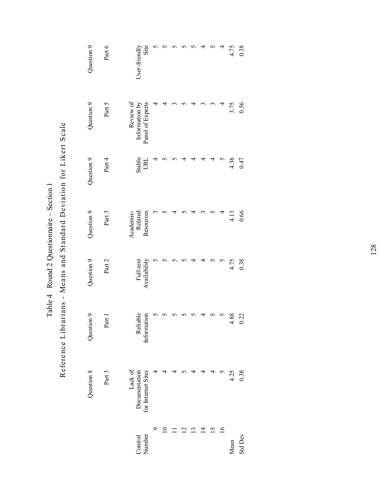| $\frac{1}{2}$ Round 2 Questionnaire – Section<br>$\ddot{\phantom{a}}$ | Reference Librarians - Means and Standard Deviation for Likert Scale |
|-----------------------------------------------------------------------|----------------------------------------------------------------------|
| Table $4 \quad$ Round 2 Q                                             |                                                                      |
|                                                                       |                                                                      |
|                                                                       |                                                                      |

| 0.38<br>4.75          | 3.75<br>0.56                                    | 4.38<br>0.47  | 0.66<br>4.13                      | 4.75<br>0.38              | 88.<br>0.22<br>4        | 4.25<br>0.38                                   | <b>Std Dev</b><br>Mean |
|-----------------------|-------------------------------------------------|---------------|-----------------------------------|---------------------------|-------------------------|------------------------------------------------|------------------------|
| 4                     | ₹                                               |               |                                   |                           |                         |                                                |                        |
|                       |                                                 |               |                                   |                           |                         |                                                |                        |
|                       |                                                 |               |                                   |                           |                         |                                                |                        |
|                       |                                                 |               |                                   |                           |                         |                                                |                        |
|                       |                                                 |               |                                   |                           |                         |                                                |                        |
|                       |                                                 |               |                                   |                           |                         |                                                |                        |
|                       |                                                 |               |                                   |                           |                         |                                                |                        |
|                       |                                                 |               |                                   |                           |                         |                                                |                        |
| User-friendly<br>Site | Review of<br>Information by<br>Panel of Experts | Stable<br>URL | Resources<br>Academic-<br>Related | Full-text<br>Availability | Reliable<br>Information | Lack of<br>Documentation<br>for Internet Sites |                        |
| Part 6                | Part 5                                          | Part 4        | Part 3                            | Part 2                    | Part 1                  | Part 3                                         |                        |
| Question 9            | Question 9                                      | Question 9    | Question 9                        | Question 9                | Question 9              | Question 8                                     |                        |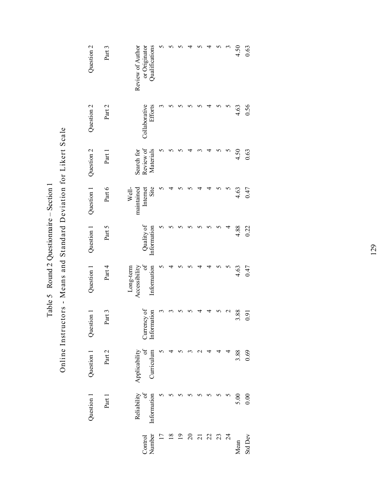| 0.63                                                | 0.56                            | 0.63                                 | 0.47                                    | 0.22                     | 0.47                                           | 0.91                       | 0.69                                    | 0.00                                   | Std Dev           |
|-----------------------------------------------------|---------------------------------|--------------------------------------|-----------------------------------------|--------------------------|------------------------------------------------|----------------------------|-----------------------------------------|----------------------------------------|-------------------|
| 4.50                                                | 4.63                            | 4.50                                 | 4.63                                    | 4.88                     | 4.63                                           | 3.88                       | 3.88                                    | 5.00                                   | Mean              |
|                                                     |                                 |                                      |                                         | ₹                        |                                                |                            |                                         |                                        | 24                |
|                                                     |                                 |                                      |                                         |                          |                                                |                            |                                         |                                        | 23                |
|                                                     |                                 |                                      |                                         |                          |                                                |                            |                                         |                                        | 22                |
|                                                     |                                 |                                      |                                         |                          |                                                |                            |                                         |                                        | $\overline{21}$   |
|                                                     |                                 |                                      |                                         |                          |                                                |                            |                                         |                                        | $\overline{c}$    |
|                                                     |                                 |                                      |                                         |                          |                                                |                            |                                         |                                        |                   |
|                                                     |                                 |                                      |                                         |                          |                                                |                            |                                         |                                        | $\frac{8}{18}$    |
|                                                     |                                 |                                      |                                         |                          |                                                |                            |                                         |                                        | 17                |
| Qualifications<br>Review of Author<br>or Originator | <b>Efforts</b><br>Collaborative | Review of<br>Materials<br>Search for | Well-<br>Site<br>maintained<br>Internet | Quality of<br>nformation | ð<br>Information<br>Accessibility<br>Long-term | Currency of<br>Information | $\sigma$<br>Curriculum<br>Applicability | Reliability<br>$\sigma$<br>Information | Control<br>Number |
| Part 3                                              | Part 2                          | Part 1                               | Part 6                                  | Part 5                   | Part 4                                         | Part 3                     | Part 2                                  | Part 1                                 |                   |
| Question 2                                          | Question 2                      | Question 2                           | Question 1                              | Question 1               | Question 1                                     | Question 1                 | Question 1                              | Question 1                             |                   |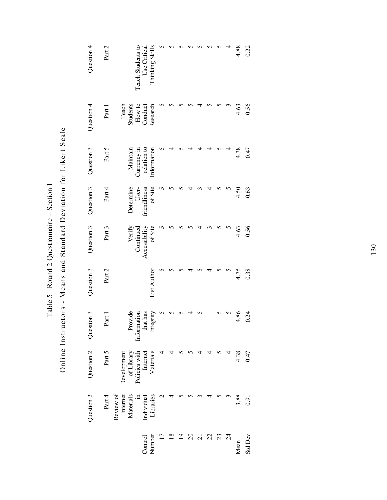| $\sim$<br>י<br>ו<br>1<br>nnaire –<br>mmonnan J Announ<br><b>Doug 7 Ougetion</b><br>ع مالماه<br>ر رالد | Online Instructors - Means and Standard Deviation for Likert Scale |
|-------------------------------------------------------------------------------------------------------|--------------------------------------------------------------------|
|-------------------------------------------------------------------------------------------------------|--------------------------------------------------------------------|

| 4.88<br>0.22                                         | 0.56<br>4.63                                       | 4.38<br>0.47                                          | 4.50<br>0.63                                 | 0.56<br>4.63                                   | 0.38<br>4.75       | 4.86<br>0.24                                    | 4.38<br>0.47                                                        | 3.88<br>0.91 |                                                                        |
|------------------------------------------------------|----------------------------------------------------|-------------------------------------------------------|----------------------------------------------|------------------------------------------------|--------------------|-------------------------------------------------|---------------------------------------------------------------------|--------------|------------------------------------------------------------------------|
|                                                      |                                                    |                                                       |                                              |                                                |                    |                                                 |                                                                     |              |                                                                        |
|                                                      |                                                    |                                                       |                                              |                                                |                    |                                                 |                                                                     |              |                                                                        |
|                                                      |                                                    |                                                       |                                              |                                                |                    |                                                 |                                                                     |              |                                                                        |
|                                                      |                                                    |                                                       |                                              |                                                |                    |                                                 |                                                                     |              |                                                                        |
|                                                      |                                                    |                                                       |                                              |                                                |                    |                                                 |                                                                     |              |                                                                        |
|                                                      |                                                    |                                                       |                                              |                                                |                    |                                                 |                                                                     |              |                                                                        |
|                                                      |                                                    |                                                       |                                              |                                                |                    |                                                 |                                                                     |              |                                                                        |
| Thinking Skills<br>Teach Students to<br>Use Critical | How to<br>Research<br>Teach<br>Students<br>Conduct | relation to<br>Currency in<br>Information<br>Maintain | Determine<br>of Site<br>User-<br>inendliness | Verify<br>Accessibility<br>ofSite<br>Continued | <b>List Author</b> | Integrity<br>Provide<br>Information<br>that has | Materials<br>Development<br>of Library<br>Policies with<br>Internet |              | Review of<br>Internet<br>Materials<br>Individual<br>Libraries<br>$\Xi$ |
| Part 2                                               | Part 1                                             | Part 5                                                | Part 4                                       | Part 3                                         | Part 2             | Part 1                                          | Part 5                                                              |              | Part 4                                                                 |
| Question 4                                           | Question 4                                         | Question 3                                            | Question 3                                   | Question 3                                     | Question 3         | Question 3                                      | Question 2                                                          |              | Question 2                                                             |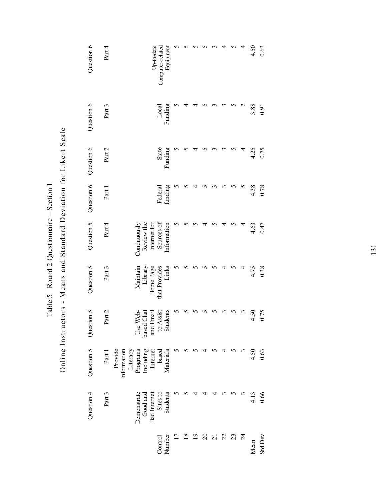| Table 5 Round 2 Questionnaire $-$ S | Online Instructors - Means and Standard Deviation for Likert Scale |
|-------------------------------------|--------------------------------------------------------------------|
|                                     |                                                                    |

| Question 6 | Part 4 |                                    |              |                                                  | Up-to-date<br>Computer-related | Equipment   |                 |                |                |          |                 |    |    |                 | 4.50 | 0.63           |
|------------|--------|------------------------------------|--------------|--------------------------------------------------|--------------------------------|-------------|-----------------|----------------|----------------|----------|-----------------|----|----|-----------------|------|----------------|
| Question 6 | Part 3 |                                    |              |                                                  | Local                          | Funding     |                 |                |                |          |                 |    |    | $\mathbf{\sim}$ | 3.88 | 0.91           |
| Question 6 | Part 2 |                                    |              |                                                  | State                          | Funding     |                 |                |                |          |                 |    |    |                 | 4.25 | 0.75           |
| Question 6 | Part 1 |                                    |              |                                                  | Federal<br>funding             |             |                 |                |                |          |                 |    |    |                 | 4.38 | 0.78           |
| Question 5 | Part 4 |                                    | Continuously | Review the<br>Internet for                       | Sources of                     | Information |                 |                |                |          |                 |    |    |                 | 4.63 | 0.47           |
| Question 5 | Part 3 |                                    | Maintain     | Home Page<br>Library                             | that Provides                  | Links       |                 |                |                |          |                 |    |    |                 | 4.75 | 0.38           |
| Question 5 | Part 2 |                                    | Use Web-     | based Chat<br>and Email<br>to Assist<br>Students |                                |             |                 |                |                |          |                 |    |    |                 | 4.50 | 0.75           |
| Question 5 | Part 1 | Provide<br>Information<br>Literacy | Programs     | Including<br>Internet                            | based                          | Materials   |                 |                |                |          |                 |    |    |                 | 4.50 | 0.63           |
| Question 4 | Part 3 |                                    | Demonstrate  | Good and<br><b>Bad</b> Internet                  | Sites to<br>Students           |             |                 |                |                |          |                 |    |    |                 | 4.13 | 0.66           |
|            |        |                                    |              |                                                  | Control                        | Number      | $\overline{17}$ | $\frac{8}{18}$ | $\overline{0}$ | $\Omega$ | $\overline{21}$ | 22 | 23 | $\overline{24}$ | Mean | <b>Std Dev</b> |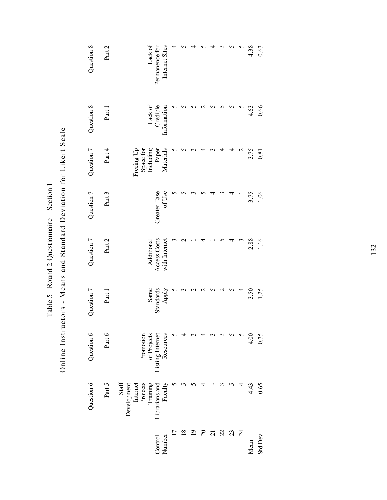| Question 8 | Part 2 | Lack of<br>Internet Sites<br>Permanence for                                           | 4 |  |          |                 |    |    |                 | 4.38 | 0.63           |
|------------|--------|---------------------------------------------------------------------------------------|---|--|----------|-----------------|----|----|-----------------|------|----------------|
| Question 8 | Part 1 | Lack of<br>Credible<br>Information                                                    |   |  |          |                 |    |    |                 | 4.63 | 0.66           |
| Question 7 | Part 4 | Including<br>Materials<br>Freeing Up<br>Space for<br>Paper                            |   |  |          |                 |    | 4  | ٢               | 3.75 | 0.81           |
| Question 7 | Part 3 | Greater Ease<br>of Use                                                                |   |  |          |                 |    |    |                 | 3.75 | 1.06           |
| Question 7 | Part 2 | Access Costs<br>with Internet<br>Additional                                           |   |  |          |                 |    | ₹  |                 | 2.88 | 1.16           |
| Question 7 | Part 1 | Same<br>Standards<br>Apply                                                            |   |  |          |                 |    |    |                 | 3.50 | 1.25           |
| Question 6 | Part 6 | of Projects<br>Resources<br>Listing Internet<br>Promotion                             |   |  |          |                 |    |    |                 | 4.00 | 0.75           |
| Question 6 | Part 5 | Librarians and<br>Faculty<br>Projects<br>Training<br>Staff<br>Internet<br>Development |   |  |          |                 |    |    |                 | 4.43 | 0.65           |
|            |        | Control<br>Number                                                                     |   |  | $\Omega$ | $\overline{21}$ | 22 | 23 | $\overline{24}$ | Mean | <b>Std Dev</b> |

Online Instructors - Means and Standard Deviation for Likert Scale Online Instructors - Means and Standard Deviation for Likert Scale Table 5 Round 2 Questionnaire - Section 1 Table 5 Round 2 Question aire  $-$  Section 1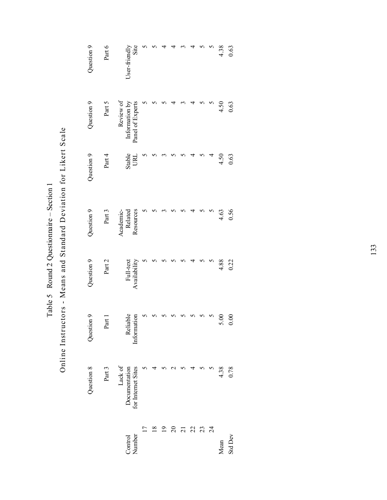Online Instructors - Means and Standard Deviation for Likert Scale Online Instructors - Means and Standard Deviation for Likert Scale Table 5 Round 2 Questionnaire - Section 1 Table 5 Round 2 Question aire  $-$  Section 1

| 4.38<br>0.63          | 4.50<br>0.63                                    | 4.50<br>0.63  | 0.56<br>4.63                      | 4.88<br>0.22              | 0.00<br>5.00            | 4.38<br>0.78                                   |  |
|-----------------------|-------------------------------------------------|---------------|-----------------------------------|---------------------------|-------------------------|------------------------------------------------|--|
|                       |                                                 |               |                                   |                           |                         |                                                |  |
|                       |                                                 |               |                                   |                           |                         |                                                |  |
|                       |                                                 |               |                                   |                           |                         |                                                |  |
|                       |                                                 |               |                                   |                           |                         |                                                |  |
|                       |                                                 |               |                                   |                           |                         |                                                |  |
|                       |                                                 |               |                                   |                           |                         |                                                |  |
|                       |                                                 |               |                                   |                           |                         |                                                |  |
|                       |                                                 |               |                                   |                           |                         |                                                |  |
| User-friendly<br>Site | Review of<br>Information by<br>Panel of Experts | Stable<br>URL | Resources<br>Academic-<br>Related | Availability<br>Full-text | Reliable<br>Information | Lack of<br>Documentation<br>for Internet Sites |  |
| Part 6                | Part 5                                          | Part 4        | Part 3                            | Part 2                    | Part 1                  | Part 3                                         |  |
| Question 9            | Question 9                                      | Question 9    | Question 9                        | Question 9                | Question 9              | Question 8                                     |  |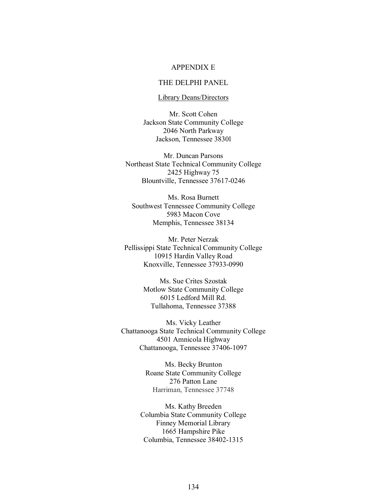#### APPENDIX E

#### THE DELPHI PANEL

#### Library Deans/Directors

Mr. Scott Cohen Jackson State Community College 2046 North Parkway Jackson, Tennessee 3830l

Mr. Duncan Parsons Northeast State Technical Community College 2425 Highway 75 Blountville, Tennessee 37617-0246

Ms. Rosa Burnett Southwest Tennessee Community College 5983 Macon Cove Memphis, Tennessee 38134

Mr. Peter Nerzak Pellissippi State Technical Community College 10915 Hardin Valley Road Knoxville, Tennessee 37933-0990

> Ms. Sue Crites Szostak Motlow State Community College 6015 Ledford Mill Rd. Tullahoma, Tennessee 37388

Ms. Vicky Leather Chattanooga State Technical Community College 4501 Amnicola Highway Chattanooga, Tennessee 37406-1097

> Ms. Becky Brunton Roane State Community College 276 Patton Lane Harriman, Tennessee 37748

Ms. Kathy Breeden Columbia State Community College Finney Memorial Library 1665 Hampshire Pike Columbia, Tennessee 38402-1315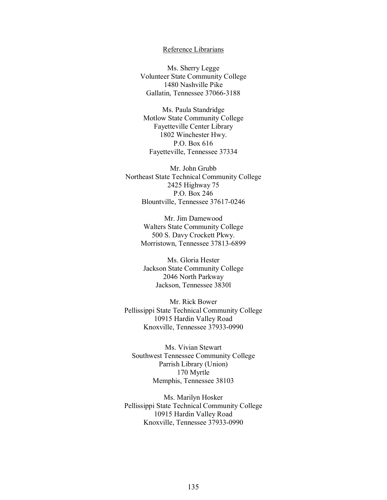#### Reference Librarians

Ms. Sherry Legge Volunteer State Community College 1480 Nashville Pike Gallatin, Tennessee 37066-3188

Ms. Paula Standridge Motlow State Community College Fayetteville Center Library 1802 Winchester Hwy. P.O. Box 616 Fayetteville, Tennessee 37334

Mr. John Grubb Northeast State Technical Community College 2425 Highway 75 P.O. Box 246 Blountville, Tennessee 37617-0246

> Mr. Jim Damewood Walters State Community College 500 S. Davy Crockett Pkwy. Morristown, Tennessee 37813-6899

Ms. Gloria Hester Jackson State Community College 2046 North Parkway Jackson, Tennessee 3830l

Mr. Rick Bower Pellissippi State Technical Community College 10915 Hardin Valley Road Knoxville, Tennessee 37933-0990

Ms. Vivian Stewart Southwest Tennessee Community College Parrish Library (Union) 170 Myrtle Memphis, Tennessee 38103

Ms. Marilyn Hosker Pellissippi State Technical Community College 10915 Hardin Valley Road Knoxville, Tennessee 37933-0990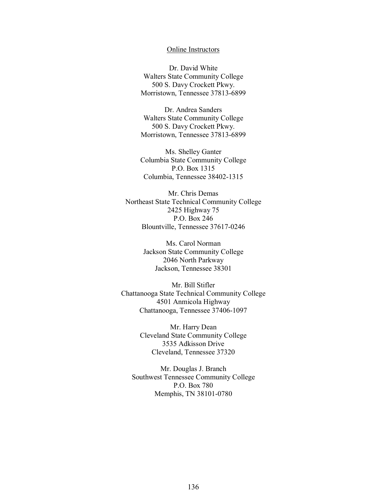#### Online Instructors

Dr. David White Walters State Community College 500 S. Davy Crockett Pkwy. Morristown, Tennessee 37813-6899

Dr. Andrea Sanders Walters State Community College 500 S. Davy Crockett Pkwy. Morristown, Tennessee 37813-6899

Ms. Shelley Ganter Columbia State Community College P.O. Box 1315 Columbia, Tennessee 38402-1315

Mr. Chris Demas Northeast State Technical Community College 2425 Highway 75 P.O. Box 246 Blountville, Tennessee 37617-0246

> Ms. Carol Norman Jackson State Community College 2046 North Parkway Jackson, Tennessee 38301

Mr. Bill Stifler Chattanooga State Technical Community College 4501 Anmicola Highway Chattanooga, Tennessee 37406-1097

> Mr. Harry Dean Cleveland State Community College 3535 Adkisson Drive Cleveland, Tennessee 37320

Mr. Douglas J. Branch Southwest Tennessee Community College P.O. Box 780 Memphis, TN 38101-0780